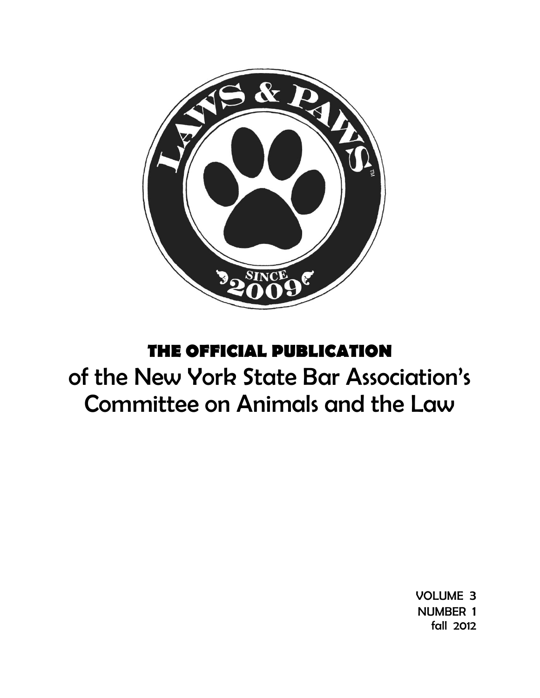

## **THE OFFICIAL PUBLICATION**

# of the New York State Bar Association's Committee on Animals and the Law

VOLUME 3 NUMBER 1 fall 2012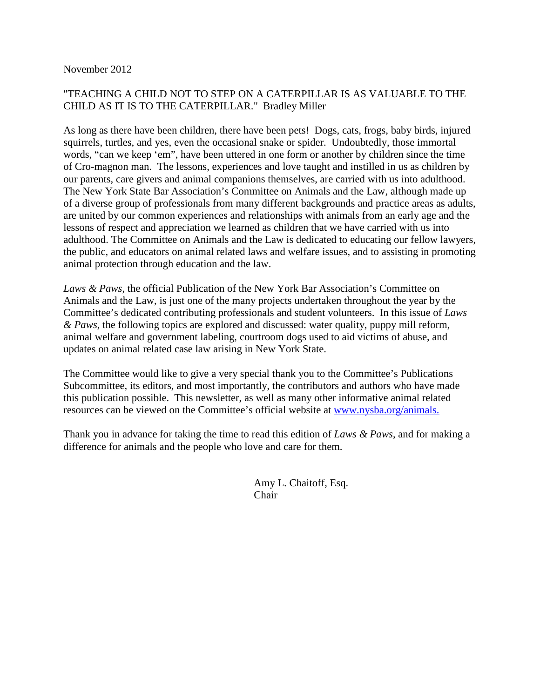## November 2012

## "TEACHING A CHILD NOT TO STEP ON A CATERPILLAR IS AS VALUABLE TO THE CHILD AS IT IS TO THE CATERPILLAR." Bradley Miller

As long as there have been children, there have been pets! Dogs, cats, frogs, baby birds, injured squirrels, turtles, and yes, even the occasional snake or spider. Undoubtedly, those immortal words, "can we keep 'em", have been uttered in one form or another by children since the time of Cro-magnon man. The lessons, experiences and love taught and instilled in us as children by our parents, care givers and animal companions themselves, are carried with us into adulthood. The New York State Bar Association's Committee on Animals and the Law, although made up of a diverse group of professionals from many different backgrounds and practice areas as adults, are united by our common experiences and relationships with animals from an early age and the lessons of respect and appreciation we learned as children that we have carried with us into adulthood. The Committee on Animals and the Law is dedicated to educating our fellow lawyers, the public, and educators on animal related laws and welfare issues, and to assisting in promoting animal protection through education and the law.

*Laws & Paws,* the official Publication of the New York Bar Association's Committee on Animals and the Law, is just one of the many projects undertaken throughout the year by the Committee's dedicated contributing professionals and student volunteers. In this issue of *Laws & Paws*, the following topics are explored and discussed: water quality, puppy mill reform, animal welfare and government labeling, courtroom dogs used to aid victims of abuse, and updates on animal related case law arising in New York State.

The Committee would like to give a very special thank you to the Committee's Publications Subcommittee, its editors, and most importantly, the contributors and authors who have made this publication possible. This newsletter, as well as many other informative animal related resources can be viewed on the Committee's official website at [www.nysba.org/animals.](http://www.nysba.org/animals)

Thank you in advance for taking the time to read this edition of *Laws & Paws*, and for making a difference for animals and the people who love and care for them.

> Amy L. Chaitoff, Esq. Chair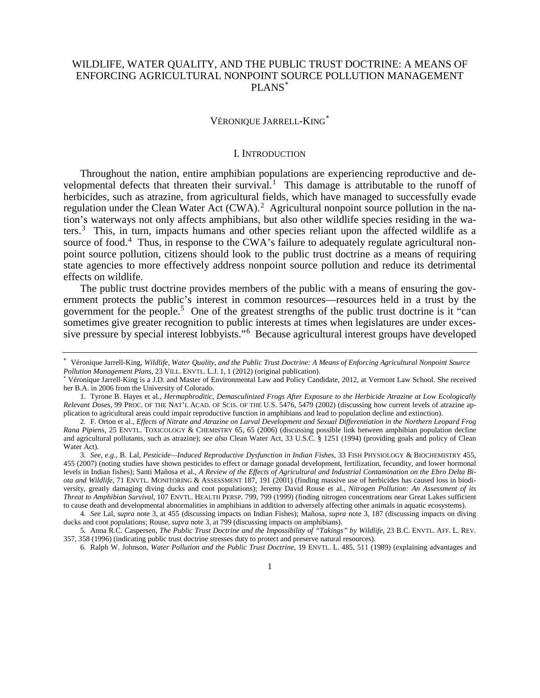## WILDLIFE, WATER QUALITY, AND THE PUBLIC TRUST DOCTRINE: A MEANS OF ENFORCING AGRICULTURAL NONPOINT SOURCE POLLUTION MANAGEMENT PLANS[∗](#page-2-1)

#### VÉRONIQUE JARRELL-KING[∗](#page-2-2)

#### <span id="page-2-12"></span><span id="page-2-11"></span><span id="page-2-9"></span>I. INTRODUCTION

<span id="page-2-0"></span>Throughout the nation, entire amphibian populations are experiencing reproductive and de-velopmental defects that threaten their survival.<sup>[1](#page-2-3)</sup> This damage is attributable to the runoff of herbicides, such as atrazine, from agricultural fields, which have managed to successfully evade regulation under the Clean Water Act  $(CWA)$ .<sup>[2](#page-2-4)</sup> Agricultural nonpoint source pollution in the nation's waterways not only affects amphibians, but also other wildlife species residing in the wa-ters.<sup>[3](#page-2-5)</sup> This, in turn, impacts humans and other species reliant upon the affected wildlife as a source of food.<sup>[4](#page-2-6)</sup> Thus, in response to the CWA's failure to adequately regulate agricultural nonpoint source pollution, citizens should look to the public trust doctrine as a means of requiring state agencies to more effectively address nonpoint source pollution and reduce its detrimental effects on wildlife.

<span id="page-2-10"></span>The public trust doctrine provides members of the public with a means of ensuring the government protects the public's interest in common resources—resources held in a trust by the government for the people.<sup>[5](#page-2-7)</sup> One of the greatest strengths of the public trust doctrine is it "can sometimes give greater recognition to public interests at times when legislatures are under excessive pressure by special interest lobbyists."[6](#page-2-8) Because agricultural interest groups have developed

<span id="page-2-1"></span><sup>∗</sup> Véronique Jarrell-King, *Wildlife, Water Quality, and the Public Trust Doctrine: A Means of Enforcing Agricultural Nonpoint Source* 

<span id="page-2-2"></span>Véronique Jarrell-King is a J.D. and Master of Environmental Law and Policy Candidate, 2012, at Vermont Law School. She received her B.A. in 2006 from the University of Colorado.

<span id="page-2-3"></span><sup>1.</sup> Tyrone B. Hayes et al., *Hermaphroditic, Demasculinized Frogs After Exposure to the Herbicide Atrazine at Low Ecologically Relevant Doses*, 99 PROC. OF THE NAT'L ACAD. OF SCIS. OF THE U.S. 5476, 5479 (2002) (discussing how current levels of atrazine application to agricultural areas could impair reproductive function in amphibians and lead to population decline and extinction).

<span id="page-2-4"></span><sup>2.</sup> F. Orton et al., *Effects of Nitrate and Atrazine on Larval Development and Sexual Differentiation in the Northern Leopard Frog Rana Pipiens*, 25 ENVTL. TOXICOLOGY & CHEMISTRY 65, 65 (2006) (discussing possible link between amphibian population decline and agricultural pollutants, such as atrazine); *see also* Clean Water Act, 33 U.S.C. § 1251 (1994) (providing goals and policy of Clean Water Act).

<span id="page-2-5"></span><sup>3.</sup> *See, e.g.*, B. Lal, *Pesticide—Induced Reproductive Dysfunction in Indian Fishes*, 33 FISH PHYSIOLOGY & BIOCHEMISTRY 455, 455 (2007) (noting studies have shown pesticides to effect or damage gonadal development, fertilization, fecundity, and lower hormonal levels in Indian fishes); Santi Mañosa et al., *A Review of the Effects of Agricultural and Industrial Contamination on the Ebro Delta Biota and Wildlife*, 71 ENVTL. MONITORING & ASSESSMENT 187, 191 (2001) (finding massive use of herbicides has caused loss in biodiversity, greatly damaging diving ducks and coot populations); Jeremy David Rouse et al., *Nitrogen Pollution: An Assessment of its Threat to Amphibian Survival*, 107 ENVTL. HEALTH PERSP. 799, 799 (1999) (finding nitrogen concentrations near Great Lakes sufficient to cause death and developmental abnormalities in amphibians in addition to adversely affecting other animals in aquatic ecosystems).

<span id="page-2-6"></span><sup>4.</sup> *See* Lal, *supra* note [3,](#page-2-0) at 455 (discussing impacts on Indian Fishes); Mañosa, *supra* note [3,](#page-2-0) 187 (discussing impacts on diving ducks and coot populations; Rouse, *supra* note [3,](#page-2-0) at 799 (discussing impacts on amphibians).

<span id="page-2-8"></span><span id="page-2-7"></span><sup>5.</sup> Anna R.C. Caspersen, *The Public Trust Doctrine and the Impossibility of "Takings" by Wildlife*, 23 B.C. ENVTL. AFF. L. REV. 357, 358 (1996) (indicating public trust doctrine stresses duty to protect and preserve natural resources).

<sup>6.</sup> Ralph W. Johnson, *Water Pollution and the Public Trust Doctrine*, 19 ENVTL. L. 485, 511 (1989) (explaining advantages and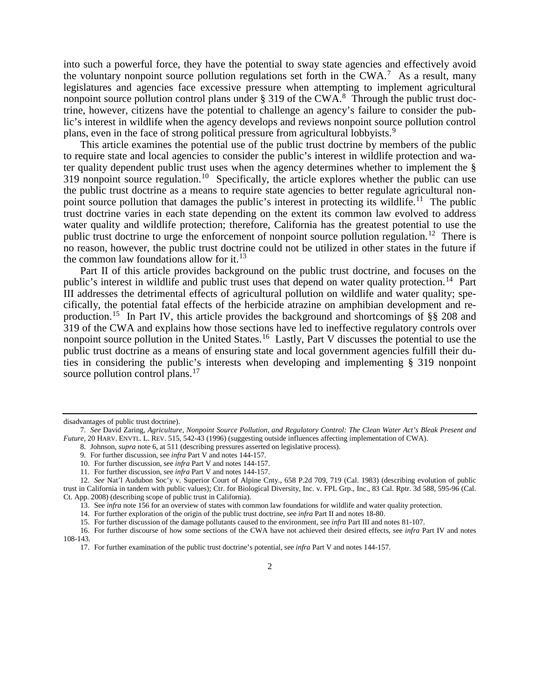<span id="page-3-11"></span>into such a powerful force, they have the potential to sway state agencies and effectively avoid the voluntary nonpoint source pollution regulations set forth in the CWA.<sup>[7](#page-3-0)</sup> As a result, many legislatures and agencies face excessive pressure when attempting to implement agricultural nonpoint source pollution control plans under  $\S 319$  of the CWA.<sup>[8](#page-3-1)</sup> Through the public trust doctrine, however, citizens have the potential to challenge an agency's failure to consider the public's interest in wildlife when the agency develops and reviews nonpoint source pollution control plans, even in the face of strong political pressure from agricultural lobbyists.[9](#page-3-2)

This article examines the potential use of the public trust doctrine by members of the public to require state and local agencies to consider the public's interest in wildlife protection and water quality dependent public trust uses when the agency determines whether to implement the §  $319$  nonpoint source regulation.<sup>10</sup> Specifically, the article explores whether the public can use the public trust doctrine as a means to require state agencies to better regulate agricultural non-point source pollution that damages the public's interest in protecting its wildlife.<sup>[11](#page-3-4)</sup> The public trust doctrine varies in each state depending on the extent its common law evolved to address water quality and wildlife protection; therefore, California has the greatest potential to use the public trust doctrine to urge the enforcement of nonpoint source pollution regulation.<sup>12</sup> There is no reason, however, the public trust doctrine could not be utilized in other states in the future if the common law foundations allow for it. $^{13}$  $^{13}$  $^{13}$ 

<span id="page-3-12"></span>Part II of this article provides background on the public trust doctrine, and focuses on the public's interest in wildlife and public trust uses that depend on water quality protection.<sup>14</sup> Part III addresses the detrimental effects of agricultural pollution on wildlife and water quality; specifically, the potential fatal effects of the herbicide atrazine on amphibian development and reproduction.[15](#page-3-8) In Part IV, this article provides the background and shortcomings of §§ 208 and 319 of the CWA and explains how those sections have led to ineffective regulatory controls over nonpoint source pollution in the United States.<sup>16</sup> Lastly, Part V discusses the potential to use the public trust doctrine as a means of ensuring state and local government agencies fulfill their duties in considering the public's interests when developing and implementing § 319 nonpoint source pollution control plans.<sup>[17](#page-3-10)</sup>

- 8. Johnson, *supra* not[e 6,](#page-2-9) at 511 (describing pressures asserted on legislative process).
	- 9. For further discussion, see *infra* Part V and note[s 144](#page-15-0)[-157.](#page-17-0)
	- 10. For further discussion, see *infra* Part V and note[s 144](#page-15-0)[-157.](#page-17-0)
	- 11. For further discussion, see *infra* Part V and note[s 144](#page-15-0)[-157.](#page-17-0)

13. See *infra* not[e 156](#page-17-1) for an overview of states with common law foundations for wildlife and water quality protection.

disadvantages of public trust doctrine).

<span id="page-3-2"></span><span id="page-3-1"></span><span id="page-3-0"></span><sup>7.</sup> *See* David Zaring, *Agriculture, Nonpoint Source Pollution, and Regulatory Control: The Clean Water Act's Bleak Present and Future*, 20 HARV. ENVTL. L. REV. 515, 542-43 (1996) (suggesting outside influences affecting implementation of CWA).

<span id="page-3-6"></span><span id="page-3-5"></span><span id="page-3-4"></span><span id="page-3-3"></span><sup>12.</sup> *See* Nat'l Audubon Soc'y v. Superior Court of Alpine Cnty., 658 P.2d 709, 719 (Cal. 1983) (describing evolution of public trust in California in tandem with public values); Ctr. for Biological Diversity, Inc. v. FPL Grp., Inc., 83 Cal. Rptr. 3d 588, 595-96 (Cal. Ct. App. 2008) (describing scope of public trust in California).

<sup>14.</sup> For further exploration of the origin of the public trust doctrine, see *infra* Part II and notes [18](#page-4-0)[-80.](#page-9-0)

<sup>15.</sup> For further discussion of the damage pollutants caused to the environment, see *infra* Part III and note[s 81](#page-10-0)[-107.](#page-12-0)

<span id="page-3-10"></span><span id="page-3-9"></span><span id="page-3-8"></span><span id="page-3-7"></span><sup>16.</sup> For further discourse of how some sections of the CWA have not achieved their desired effects, see *infra* Part IV and notes [108](#page-12-1)[-143.](#page-15-1)

<sup>17.</sup> For further examination of the public trust doctrine's potential, see *infra* Part V and note[s 144-](#page-15-0)[157.](#page-17-0)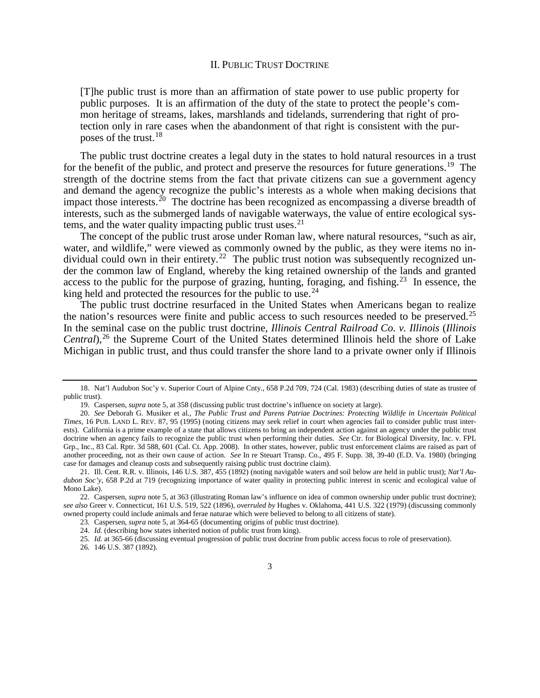### II. PUBLIC TRUST DOCTRINE

<span id="page-4-0"></span>[T]he public trust is more than an affirmation of state power to use public property for public purposes. It is an affirmation of the duty of the state to protect the people's common heritage of streams, lakes, marshlands and tidelands, surrendering that right of protection only in rare cases when the abandonment of that right is consistent with the purposes of the trust.[18](#page-4-1)

The public trust doctrine creates a legal duty in the states to hold natural resources in a trust for the benefit of the public, and protect and preserve the resources for future generations.<sup>[19](#page-4-2)</sup> The strength of the doctrine stems from the fact that private citizens can sue a government agency and demand the agency recognize the public's interests as a whole when making decisions that impact those interests.<sup>[20](#page-4-3)</sup> The doctrine has been recognized as encompassing a diverse breadth of interests, such as the submerged lands of navigable waterways, the value of entire ecological systems, and the water quality impacting public trust uses. $21$ 

<span id="page-4-10"></span>The concept of the public trust arose under Roman law, where natural resources, "such as air, water, and wildlife," were viewed as commonly owned by the public, as they were items no individual could own in their entirety.<sup>22</sup> The public trust notion was subsequently recognized under the common law of England, whereby the king retained ownership of the lands and granted access to the public for the purpose of grazing, hunting, foraging, and fishing.<sup>[23](#page-4-6)</sup> In essence, the king held and protected the resources for the public to use.<sup>[24](#page-4-7)</sup>

The public trust doctrine resurfaced in the United States when Americans began to realize the nation's resources were finite and public access to such resources needed to be preserved.<sup>[25](#page-4-8)</sup> In the seminal case on the public trust doctrine, *Illinois Central Railroad Co. v. Illinois* (*Illinois Central*),<sup>[26](#page-4-9)</sup> the Supreme Court of the United States determined Illinois held the shore of Lake Michigan in public trust, and thus could transfer the shore land to a private owner only if Illinois

<span id="page-4-1"></span><sup>18.</sup> Nat'l Audubon Soc'y v. Superior Court of Alpine Cnty., 658 P.2d 709, 724 (Cal. 1983) (describing duties of state as trustee of public trust).

<sup>19.</sup> Caspersen, *supra* not[e 5,](#page-2-10) at 358 (discussing public trust doctrine's influence on society at large).

<span id="page-4-3"></span><span id="page-4-2"></span><sup>20.</sup> *See* Deborah G. Musiker et al., *The Public Trust and Parens Patriae Doctrines: Protecting Wildlife in Uncertain Political Times*, 16 PUB. LAND L. REV. 87, 95 (1995) (noting citizens may seek relief in court when agencies fail to consider public trust interests). California is a prime example of a state that allows citizens to bring an independent action against an agency under the public trust doctrine when an agency fails to recognize the public trust when performing their duties. *See* Ctr. for Biological Diversity, Inc. v. FPL Grp., Inc., 83 Cal. Rptr. 3d 588, 601 (Cal. Ct. App. 2008). In other states, however, public trust enforcement claims are raised as part of another proceeding, not as their own cause of action. *See* In re Steuart Transp. Co., 495 F. Supp. 38, 39-40 (E.D. Va. 1980) (bringing case for damages and cleanup costs and subsequently raising public trust doctrine claim).

<span id="page-4-4"></span><sup>21.</sup> Ill. Cent. R.R. v. Illinois, 146 U.S. 387, 455 (1892) (noting navigable waters and soil below are held in public trust); *Nat'l Audubon Soc'y*, 658 P.2d at 719 (recognizing importance of water quality in protecting public interest in scenic and ecological value of Mono Lake).

<span id="page-4-8"></span><span id="page-4-7"></span><span id="page-4-6"></span><span id="page-4-5"></span><sup>22.</sup> Caspersen, *supra* not[e 5,](#page-2-10) at 363 (illustrating Roman law's influence on idea of common ownership under public trust doctrine); *see also* Greer v. Connecticut, 161 U.S. 519, 522 (1896), *overruled by* Hughes v. Oklahoma, 441 U.S. 322 (1979) (discussing commonly owned property could include animals and ferae naturae which were believed to belong to all citizens of state).

<sup>23.</sup> Caspersen, *supra* not[e 5,](#page-2-10) at 364-65 (documenting origins of public trust doctrine).

<sup>24.</sup> *Id.* (describing how states inherited notion of public trust from king).

<sup>25.</sup> *Id.* at 365-66 (discussing eventual progression of public trust doctrine from public access focus to role of preservation).

<span id="page-4-9"></span><sup>26.</sup> 146 U.S. 387 (1892).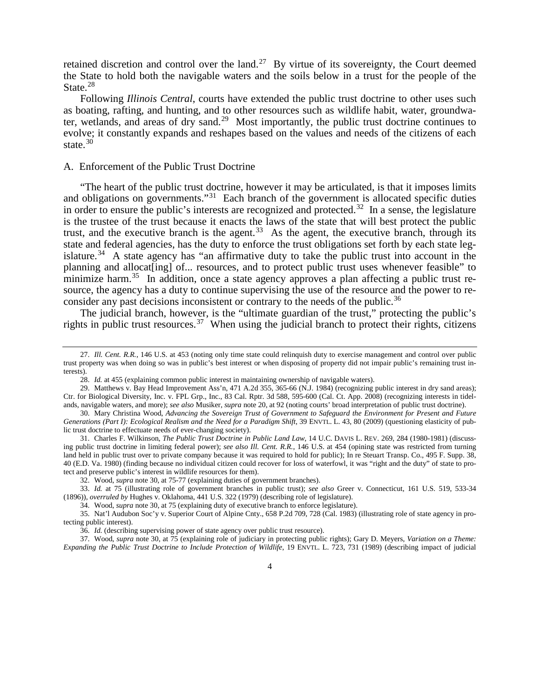retained discretion and control over the land.<sup>[27](#page-5-1)</sup> By virtue of its sovereignty, the Court deemed the State to hold both the navigable waters and the soils below in a trust for the people of the State.<sup>[28](#page-5-2)</sup>

Following *Illinois Central*, courts have extended the public trust doctrine to other uses such as boating, rafting, and hunting, and to other resources such as wildlife habit, water, groundwater, wetlands, and areas of dry sand.[29](#page-5-3) Most importantly, the public trust doctrine continues to evolve; it constantly expands and reshapes based on the values and needs of the citizens of each state. $30$ 

#### <span id="page-5-0"></span>A. Enforcement of the Public Trust Doctrine

"The heart of the public trust doctrine, however it may be articulated, is that it imposes limits and obligations on governments."<sup>[31](#page-5-5)</sup> Each branch of the government is allocated specific duties in order to ensure the public's interests are recognized and protected.<sup>32</sup> In a sense, the legislature is the trustee of the trust because it enacts the laws of the state that will best protect the public trust, and the executive branch is the agent.<sup>[33](#page-5-7)</sup> As the agent, the executive branch, through its state and federal agencies, has the duty to enforce the trust obligations set forth by each state leg-islature.<sup>[34](#page-5-8)</sup> A state agency has "an affirmative duty to take the public trust into account in the planning and allocat[ing] of... resources, and to protect public trust uses whenever feasible" to minimize harm.<sup>35</sup> In addition, once a state agency approves a plan affecting a public trust resource, the agency has a duty to continue supervising the use of the resource and the power to re-consider any past decisions inconsistent or contrary to the needs of the public.<sup>[36](#page-5-10)</sup>

The judicial branch, however, is the "ultimate guardian of the trust," protecting the public's rights in public trust resources.<sup>[37](#page-5-11)</sup> When using the judicial branch to protect their rights, citizens

<span id="page-5-1"></span><sup>27.</sup> *Ill. Cent. R.R.*, 146 U.S. at 453 (noting only time state could relinquish duty to exercise management and control over public trust property was when doing so was in public's best interest or when disposing of property did not impair public's remaining trust interests).

<span id="page-5-12"></span><sup>28.</sup> *Id.* at 455 (explaining common public interest in maintaining ownership of navigable waters).

<span id="page-5-3"></span><span id="page-5-2"></span><sup>29.</sup> Matthews v. Bay Head Improvement Ass'n, 471 A.2d 355, 365-66 (N.J. 1984) (recognizing public interest in dry sand areas); Ctr. for Biological Diversity, Inc. v. FPL Grp., Inc., 83 Cal. Rptr. 3d 588, 595-600 (Cal. Ct. App. 2008) (recognizing interests in tidelands, navigable waters, and more); *see also* Musiker, *supra* not[e 20,](#page-4-10) at 92 (noting courts' broad interpretation of public trust doctrine).

<span id="page-5-4"></span><sup>30.</sup> Mary Christina Wood, *Advancing the Sovereign Trust of Government to Safeguard the Environment for Present and Future*  Generations (Part I): Ecological Realism and the Need for a Paradigm Shift, 39 ENVTL. L. 43, 80 (2009) (questioning elasticity of public trust doctrine to effectuate needs of ever-changing society).

<span id="page-5-5"></span><sup>31.</sup> Charles F. Wilkinson, *The Public Trust Doctrine in Public Land Law*, 14 U.C. DAVIS L. REV. 269, 284 (1980-1981) (discussing public trust doctrine in limiting federal power); *see also Ill. Cent. R.R.*, 146 U.S. at 454 (opining state was restricted from turning land held in public trust over to private company because it was required to hold for public); In re Steuart Transp. Co., 495 F. Supp. 38, 40 (E.D. Va. 1980) (finding because no individual citizen could recover for loss of waterfowl, it was "right and the duty" of state to protect and preserve public's interest in wildlife resources for them).

<sup>32.</sup> Wood, *supra* note [30,](#page-5-0) at 75-77 (explaining duties of government branches).

<span id="page-5-7"></span><span id="page-5-6"></span><sup>33.</sup> *Id.* at 75 (illustrating role of government branches in public trust); *see also* Greer v. Connecticut, 161 U.S. 519, 533-34 (1896)), *overruled by* Hughes v. Oklahoma, 441 U.S. 322 (1979) (describing role of legislature).

<sup>34.</sup> Wood, *supra* not[e 30,](#page-5-0) at 75 (explaining duty of executive branch to enforce legislature).

<span id="page-5-9"></span><span id="page-5-8"></span><sup>35.</sup> Nat'l Audubon Soc'y v. Superior Court of Alpine Cnty., 658 P.2d 709, 728 (Cal. 1983) (illustrating role of state agency in protecting public interest).

<sup>36.</sup> *Id.* (describing supervising power of state agency over public trust resource).

<span id="page-5-11"></span><span id="page-5-10"></span><sup>37.</sup> Wood, *supra* note [30,](#page-5-0) at 75 (explaining role of judiciary in protecting public rights); Gary D. Meyers, *Variation on a Theme: Expanding the Public Trust Doctrine to Include Protection of Wildlife*, 19 ENVTL. L. 723, 731 (1989) (describing impact of judicial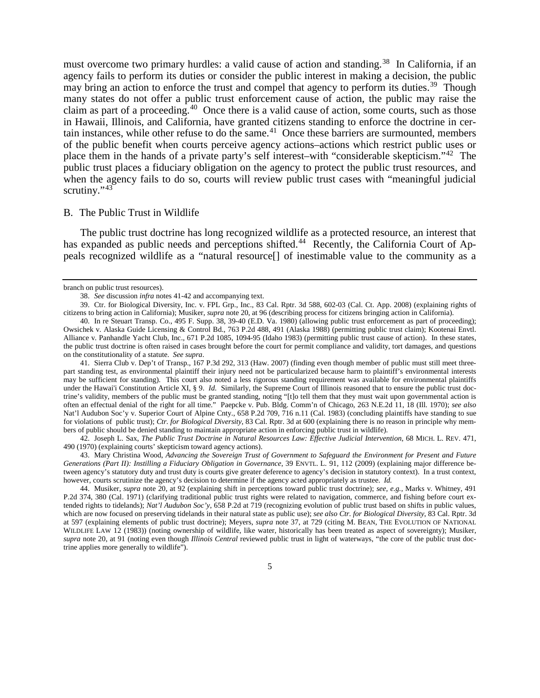<span id="page-6-0"></span>must overcome two primary hurdles: a valid cause of action and standing.<sup>38</sup> In California, if an agency fails to perform its duties or consider the public interest in making a decision, the public may bring an action to enforce the trust and compel that agency to perform its duties.<sup>39</sup> Though many states do not offer a public trust enforcement cause of action, the public may raise the claim as part of a proceeding.<sup>40</sup> Once there is a valid cause of action, some courts, such as those in Hawaii, Illinois, and California, have granted citizens standing to enforce the doctrine in cer-tain instances, while other refuse to do the same.<sup>[41](#page-6-5)</sup> Once these barriers are surmounted, members of the public benefit when courts perceive agency actions–actions which restrict public uses or place them in the hands of a private party's self interest–with "considerable skepticism."[42](#page-6-6) The public trust places a fiduciary obligation on the agency to protect the public trust resources, and when the agency fails to do so, courts will review public trust cases with "meaningful judicial scrutiny."<sup>[43](#page-6-7)</sup>

#### <span id="page-6-1"></span>B. The Public Trust in Wildlife

The public trust doctrine has long recognized wildlife as a protected resource, an interest that has expanded as public needs and perceptions shifted.<sup>44</sup> Recently, the California Court of Appeals recognized wildlife as a "natural resource[] of inestimable value to the community as a

branch on public trust resources).

<sup>38.</sup> *See* discussion *infra* notes [41-](#page-6-0)[42](#page-6-1) and accompanying text.

<span id="page-6-3"></span><span id="page-6-2"></span><sup>39.</sup> Ctr. for Biological Diversity, Inc. v. FPL Grp., Inc., 83 Cal. Rptr. 3d 588, 602-03 (Cal. Ct. App. 2008) (explaining rights of citizens to bring action in California); Musiker, *supra* not[e 20,](#page-4-10) at 96 (describing process for citizens bringing action in California).

<span id="page-6-4"></span><sup>40.</sup> In re Steuart Transp. Co., 495 F. Supp. 38, 39-40 (E.D. Va. 1980) (allowing public trust enforcement as part of proceeding); Owsichek v. Alaska Guide Licensing & Control Bd., 763 P.2d 488, 491 (Alaska 1988) (permitting public trust claim); Kootenai Envtl. Alliance v. Panhandle Yacht Club, Inc., 671 P.2d 1085, 1094-95 (Idaho 1983) (permitting public trust cause of action). In these states, the public trust doctrine is often raised in cases brought before the court for permit compliance and validity, tort damages, and questions on the constitutionality of a statute. *See supra*.

<span id="page-6-5"></span><sup>41.</sup> Sierra Club v. Dep't of Transp., 167 P.3d 292, 313 (Haw. 2007) (finding even though member of public must still meet threepart standing test, as environmental plaintiff their injury need not be particularized because harm to plaintiff's environmental interests may be sufficient for standing). This court also noted a less rigorous standing requirement was available for environmental plaintiffs under the Hawai'i Constitution Article XI, § 9. *Id.* Similarly, the Supreme Court of Illinois reasoned that to ensure the public trust doctrine's validity, members of the public must be granted standing, noting "[t]o tell them that they must wait upon governmental action is often an effectual denial of the right for all time." Paepcke v. Pub. Bldg. Comm'n of Chicago, 263 N.E.2d 11, 18 (Ill. 1970); *see also* Nat'l Audubon Soc'y v. Superior Court of Alpine Cnty., 658 P.2d 709, 716 n.11 (Cal. 1983) (concluding plaintiffs have standing to sue for violations of public trust); *Ctr. for Biological Diversity*, 83 Cal. Rptr. 3d at 600 (explaining there is no reason in principle why members of public should be denied standing to maintain appropriate action in enforcing public trust in wildlife).

<span id="page-6-6"></span><sup>42.</sup> Joseph L. Sax, *The Public Trust Doctrine in Natural Resources Law: Effective Judicial Intervention*, 68 MICH. L. REV. 471, 490 (1970) (explaining courts' skepticism toward agency actions).

<span id="page-6-7"></span><sup>43.</sup> Mary Christina Wood, *Advancing the Sovereign Trust of Government to Safeguard the Environment for Present and Future Generations (Part II): Instilling a Fiduciary Obligation in Governance*, 39 ENVTL. L. 91, 112 (2009) (explaining major difference between agency's statutory duty and trust duty is courts give greater deference to agency's decision in statutory context). In a trust context, however, courts scrutinize the agency's decision to determine if the agency acted appropriately as trustee. *Id.*

<span id="page-6-8"></span><sup>44.</sup> Musiker, *supra* note [20,](#page-4-10) at 92 (explaining shift in perceptions toward public trust doctrine); *see, e.g.*, Marks v. Whitney, 491 P.2d 374, 380 (Cal. 1971) (clarifying traditional public trust rights were related to navigation, commerce, and fishing before court extended rights to tidelands); *Nat'l Audubon Soc'y*, 658 P.2d at 719 (recognizing evolution of public trust based on shifts in public values, which are now focused on preserving tidelands in their natural state as public use); *see also Ctr. for Biological Diversity*, 83 Cal. Rptr. 3d at 597 (explaining elements of public trust doctrine); Meyers, *supra* note [37,](#page-5-12) at 729 (citing M. BEAN, THE EVOLUTION OF NATIONAL WILDLIFE LAW 12 (1983)) (noting ownership of wildlife, like water, historically has been treated as aspect of sovereignty); Musiker, *supra* note [20,](#page-4-10) at 91 (noting even though *Illinois Central* reviewed public trust in light of waterways, "the core of the public trust doctrine applies more generally to wildlife").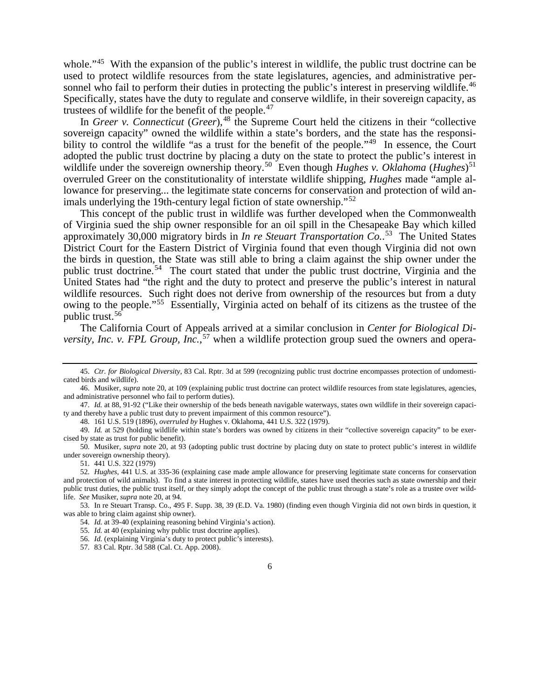whole."<sup>[45](#page-7-0)</sup> With the expansion of the public's interest in wildlife, the public trust doctrine can be used to protect wildlife resources from the state legislatures, agencies, and administrative per-sonnel who fail to perform their duties in protecting the public's interest in preserving wildlife.<sup>[46](#page-7-1)</sup> Specifically, states have the duty to regulate and conserve wildlife, in their sovereign capacity, as trustees of wildlife for the benefit of the people.<sup>[47](#page-7-2)</sup>

In *Greer v. Connecticut* (*Greer*), <sup>[48](#page-7-3)</sup> the Supreme Court held the citizens in their "collective" sovereign capacity" owned the wildlife within a state's borders, and the state has the responsibility to control the wildlife "as a trust for the benefit of the people."<sup>49</sup> In essence, the Court adopted the public trust doctrine by placing a duty on the state to protect the public's interest in wildlife under the sovereign ownership theory.<sup>50</sup> Even though *Hughes v. Oklahoma* (*Hughes*)<sup>[51](#page-7-6)</sup> overruled Greer on the constitutionality of interstate wildlife shipping, *Hughes* made "ample allowance for preserving... the legitimate state concerns for conservation and protection of wild an-imals underlying the 19th-century legal fiction of state ownership."<sup>[52](#page-7-7)</sup>

This concept of the public trust in wildlife was further developed when the Commonwealth of Virginia sued the ship owner responsible for an oil spill in the Chesapeake Bay which killed approximately 30,000 migratory birds in *In re Steuart Transportation Co.*. [53](#page-7-8) The United States District Court for the Eastern District of Virginia found that even though Virginia did not own the birds in question, the State was still able to bring a claim against the ship owner under the public trust doctrine.<sup>[54](#page-7-9)</sup> The court stated that under the public trust doctrine, Virginia and the United States had "the right and the duty to protect and preserve the public's interest in natural wildlife resources. Such right does not derive from ownership of the resources but from a duty owing to the people."[55](#page-7-10) Essentially, Virginia acted on behalf of its citizens as the trustee of the public trust.[56](#page-7-11)

The California Court of Appeals arrived at a similar conclusion in *Center for Biological Diversity, Inc. v. FPL Group, Inc.*, [57](#page-7-12) when a wildlife protection group sued the owners and opera-

48. 161 U.S. 519 (1896), *overruled by* Hughes v. Oklahoma, 441 U.S. 322 (1979).

51. 441 U.S. 322 (1979)

<span id="page-7-12"></span><span id="page-7-11"></span><span id="page-7-10"></span><span id="page-7-9"></span><span id="page-7-8"></span>53. In re Steuart Transp. Co., 495 F. Supp. 38, 39 (E.D. Va. 1980) (finding even though Virginia did not own birds in question, it was able to bring claim against ship owner).

54. *Id.* at 39-40 (explaining reasoning behind Virginia's action).

<span id="page-7-0"></span><sup>45.</sup> *Ctr. for Biological Diversity*, 83 Cal. Rptr. 3d at 599 (recognizing public trust doctrine encompasses protection of undomesticated birds and wildlife).

<span id="page-7-1"></span><sup>46.</sup> Musiker, *supra* note [20,](#page-4-10) at 109 (explaining public trust doctrine can protect wildlife resources from state legislatures, agencies, and administrative personnel who fail to perform duties).

<span id="page-7-2"></span><sup>47.</sup> *Id.* at 88, 91-92 ("Like their ownership of the beds beneath navigable waterways, states own wildlife in their sovereign capacity and thereby have a public trust duty to prevent impairment of this common resource").

<span id="page-7-4"></span><span id="page-7-3"></span><sup>49.</sup> *Id.* at 529 (holding wildlife within state's borders was owned by citizens in their "collective sovereign capacity" to be exercised by state as trust for public benefit).

<span id="page-7-5"></span><sup>50.</sup> Musiker, *supra* note [20,](#page-4-10) at 93 (adopting public trust doctrine by placing duty on state to protect public's interest in wildlife under sovereign ownership theory).

<span id="page-7-7"></span><span id="page-7-6"></span><sup>52.</sup> *Hughes*, 441 U.S. at 335-36 (explaining case made ample allowance for preserving legitimate state concerns for conservation and protection of wild animals). To find a state interest in protecting wildlife, states have used theories such as state ownership and their public trust duties, the public trust itself, or they simply adopt the concept of the public trust through a state's role as a trustee over wildlife. *See* Musiker, *supra* not[e 20,](#page-4-10) at 94.

<sup>55.</sup> *Id.* at 40 (explaining why public trust doctrine applies).

<sup>56.</sup> *Id.* (explaining Virginia's duty to protect public's interests).

<sup>57.</sup> 83 Cal. Rptr. 3d 588 (Cal. Ct. App. 2008).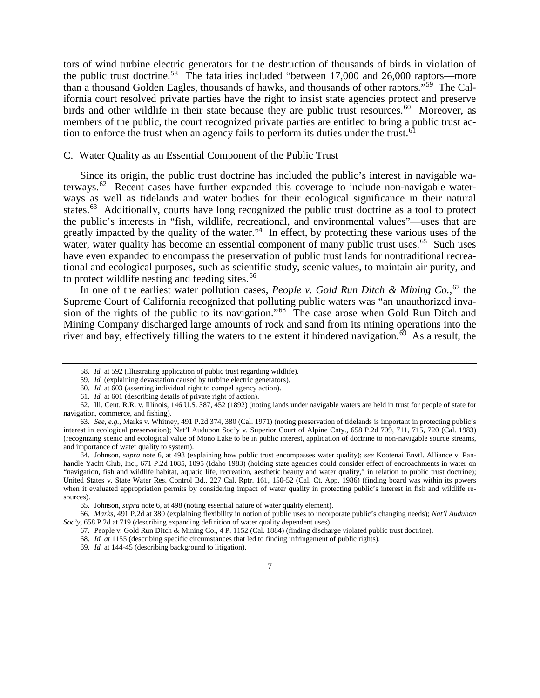tors of wind turbine electric generators for the destruction of thousands of birds in violation of the public trust doctrine.[58](#page-8-0) The fatalities included "between 17,000 and 26,000 raptors—more than a thousand Golden Eagles, thousands of hawks, and thousands of other raptors."[59](#page-8-1) The California court resolved private parties have the right to insist state agencies protect and preserve birds and other wildlife in their state because they are public trust resources.<sup>60</sup> Moreover, as members of the public, the court recognized private parties are entitled to bring a public trust ac-tion to enforce the trust when an agency fails to perform its duties under the trust.<sup>[61](#page-8-3)</sup>

## C. Water Quality as an Essential Component of the Public Trust

Since its origin, the public trust doctrine has included the public's interest in navigable waterways.<sup>62</sup> Recent cases have further expanded this coverage to include non-navigable waterways as well as tidelands and water bodies for their ecological significance in their natural states.<sup>[63](#page-8-5)</sup> Additionally, courts have long recognized the public trust doctrine as a tool to protect the public's interests in "fish, wildlife, recreational, and environmental values"—uses that are greatly impacted by the quality of the water.<sup>64</sup> In effect, by protecting these various uses of the water, water quality has become an essential component of many public trust uses.<sup>65</sup> Such uses have even expanded to encompass the preservation of public trust lands for nontraditional recreational and ecological purposes, such as scientific study, scenic values, to maintain air purity, and to protect wildlife nesting and feeding sites. $66$ 

In one of the earliest water pollution cases, *People v. Gold Run Ditch & Mining Co.*, [67](#page-8-9) the Supreme Court of California recognized that polluting public waters was "an unauthorized invasion of the rights of the public to its navigation."[68](#page-8-10) The case arose when Gold Run Ditch and Mining Company discharged large amounts of rock and sand from its mining operations into the river and bay, effectively filling the waters to the extent it hindered navigation.<sup> $69$ </sup> As a result, the

<sup>58.</sup> *Id.* at 592 (illustrating application of public trust regarding wildlife).

<sup>59.</sup> *Id.* (explaining devastation caused by turbine electric generators).

<sup>60.</sup> *Id.* at 603 (asserting individual right to compel agency action).

<sup>61.</sup> *Id.* at 601 (describing details of private right of action).

<span id="page-8-4"></span><span id="page-8-3"></span><span id="page-8-2"></span><span id="page-8-1"></span><span id="page-8-0"></span><sup>62.</sup> Ill. Cent. R.R. v. Illinois, 146 U.S. 387, 452 (1892) (noting lands under navigable waters are held in trust for people of state for navigation, commerce, and fishing).

<span id="page-8-5"></span><sup>63.</sup> *See, e.g.*, Marks v. Whitney, 491 P.2d 374, 380 (Cal. 1971) (noting preservation of tidelands is important in protecting public's interest in ecological preservation); Nat'l Audubon Soc'y v. Superior Court of Alpine Cnty., 658 P.2d 709, 711, 715, 720 (Cal. 1983) (recognizing scenic and ecological value of Mono Lake to be in public interest, application of doctrine to non-navigable source streams, and importance of water quality to system).

<span id="page-8-6"></span><sup>64.</sup> Johnson, *supra* note [6,](#page-2-9) at 498 (explaining how public trust encompasses water quality); *see* Kootenai Envtl. Alliance v. Panhandle Yacht Club, Inc., 671 P.2d 1085, 1095 (Idaho 1983) (holding state agencies could consider effect of encroachments in water on "navigation, fish and wildlife habitat, aquatic life, recreation, aesthetic beauty and water quality," in relation to public trust doctrine); United States v. State Water Res. Control Bd., 227 Cal. Rptr. 161, 150-52 (Cal. Ct. App. 1986) (finding board was within its powers when it evaluated appropriation permits by considering impact of water quality in protecting public's interest in fish and wildlife resources).

<sup>65.</sup> Johnson, *supra* not[e 6,](#page-2-9) at 498 (noting essential nature of water quality element).

<span id="page-8-11"></span><span id="page-8-10"></span><span id="page-8-9"></span><span id="page-8-8"></span><span id="page-8-7"></span><sup>66.</sup> *Marks*, 491 P.2d at 380 (explaining flexibility in notion of public uses to incorporate public's changing needs); *Nat'l Audubon Soc'y*, 658 P.2d at 719 (describing expanding definition of water quality dependent uses).

<sup>67.</sup> People v. Gold Run Ditch & Mining Co., 4 P. 1152 (Cal. 1884) (finding discharge violated public trust doctrine).

<sup>68.</sup> *Id. at* 1155 (describing specific circumstances that led to finding infringement of public rights).

<sup>69.</sup> *Id.* at 144-45 (describing background to litigation).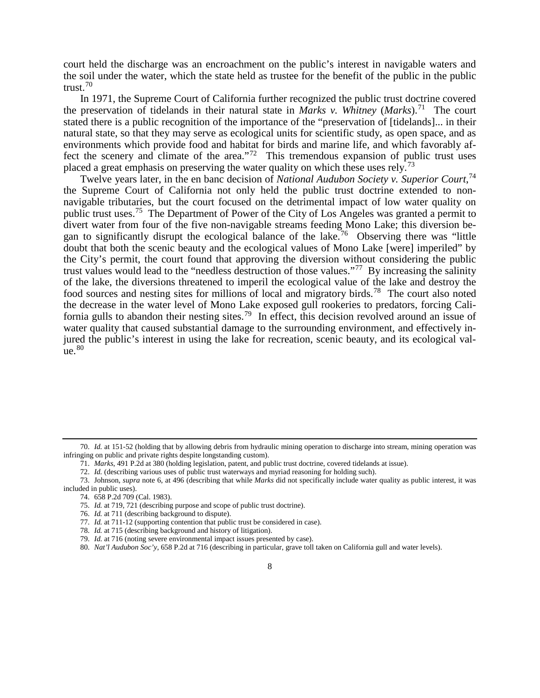court held the discharge was an encroachment on the public's interest in navigable waters and the soil under the water, which the state held as trustee for the benefit of the public in the public trust. $70$ 

In 1971, the Supreme Court of California further recognized the public trust doctrine covered the preservation of tidelands in their natural state in *Marks v. Whitney* (*Marks*). [71](#page-9-2) The court stated there is a public recognition of the importance of the "preservation of [tidelands]... in their natural state, so that they may serve as ecological units for scientific study, as open space, and as environments which provide food and habitat for birds and marine life, and which favorably af-fect the scenery and climate of the area."<sup>[72](#page-9-3)</sup> This tremendous expansion of public trust uses placed a great emphasis on preserving the water quality on which these uses rely.<sup>[73](#page-9-4)</sup>

Twelve years later, in the en banc decision of *National Audubon Society v. Superior Court*, [74](#page-9-5) the Supreme Court of California not only held the public trust doctrine extended to nonnavigable tributaries, but the court focused on the detrimental impact of low water quality on public trust uses.[75](#page-9-6) The Department of Power of the City of Los Angeles was granted a permit to divert water from four of the five non-navigable streams feeding Mono Lake; this diversion began to significantly disrupt the ecological balance of the lake.<sup>76</sup> Observing there was "little doubt that both the scenic beauty and the ecological values of Mono Lake [were] imperiled" by the City's permit, the court found that approving the diversion without considering the public trust values would lead to the "needless destruction of those values."[77](#page-9-8) By increasing the salinity of the lake, the diversions threatened to imperil the ecological value of the lake and destroy the food sources and nesting sites for millions of local and migratory birds.[78](#page-9-9) The court also noted the decrease in the water level of Mono Lake exposed gull rookeries to predators, forcing Cali-fornia gulls to abandon their nesting sites.<sup>[79](#page-9-10)</sup> In effect, this decision revolved around an issue of water quality that caused substantial damage to the surrounding environment, and effectively injured the public's interest in using the lake for recreation, scenic beauty, and its ecological val- $ue.80$  $ue.80$ 

<span id="page-9-1"></span><span id="page-9-0"></span><sup>70.</sup> *Id.* at 151-52 (holding that by allowing debris from hydraulic mining operation to discharge into stream, mining operation was infringing on public and private rights despite longstanding custom).

<sup>71.</sup> *Marks*, 491 P.2d at 380 (holding legislation, patent, and public trust doctrine, covered tidelands at issue).

<sup>72.</sup> *Id.* (describing various uses of public trust waterways and myriad reasoning for holding such).

<span id="page-9-8"></span><span id="page-9-7"></span><span id="page-9-6"></span><span id="page-9-5"></span><span id="page-9-4"></span><span id="page-9-3"></span><span id="page-9-2"></span><sup>73.</sup> Johnson, *supra* note [6,](#page-2-9) at 496 (describing that while *Marks* did not specifically include water quality as public interest, it was included in public uses).

<sup>74.</sup> 658 P.2d 709 (Cal. 1983).

<sup>75.</sup> *Id.* at 719, 721 (describing purpose and scope of public trust doctrine).

<sup>76.</sup> *Id.* at 711 (describing background to dispute).

<sup>77.</sup> *Id.* at 711-12 (supporting contention that public trust be considered in case).

<span id="page-9-9"></span><sup>78.</sup> *Id.* at 715 (describing background and history of litigation).

<span id="page-9-10"></span><sup>79.</sup> *Id.* at 716 (noting severe environmental impact issues presented by case).

<span id="page-9-11"></span><sup>80.</sup> *Nat'l Audubon Soc'y*, 658 P.2d at 716 (describing in particular, grave toll taken on California gull and water levels).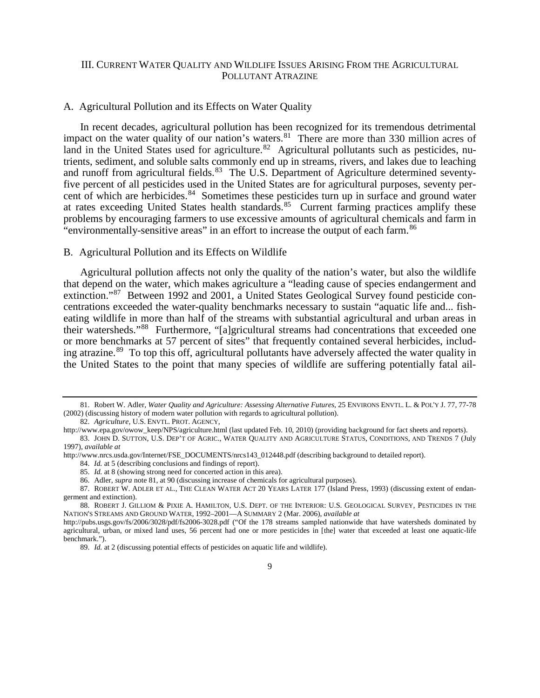## <span id="page-10-11"></span><span id="page-10-0"></span>III. CURRENT WATER QUALITY AND WILDLIFE ISSUES ARISING FROM THE AGRICULTURAL POLLUTANT ATRAZINE

## A. Agricultural Pollution and its Effects on Water Quality

In recent decades, agricultural pollution has been recognized for its tremendous detrimental impact on the water quality of our nation's waters.<sup>[81](#page-10-1)</sup> There are more than 330 million acres of land in the United States used for agriculture.<sup>82</sup> Agricultural pollutants such as pesticides, nutrients, sediment, and soluble salts commonly end up in streams, rivers, and lakes due to leaching and runoff from agricultural fields.<sup>[83](#page-10-3)</sup> The U.S. Department of Agriculture determined seventyfive percent of all pesticides used in the United States are for agricultural purposes, seventy percent of which are herbicides.<sup>84</sup> Sometimes these pesticides turn up in surface and ground water at rates exceeding United States health standards.<sup>[85](#page-10-5)</sup> Current farming practices amplify these problems by encouraging farmers to use excessive amounts of agricultural chemicals and farm in "environmentally-sensitive areas" in an effort to increase the output of each farm.<sup>[86](#page-10-6)</sup>

#### B. Agricultural Pollution and its Effects on Wildlife

<span id="page-10-10"></span>Agricultural pollution affects not only the quality of the nation's water, but also the wildlife that depend on the water, which makes agriculture a "leading cause of species endangerment and extinction."<sup>[87](#page-10-7)</sup> Between 1992 and 2001, a United States Geological Survey found pesticide concentrations exceeded the water-quality benchmarks necessary to sustain "aquatic life and... fisheating wildlife in more than half of the streams with substantial agricultural and urban areas in their watersheds."[88](#page-10-8) Furthermore, "[a]gricultural streams had concentrations that exceeded one or more benchmarks at 57 percent of sites" that frequently contained several herbicides, includ-ing atrazine.<sup>[89](#page-10-9)</sup> To top this off, agricultural pollutants have adversely affected the water quality in the United States to the point that many species of wildlife are suffering potentially fatal ail-

<span id="page-10-1"></span><sup>81.</sup> Robert W. Adler, *Water Quality and Agriculture: Assessing Alternative Futures*, 25 ENVIRONS ENVTL. L. & POL'Y J. 77, 77-78 (2002) (discussing history of modern water pollution with regards to agricultural pollution).

<sup>82.</sup> *Agriculture*, U.S. ENVTL. PROT. AGENCY,

<span id="page-10-2"></span>http://www.epa.gov/owow\_keep/NPS/agriculture.html (last updated Feb. 10, 2010) (providing background for fact sheets and reports).

<span id="page-10-3"></span><sup>83.</sup> JOHN D. SUTTON, U.S. DEP'T OF AGRIC., WATER QUALITY AND AGRICULTURE STATUS, CONDITIONS, AND TRENDS 7 (July 1997), *available at*

<span id="page-10-5"></span><span id="page-10-4"></span>http://www.nrcs.usda.gov/Internet/FSE\_DOCUMENTS/nrcs143\_012448.pdf (describing background to detailed report).

<sup>84.</sup> *Id.* at 5 (describing conclusions and findings of report).

<sup>85.</sup> *Id.* at 8 (showing strong need for concerted action in this area).

<sup>86.</sup> Adler, *supra* not[e 81,](#page-10-0) at 90 (discussing increase of chemicals for agricultural purposes).

<span id="page-10-7"></span><span id="page-10-6"></span><sup>87.</sup> ROBERT W. ADLER ET AL., THE CLEAN WATER ACT 20 YEARS LATER 177 (Island Press, 1993) (discussing extent of endangerment and extinction).

<span id="page-10-8"></span><sup>88.</sup> ROBERT J. GILLIOM & PIXIE A. HAMILTON, U.S. DEPT. OF THE INTERIOR: U.S. GEOLOGICAL SURVEY*,* PESTICIDES IN THE NATION'S STREAMS AND GROUND WATER, 1992–2001—A SUMMARY 2 (Mar. 2006), *available at*

<span id="page-10-9"></span>http://pubs.usgs.gov/fs/2006/3028/pdf/fs2006-3028.pdf ("Of the 178 streams sampled nationwide that have watersheds dominated by agricultural, urban, or mixed land uses, 56 percent had one or more pesticides in [the] water that exceeded at least one aquatic-life benchmark.").

<sup>89.</sup> *Id.* at 2 (discussing potential effects of pesticides on aquatic life and wildlife).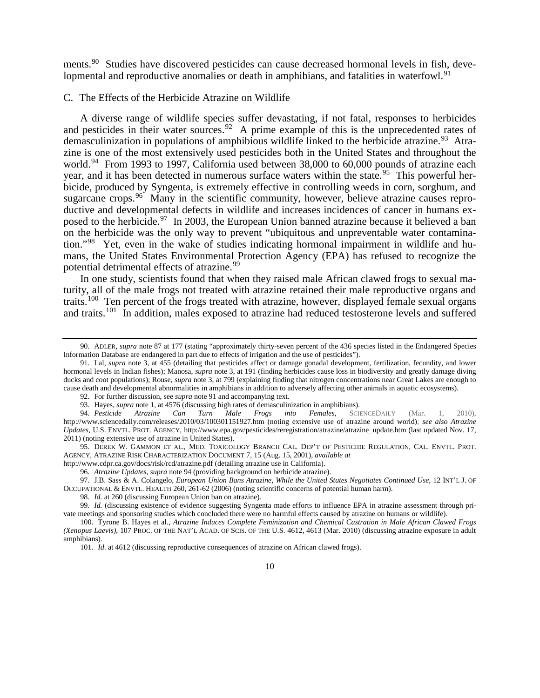<span id="page-11-0"></span>ments.<sup>[90](#page-11-2)</sup> Studies have discovered pesticides can cause decreased hormonal levels in fish, deve-lopmental and reproductive anomalies or death in amphibians, and fatalities in waterfowl.<sup>[91](#page-11-3)</sup>

C. The Effects of the Herbicide Atrazine on Wildlife

<span id="page-11-1"></span>A diverse range of wildlife species suffer devastating, if not fatal, responses to herbicides and pesticides in their water sources.<sup>92</sup> A prime example of this is the unprecedented rates of demasculinization in populations of amphibious wildlife linked to the herbicide atrazine.<sup>[93](#page-11-5)</sup> Atrazine is one of the most extensively used pesticides both in the United States and throughout the world.<sup>94</sup> From 1993 to 1997, California used between 38,000 to 60,000 pounds of atrazine each year, and it has been detected in numerous surface waters within the state.<sup>[95](#page-11-7)</sup> This powerful herbicide, produced by Syngenta, is extremely effective in controlling weeds in corn, sorghum, and sugarcane crops. <sup>96</sup> Many in the scientific community, however, believe atrazine causes reproductive and developmental defects in wildlife and increases incidences of cancer in humans exposed to the herbicide.<sup>97</sup> In 2003, the European Union banned atrazine because it believed a ban on the herbicide was the only way to prevent "ubiquitous and unpreventable water contamination."[98](#page-11-10) Yet, even in the wake of studies indicating hormonal impairment in wildlife and humans, the United States Environmental Protection Agency (EPA) has refused to recognize the potential detrimental effects of atrazine.<sup>[99](#page-11-11)</sup>

<span id="page-11-14"></span>In one study, scientists found that when they raised male African clawed frogs to sexual maturity, all of the male frogs not treated with atrazine retained their male reproductive organs and traits.[100](#page-11-12) Ten percent of the frogs treated with atrazine, however, displayed female sexual organs and traits.<sup>[101](#page-11-13)</sup> In addition, males exposed to atrazine had reduced testosterone levels and suffered

<span id="page-11-2"></span><sup>90.</sup> ADLER, *supra* not[e 87](#page-10-10) at 177 (stating "approximately thirty-seven percent of the 436 species listed in the Endangered Species Information Database are endangered in part due to effects of irrigation and the use of pesticides").

<span id="page-11-3"></span><sup>91.</sup> Lal, *supra* not[e 3,](#page-2-0) at 455 (detailing that pesticides affect or damage gonadal development, fertilization, fecundity, and lower hormonal levels in Indian fishes); Manosa, *supra* note [3,](#page-2-0) at 191 (finding herbicides cause loss in biodiversity and greatly damage diving ducks and coot populations); Rouse, *supra* not[e 3,](#page-2-0) at 799 (explaining finding that nitrogen concentrations near Great Lakes are enough to cause death and developmental abnormalities in amphibians in addition to adversely affecting other animals in aquatic ecosystems).

<sup>92.</sup> For further discussion, see *supra* not[e 91](#page-11-0) and accompanying text.

<sup>93.</sup> Hayes, *supra* not[e 1,](#page-2-11) at 4576 (discussing high rates of demasculinization in amphibians).<br>94. Pesticide Atrazine Can Turn Male Frogs into Females. SCIENCEDAILY

<span id="page-11-6"></span><span id="page-11-5"></span><span id="page-11-4"></span><sup>94.</sup> *Pesticide Atrazine Can Turn Male Frogs into Females*, SCIENCEDAILY (Mar. 1, 2010), http://www.sciencedaily.com/releases/2010/03/100301151927.htm (noting extensive use of atrazine around world); *see also Atrazine Updates*, U.S. ENVTL. PROT. AGENCY, http://www.epa.gov/pesticides/reregistration/atrazine/atrazine\_update.htm (last updated Nov. 17, 2011) (noting extensive use of atrazine in United States).

<span id="page-11-7"></span><sup>95.</sup> DEREK W. GAMMON ET AL., MED. TOXICOLOGY BRANCH CAL. DEP'T OF PESTICIDE REGULATION, CAL. ENVTL. PROT. AGENCY, ATRAZINE RISK CHARACTERIZATION DOCUMENT 7, 15 (Aug. 15, 2001), *available at*

<span id="page-11-8"></span>http://www.cdpr.ca.gov/docs/risk/rcd/atrazine.pdf (detailing atrazine use in California).

<sup>96.</sup> *Atrazine Updates*, *supra* not[e 94](#page-11-1) (providing background on herbicide atrazine).

<span id="page-11-9"></span><sup>97.</sup> J.B. Sass & A. Colangelo, *European Union Bans Atrazine, While the United States Negotiates Continued Use*, 12 INT'L J. OF OCCUPATIONAL & ENVTL. HEALTH 260, 261-62 (2006) (noting scientific concerns of potential human harm).

<sup>98.</sup> *Id.* at 260 (discussing European Union ban on atrazine).

<span id="page-11-11"></span><span id="page-11-10"></span><sup>99.</sup> *Id.* (discussing existence of evidence suggesting Syngenta made efforts to influence EPA in atrazine assessment through private meetings and sponsoring studies which concluded there were no harmful effects caused by atrazine on humans or wildlife).

<span id="page-11-13"></span><span id="page-11-12"></span><sup>100.</sup> Tyrone B. Hayes et al., *Atrazine Induces Complete Feminization and Chemical Castration in Male African Clawed Frogs (Xenopus Laevis)*, 107 PROC. OF THE NAT'L ACAD. OF SCIS. OF THE U.S. 4612, 4613 (Mar. 2010) (discussing atrazine exposure in adult amphibians).

<sup>101.</sup> *Id*. at 4612 (discussing reproductive consequences of atrazine on African clawed frogs).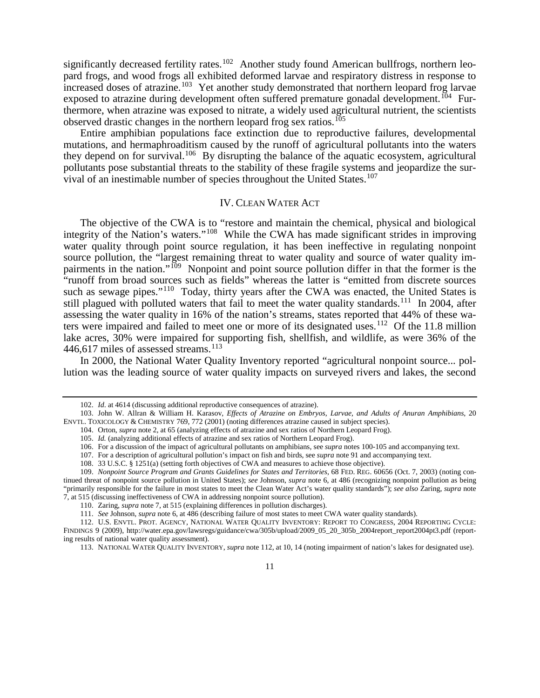significantly decreased fertility rates.<sup>102</sup> Another study found American bullfrogs, northern leopard frogs, and wood frogs all exhibited deformed larvae and respiratory distress in response to increased doses of atrazine.<sup>[103](#page-12-5)</sup> Yet another study demonstrated that northern leopard frog larvae exposed to atrazine during development often suffered premature gonadal development.<sup>[104](#page-12-6)</sup> Furthermore, when atrazine was exposed to nitrate, a widely used agricultural nutrient, the scientists observed drastic changes in the northern leopard frog sex ratios.<sup>[105](#page-12-7)</sup>

Entire amphibian populations face extinction due to reproductive failures, developmental mutations, and hermaphroaditism caused by the runoff of agricultural pollutants into the waters they depend on for survival.<sup>[106](#page-12-8)</sup> By disrupting the balance of the aquatic ecosystem, agricultural pollutants pose substantial threats to the stability of these fragile systems and jeopardize the sur-vival of an inestimable number of species throughout the United States.<sup>[107](#page-12-9)</sup>

## <span id="page-12-16"></span><span id="page-12-3"></span><span id="page-12-2"></span><span id="page-12-1"></span><span id="page-12-0"></span>IV. CLEAN WATER ACT

The objective of the CWA is to "restore and maintain the chemical, physical and biological integrity of the Nation's waters."[108](#page-12-10) While the CWA has made significant strides in improving water quality through point source regulation, it has been ineffective in regulating nonpoint source pollution, the "largest remaining threat to water quality and source of water quality impairments in the nation."<sup>109</sup> Nonpoint and point source pollution differ in that the former is the "runoff from broad sources such as fields" whereas the latter is "emitted from discrete sources such as sewage pipes."<sup>110</sup> Today, thirty years after the CWA was enacted, the United States is still plagued with polluted waters that fail to meet the water quality standards.<sup>[111](#page-12-13)</sup> In 2004, after assessing the water quality in 16% of the nation's streams, states reported that 44% of these waters were impaired and failed to meet one or more of its designated uses.<sup>112</sup> Of the 11.8 million lake acres, 30% were impaired for supporting fish, shellfish, and wildlife, as were 36% of the 446,617 miles of assessed streams.<sup>[113](#page-12-15)</sup>

In 2000, the National Water Quality Inventory reported "agricultural nonpoint source... pollution was the leading source of water quality impacts on surveyed rivers and lakes, the second

<sup>102.</sup> *Id*. at 4614 (discussing additional reproductive consequences of atrazine).

<span id="page-12-7"></span><span id="page-12-6"></span><span id="page-12-5"></span><span id="page-12-4"></span><sup>103.</sup> John W. Allran & William H. Karasov, *Effects of Atrazine on Embryos, Larvae, and Adults of Anuran Amphibians*, 20 ENVTL. TOXICOLOGY & CHEMISTRY 769, 772 (2001) (noting differences atrazine caused in subject species).

<sup>104.</sup> Orton, *supra* not[e 2,](#page-2-12) at 65 (analyzing effects of atrazine and sex ratios of Northern Leopard Frog).

<sup>105.</sup> *Id.* (analyzing additional effects of atrazine and sex ratios of Northern Leopard Frog).

<sup>106.</sup> For a discussion of the impact of agricultural pollutants on amphibians, see *supra* notes [100](#page-11-14)[-105](#page-12-2) and accompanying text.

<sup>107.</sup> For a description of agricultural pollution's impact on fish and birds, see *supra* not[e 91](#page-11-0) and accompanying text.

<sup>108.</sup> 33 U.S.C. § 1251(a) (setting forth objectives of CWA and measures to achieve those objective).

<span id="page-12-11"></span><span id="page-12-10"></span><span id="page-12-9"></span><span id="page-12-8"></span><sup>109.</sup> *Nonpoint Source Program and Grants Guidelines for States and Territories*, 68 FED. REG. 60656 (Oct. 7, 2003) (noting continued threat of nonpoint source pollution in United States); *see* Johnson, *supra* not[e 6,](#page-2-9) at 486 (recognizing nonpoint pollution as being "primarily responsible for the failure in most states to meet the Clean Water Act's water quality standards"); *see also* Zaring, *supra* note [7,](#page-3-11) at 515 (discussing ineffectiveness of CWA in addressing nonpoint source pollution).

<sup>110.</sup> Zaring, *supra* not[e 7,](#page-3-11) at 515 (explaining differences in pollution discharges).

<sup>111.</sup> *See* Johnson, *supra* not[e 6,](#page-2-9) at 486 (describing failure of most states to meet CWA water quality standards).

<span id="page-12-15"></span><span id="page-12-14"></span><span id="page-12-13"></span><span id="page-12-12"></span><sup>112.</sup> U.S. ENVTL. PROT. AGENCY, NATIONAL WATER QUALITY INVENTORY: REPORT TO CONGRESS, 2004 REPORTING CYCLE: FINDINGS 9 (2009), http://water.epa.gov/lawsregs/guidance/cwa/305b/upload/2009\_05\_20\_305b\_2004report\_report2004pt3.pdf (reporting results of national water quality assessment).

<sup>113.</sup> NATIONAL WATER QUALITY INVENTORY, *supra* not[e 112,](#page-12-3) at 10, 14 (noting impairment of nation's lakes for designated use).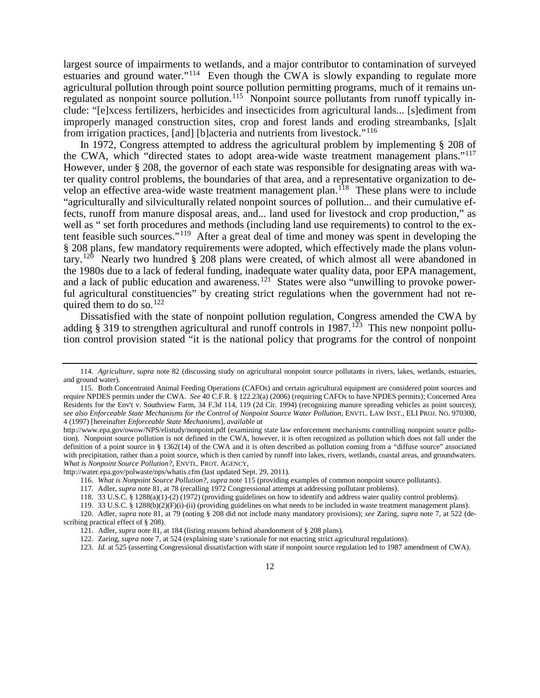<span id="page-13-0"></span>largest source of impairments to wetlands, and a major contributor to contamination of surveyed estuaries and ground water."<sup>114</sup> Even though the CWA is slowly expanding to regulate more agricultural pollution through point source pollution permitting programs, much of it remains unregulated as nonpoint source pollution.<sup>115</sup> Nonpoint source pollutants from runoff typically include: "[e]xcess fertilizers, herbicides and insecticides from agricultural lands... [s]ediment from improperly managed construction sites, crop and forest lands and eroding streambanks, [s]alt from irrigation practices, [and] [b]acteria and nutrients from livestock."[116](#page-13-3)

In 1972, Congress attempted to address the agricultural problem by implementing § 208 of the CWA, which "directed states to adopt area-wide waste treatment management plans."[117](#page-13-4) However, under § 208, the governor of each state was responsible for designating areas with water quality control problems, the boundaries of that area, and a representative organization to develop an effective area-wide waste treatment management plan.<sup>118</sup> These plans were to include "agriculturally and silviculturally related nonpoint sources of pollution... and their cumulative effects, runoff from manure disposal areas, and... land used for livestock and crop production," as well as " set forth procedures and methods (including land use requirements) to control to the extent feasible such sources."[119](#page-13-6) After a great deal of time and money was spent in developing the § 208 plans, few mandatory requirements were adopted, which effectively made the plans volun-tary.<sup>[120](#page-13-7)</sup> Nearly two hundred  $\S$  208 plans were created, of which almost all were abandoned in the 1980s due to a lack of federal funding, inadequate water quality data, poor EPA management, and a lack of public education and awareness.<sup>121</sup> States were also "unwilling to provoke powerful agricultural constituencies" by creating strict regulations when the government had not required them to do so. $^{122}$  $^{122}$  $^{122}$ 

Dissatisfied with the state of nonpoint pollution regulation, Congress amended the CWA by adding § 319 to strengthen agricultural and runoff controls in  $1987$ .<sup>[123](#page-13-10)</sup> This new nonpoint pollution control provision stated "it is the national policy that programs for the control of nonpoint

<span id="page-13-4"></span><span id="page-13-3"></span>http://water.epa.gov/polwaste/nps/whatis.cfm (last updated Sept. 29, 2011).

116. *What is Nonpoint Source Pollution?*, *supra* not[e 115](#page-13-0) (providing examples of common nonpoint source pollutants).

<span id="page-13-1"></span><sup>114.</sup> *Agriculture*, *supra* note [82](#page-10-11) (discussing study on agricultural nonpoint source pollutants in rivers, lakes, wetlands, estuaries, and ground water).

<span id="page-13-2"></span><sup>115.</sup> Both Concentrated Animal Feeding Operations (CAFOs) and certain agricultural equipment are considered point sources and require NPDES permits under the CWA. *See* 40 C.F.R. § 122.23(a) (2006) (requiring CAFOs to have NPDES permits); Concerned Area Residents for the Env't v. Southview Farm, 34 F.3d 114, 119 (2d Cir. 1994) (recognizing manure spreading vehicles as point sources); *see also Enforceable State Mechanisms for the Control of Nonpoint Source Water Pollution*, ENVTL. LAW INST., ELI PROJ. NO. 970300, 4 (1997) [hereinafter *Enforceable State Mechanisms*], *available at* 

http://www.epa.gov/owow/NPS/elistudy/nonpoint.pdf (examining state law enforcement mechanisms controlling nonpoint source pollution). Nonpoint source pollution is not defined in the CWA, however, it is often recognized as pollution which does not fall under the definition of a point source in § 1362(14) of the CWA and it is often described as pollution coming from a "diffuse source" associated with precipitation, rather than a point source, which is then carried by runoff into lakes, rivers, wetlands, coastal areas, and groundwaters. *What is Nonpoint Source Pollution?*, ENVTL. PROT. AGENCY,

<sup>117.</sup> Adler, *supra* not[e 81,](#page-10-0) at 78 (recalling 1972 Congressional attempt at addressing pollutant problems).

<sup>118.</sup> 33 U.S.C. § 1288(a)(1)-(2) (1972) (providing guidelines on how to identify and address water quality control problems).

<span id="page-13-10"></span><span id="page-13-9"></span><span id="page-13-8"></span><span id="page-13-7"></span><span id="page-13-6"></span><span id="page-13-5"></span><sup>119.</sup> 33 U.S.C. § 1288(b)(2)(F)(i)-(ii) (providing guidelines on what needs to be included in waste treatment management plans). 120. Adler, *supra* note [81,](#page-10-0) at 79 (noting § 208 did not include many mandatory provisions); *see* Zaring, *supra* not[e 7,](#page-3-11) at 522 (describing practical effect of § 208).

<sup>121.</sup> Adler, *supra* not[e 81,](#page-10-0) at 184 (listing reasons behind abandonment of § 208 plans).

<sup>122.</sup> Zaring, *supra* not[e 7,](#page-3-11) at 524 (explaining state's rationale for not enacting strict agricultural regulations).

<sup>123.</sup> *Id.* at 525 (asserting Congressional dissatisfaction with state if nonpoint source regulation led to 1987 amendment of CWA).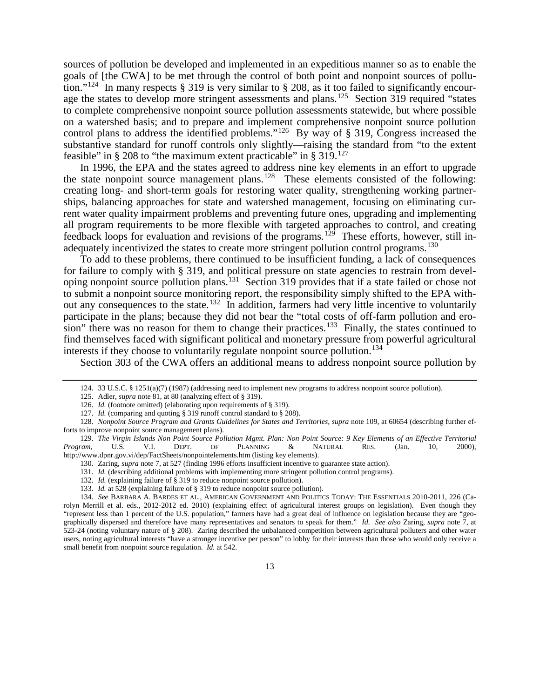sources of pollution be developed and implemented in an expeditious manner so as to enable the goals of [the CWA] to be met through the control of both point and nonpoint sources of pollution."[124](#page-14-0) In many respects § 319 is very similar to § 208, as it too failed to significantly encour-age the states to develop more stringent assessments and plans.<sup>[125](#page-14-1)</sup> Section 319 required "states" to complete comprehensive nonpoint source pollution assessments statewide, but where possible on a watershed basis; and to prepare and implement comprehensive nonpoint source pollution control plans to address the identified problems."<sup>126</sup> By way of § 319, Congress increased the substantive standard for runoff controls only slightly—raising the standard from "to the extent feasible" in § 208 to "the maximum extent practicable" in §  $319$ <sup>[127](#page-14-3)</sup>

In 1996, the EPA and the states agreed to address nine key elements in an effort to upgrade the state nonpoint source management plans.<sup>128</sup> These elements consisted of the following: creating long- and short-term goals for restoring water quality, strengthening working partnerships, balancing approaches for state and watershed management, focusing on eliminating current water quality impairment problems and preventing future ones, upgrading and implementing all program requirements to be more flexible with targeted approaches to control, and creating feedback loops for evaluation and revisions of the programs.<sup>[129](#page-14-5)</sup> These efforts, however, still in-adequately incentivized the states to create more stringent pollution control programs.<sup>[130](#page-14-6)</sup>

To add to these problems, there continued to be insufficient funding, a lack of consequences for failure to comply with § 319, and political pressure on state agencies to restrain from developing nonpoint source pollution plans.[131](#page-14-7) Section 319 provides that if a state failed or chose not to submit a nonpoint source monitoring report, the responsibility simply shifted to the EPA without any consequences to the state.<sup>132</sup> In addition, farmers had very little incentive to voluntarily participate in the plans; because they did not bear the "total costs of off-farm pollution and erosion" there was no reason for them to change their practices.<sup>133</sup> Finally, the states continued to find themselves faced with significant political and monetary pressure from powerful agricultural interests if they choose to voluntarily regulate nonpoint source pollution.<sup>[134](#page-14-10)</sup>

<span id="page-14-11"></span>Section 303 of the CWA offers an additional means to address nonpoint source pollution by

<sup>124.</sup> 33 U.S.C. § 1251(a)(7) (1987) (addressing need to implement new programs to address nonpoint source pollution).

<sup>125.</sup> Adler, *supra* not[e 81,](#page-10-0) at 80 (analyzing effect of § 319).

<sup>126.</sup> *Id.* (footnote omitted) (elaborating upon requirements of § 319).

<sup>127.</sup> *Id.* (comparing and quoting § 319 runoff control standard to § 208).

<span id="page-14-4"></span><span id="page-14-3"></span><span id="page-14-2"></span><span id="page-14-1"></span><span id="page-14-0"></span><sup>128.</sup> *Nonpoint Source Program and Grants Guidelines for States and Territories*, *supra* note [109,](#page-12-16) at 60654 (describing further efforts to improve nonpoint source management plans).

<span id="page-14-6"></span><span id="page-14-5"></span><sup>129.</sup> *The Virgin Islands Non Point Source Pollution Mgmt. Plan: Non Point Source: 9 Key Elements of an Effective Territorial Program*, U.S. V.I. DEPT. OF PLANNING & NATURAL RES. (Jan. 10, 2000), http://www.dpnr.gov.vi/dep/FactSheets/nonpointelements.htm (listing key elements).

<sup>130.</sup> Zaring, *supra* not[e 7,](#page-3-11) at 527 (finding 1996 efforts insufficient incentive to guarantee state action).

<sup>131.</sup> *Id.* (describing additional problems with implementing more stringent pollution control programs).

<sup>132.</sup> *Id.* (explaining failure of § 319 to reduce nonpoint source pollution).

<sup>133.</sup> *Id.* at 528 (explaining failure of § 319 to reduce nonpoint source pollution).

<span id="page-14-10"></span><span id="page-14-9"></span><span id="page-14-8"></span><span id="page-14-7"></span><sup>134.</sup> *See* BARBARA A. BARDES ET AL., AMERICAN GOVERNMENT AND POLITICS TODAY: THE ESSENTIALS 2010-2011, 226 (Carolyn Merrill et al. eds., 2012-2012 ed. 2010) (explaining effect of agricultural interest groups on legislation). Even though they "represent less than 1 percent of the U.S. population," farmers have had a great deal of influence on legislation because they are "geographically dispersed and therefore have many representatives and senators to speak for them." *Id. See also* Zaring, *supra* note [7,](#page-3-11) at 523-24 (noting voluntary nature of § 208). Zaring described the unbalanced competition between agricultural polluters and other water users, noting agricultural interests "have a stronger incentive per person" to lobby for their interests than those who would only receive a small benefit from nonpoint source regulation. *Id.* at 542.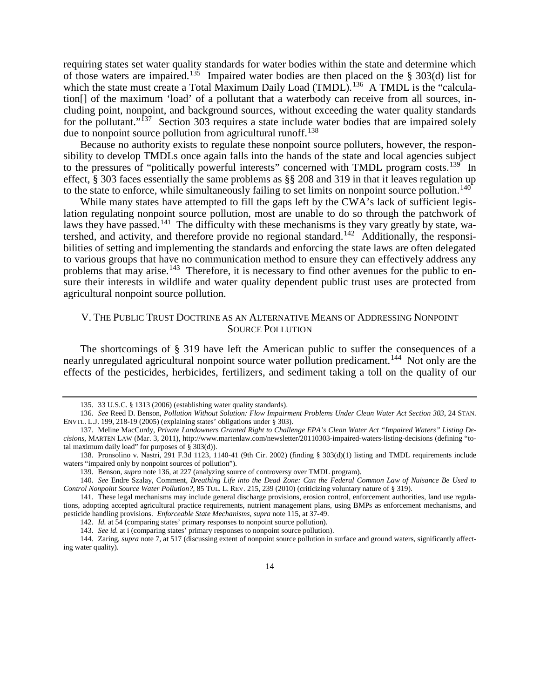<span id="page-15-2"></span>requiring states set water quality standards for water bodies within the state and determine which of those waters are impaired.<sup>135</sup> Impaired water bodies are then placed on the § 303(d) list for which the state must create a Total Maximum Daily Load (TMDL).<sup>[136](#page-15-4)</sup> A TMDL is the "calculation[] of the maximum 'load' of a pollutant that a waterbody can receive from all sources, including point, nonpoint, and background sources, without exceeding the water quality standards for the pollutant."<sup>[137](#page-15-5)</sup> Section 303 requires a state include water bodies that are impaired solely due to nonpoint source pollution from agricultural runoff.<sup>[138](#page-15-6)</sup>

Because no authority exists to regulate these nonpoint source polluters, however, the responsibility to develop TMDLs once again falls into the hands of the state and local agencies subject to the pressures of "politically powerful interests" concerned with TMDL program costs.<sup>[139](#page-15-7)</sup> In effect, § 303 faces essentially the same problems as §§ 208 and 319 in that it leaves regulation up to the state to enforce, while simultaneously failing to set limits on nonpoint source pollution.<sup>[140](#page-15-8)</sup>

<span id="page-15-13"></span>While many states have attempted to fill the gaps left by the CWA's lack of sufficient legislation regulating nonpoint source pollution, most are unable to do so through the patchwork of laws they have passed.<sup>[141](#page-15-9)</sup> The difficulty with these mechanisms is they vary greatly by state, wa-tershed, and activity, and therefore provide no regional standard.<sup>[142](#page-15-10)</sup> Additionally, the responsibilities of setting and implementing the standards and enforcing the state laws are often delegated to various groups that have no communication method to ensure they can effectively address any problems that may arise.<sup>[143](#page-15-11)</sup> Therefore, it is necessary to find other avenues for the public to ensure their interests in wildlife and water quality dependent public trust uses are protected from agricultural nonpoint source pollution.

## <span id="page-15-1"></span><span id="page-15-0"></span>V. THE PUBLIC TRUST DOCTRINE AS AN ALTERNATIVE MEANS OF ADDRESSING NONPOINT SOURCE POLLUTION

The shortcomings of § 319 have left the American public to suffer the consequences of a nearly unregulated agricultural nonpoint source water pollution predicament.<sup>[144](#page-15-12)</sup> Not only are the effects of the pesticides, herbicides, fertilizers, and sediment taking a toll on the quality of our

<sup>135.</sup> 33 U.S.C. § 1313 (2006) (establishing water quality standards).

<span id="page-15-4"></span><span id="page-15-3"></span><sup>136.</sup> *See* Reed D. Benson, *Pollution Without Solution: Flow Impairment Problems Under Clean Water Act Section 303*, 24 STAN. ENVTL. L.J. 199, 218-19 (2005) (explaining states' obligations under § 303).

<span id="page-15-5"></span><sup>137.</sup> Meline MacCurdy, *Private Landowners Granted Right to Challenge EPA's Clean Water Act "Impaired Waters" Listing Decisions*, MARTEN LAW (Mar. 3, 2011), http://www.martenlaw.com/newsletter/20110303-impaired-waters-listing-decisions (defining "total maximum daily load" for purposes of § 303(d)).

<span id="page-15-6"></span><sup>138.</sup> Pronsolino v. Nastri, 291 F.3d 1123, 1140-41 (9th Cir. 2002) (finding § 303(d)(1) listing and TMDL requirements include waters "impaired only by nonpoint sources of pollution").

<sup>139.</sup> Benson, *supra* not[e 136,](#page-15-2) at 227 (analyzing source of controversy over TMDL program).

<span id="page-15-8"></span><span id="page-15-7"></span><sup>140.</sup> *See* Endre Szalay, Comment, *Breathing Life into the Dead Zone: Can the Federal Common Law of Nuisance Be Used to Control Nonpoint Source Water Pollution?*, 85 TUL. L. REV. 215, 239 (2010) (criticizing voluntary nature of § 319).

<span id="page-15-9"></span><sup>141.</sup> These legal mechanisms may include general discharge provisions, erosion control, enforcement authorities, land use regulations, adopting accepted agricultural practice requirements, nutrient management plans, using BMPs as enforcement mechanisms, and pesticide handling provisions. *Enforceable State Mechanisms*, *supra* note [115,](#page-13-0) at 37-49.

<sup>142.</sup> *Id.* at 54 (comparing states' primary responses to nonpoint source pollution).

<sup>143.</sup> *See id.* at i (comparing states' primary responses to nonpoint source pollution).

<span id="page-15-12"></span><span id="page-15-11"></span><span id="page-15-10"></span><sup>144.</sup> Zaring, *supra* not[e 7,](#page-3-11) at 517 (discussing extent of nonpoint source pollution in surface and ground waters, significantly affecting water quality).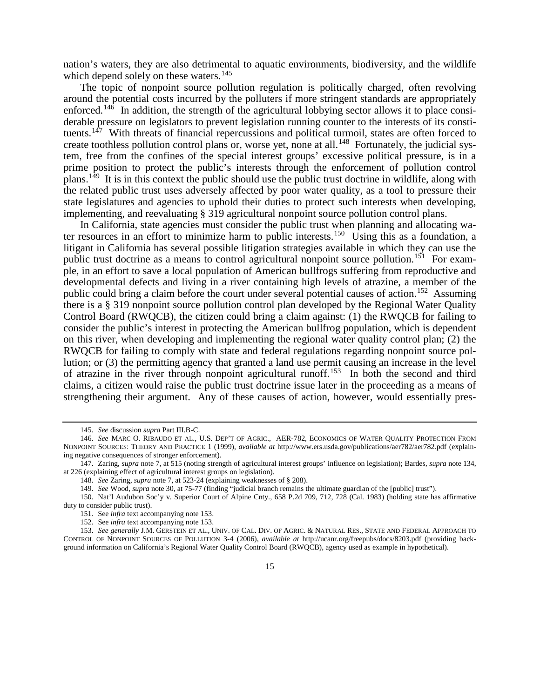nation's waters, they are also detrimental to aquatic environments, biodiversity, and the wildlife which depend solely on these waters.<sup>[145](#page-16-1)</sup>

The topic of nonpoint source pollution regulation is politically charged, often revolving around the potential costs incurred by the polluters if more stringent standards are appropriately enforced.<sup>146</sup> In addition, the strength of the agricultural lobbying sector allows it to place considerable pressure on legislators to prevent legislation running counter to the interests of its consti-tuents.<sup>[147](#page-16-3)</sup> With threats of financial repercussions and political turmoil, states are often forced to create toothless pollution control plans or, worse yet, none at all.<sup>[148](#page-16-4)</sup> Fortunately, the judicial system, free from the confines of the special interest groups' excessive political pressure, is in a prime position to protect the public's interests through the enforcement of pollution control plans.[149](#page-16-5) It is in this context the public should use the public trust doctrine in wildlife, along with the related public trust uses adversely affected by poor water quality, as a tool to pressure their state legislatures and agencies to uphold their duties to protect such interests when developing, implementing, and reevaluating § 319 agricultural nonpoint source pollution control plans.

In California, state agencies must consider the public trust when planning and allocating wa-ter resources in an effort to minimize harm to public interests.<sup>[150](#page-16-6)</sup> Using this as a foundation, a litigant in California has several possible litigation strategies available in which they can use the public trust doctrine as a means to control agricultural nonpoint source pollution.<sup>[151](#page-16-7)</sup> For example, in an effort to save a local population of American bullfrogs suffering from reproductive and developmental defects and living in a river containing high levels of atrazine, a member of the public could bring a claim before the court under several potential causes of action.<sup>[152](#page-16-8)</sup> Assuming there is a § 319 nonpoint source pollution control plan developed by the Regional Water Quality Control Board (RWQCB), the citizen could bring a claim against: (1) the RWQCB for failing to consider the public's interest in protecting the American bullfrog population, which is dependent on this river, when developing and implementing the regional water quality control plan; (2) the RWQCB for failing to comply with state and federal regulations regarding nonpoint source pollution; or (3) the permitting agency that granted a land use permit causing an increase in the level of atrazine in the river through nonpoint agricultural runoff.[153](#page-16-9) In both the second and third claims, a citizen would raise the public trust doctrine issue later in the proceeding as a means of strengthening their argument. Any of these causes of action, however, would essentially pres-

<span id="page-16-0"></span><sup>145.</sup> *See* discussion *supra* Part III.B-C.

<span id="page-16-2"></span><span id="page-16-1"></span><sup>146.</sup> *See* MARC O. RIBAUDO ET AL., U.S. DEP'T OF AGRIC., AER-782, ECONOMICS OF WATER QUALITY PROTECTION FROM NONPOINT SOURCES: THEORY AND PRACTICE 1 (1999), *available at* http://www.ers.usda.gov/publications/aer782/aer782.pdf (explaining negative consequences of stronger enforcement).

<span id="page-16-4"></span><span id="page-16-3"></span><sup>147.</sup> Zaring, *supra* not[e 7,](#page-3-11) at 515 (noting strength of agricultural interest groups' influence on legislation); Bardes, *supra* not[e 134,](#page-14-11) at 226 (explaining effect of agricultural interest groups on legislation).

<sup>148.</sup> *See* Zaring, *supra* not[e 7,](#page-3-11) at 523-24 (explaining weaknesses of § 208).

<sup>149.</sup> *See* Wood, *supra* not[e 30,](#page-5-0) at 75-77 (finding "judicial branch remains the ultimate guardian of the [public] trust").

<span id="page-16-7"></span><span id="page-16-6"></span><span id="page-16-5"></span><sup>150.</sup> Nat'l Audubon Soc'y v. Superior Court of Alpine Cnty., 658 P.2d 709, 712, 728 (Cal. 1983) (holding state has affirmative duty to consider public trust).

<sup>151.</sup> See *infra* text accompanying not[e 153.](#page-16-0)

<sup>152.</sup> See *infra* text accompanying not[e 153.](#page-16-0)

<span id="page-16-9"></span><span id="page-16-8"></span><sup>153.</sup> *See generally* J.M. GERSTEIN ET AL., UNIV. OF CAL. DIV. OF AGRIC. & NATURAL RES., STATE AND FEDERAL APPROACH TO CONTROL OF NONPOINT SOURCES OF POLLUTION 3-4 (2006), *available at* http://ucanr.org/freepubs/docs/8203.pdf (providing background information on California's Regional Water Quality Control Board (RWQCB), agency used as example in hypothetical).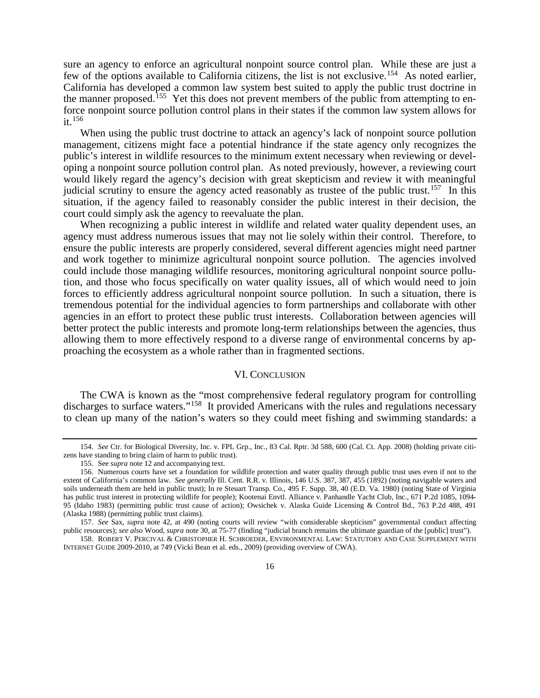sure an agency to enforce an agricultural nonpoint source control plan. While these are just a few of the options available to California citizens, the list is not exclusive.<sup>[154](#page-17-2)</sup> As noted earlier, California has developed a common law system best suited to apply the public trust doctrine in the manner proposed.<sup>155</sup> Yet this does not prevent members of the public from attempting to enforce nonpoint source pollution control plans in their states if the common law system allows for it.[156](#page-17-4)

<span id="page-17-1"></span>When using the public trust doctrine to attack an agency's lack of nonpoint source pollution management, citizens might face a potential hindrance if the state agency only recognizes the public's interest in wildlife resources to the minimum extent necessary when reviewing or developing a nonpoint source pollution control plan. As noted previously, however, a reviewing court would likely regard the agency's decision with great skepticism and review it with meaningful judicial scrutiny to ensure the agency acted reasonably as trustee of the public trust.<sup>157</sup> In this situation, if the agency failed to reasonably consider the public interest in their decision, the court could simply ask the agency to reevaluate the plan.

When recognizing a public interest in wildlife and related water quality dependent uses, an agency must address numerous issues that may not lie solely within their control. Therefore, to ensure the public interests are properly considered, several different agencies might need partner and work together to minimize agricultural nonpoint source pollution. The agencies involved could include those managing wildlife resources, monitoring agricultural nonpoint source pollution, and those who focus specifically on water quality issues, all of which would need to join forces to efficiently address agricultural nonpoint source pollution. In such a situation, there is tremendous potential for the individual agencies to form partnerships and collaborate with other agencies in an effort to protect these public trust interests. Collaboration between agencies will better protect the public interests and promote long-term relationships between the agencies, thus allowing them to more effectively respond to a diverse range of environmental concerns by approaching the ecosystem as a whole rather than in fragmented sections.

#### <span id="page-17-0"></span>VI. CONCLUSION

The CWA is known as the "most comprehensive federal regulatory program for controlling discharges to surface waters."<sup>158</sup> It provided Americans with the rules and regulations necessary to clean up many of the nation's waters so they could meet fishing and swimming standards: a

<span id="page-17-2"></span><sup>154.</sup> *See* Ctr. for Biological Diversity, Inc. v. FPL Grp., Inc., 83 Cal. Rptr. 3d 588, 600 (Cal. Ct. App. 2008) (holding private citizens have standing to bring claim of harm to public trust).

<sup>155.</sup> See *supra* not[e 12](#page-3-12) and accompanying text.

<span id="page-17-4"></span><span id="page-17-3"></span><sup>156.</sup> Numerous courts have set a foundation for wildlife protection and water quality through public trust uses even if not to the extent of California's common law. *See generally* Ill. Cent. R.R. v. Illinois, 146 U.S. 387, 387, 455 (1892) (noting navigable waters and soils underneath them are held in public trust); In re Steuart Transp. Co., 495 F. Supp. 38, 40 (E.D. Va. 1980) (noting State of Virginia has public trust interest in protecting wildlife for people); Kootenai Envtl. Alliance v. Panhandle Yacht Club, Inc., 671 P.2d 1085, 1094- 95 (Idaho 1983) (permitting public trust cause of action); Owsichek v. Alaska Guide Licensing & Control Bd., 763 P.2d 488, 491 (Alaska 1988) (permitting public trust claims).

<span id="page-17-5"></span><sup>157.</sup> *See* Sax, *supra* note [42,](#page-6-1) at 490 (noting courts will review "with considerable skepticism" governmental conduct affecting public resources); *see also* Wood, *supra* not[e 30,](#page-5-0) at 75-77 (finding "judicial branch remains the ultimate guardian of the [public] trust").

<span id="page-17-6"></span><sup>158.</sup> ROBERT V. PERCIVAL & CHRISTOPHER H. SCHROEDER, ENVIRONMENTAL LAW: STATUTORY AND CASE SUPPLEMENT WITH INTERNET GUIDE 2009-2010, at 749 (Vicki Bean et al. eds., 2009) (providing overview of CWA).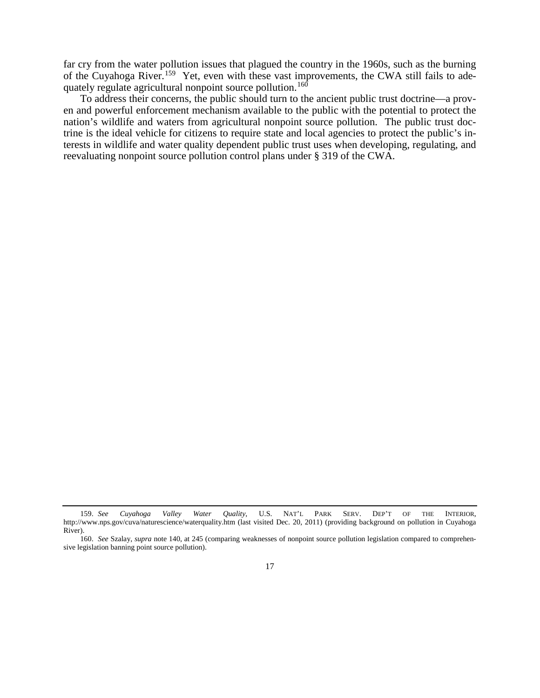far cry from the water pollution issues that plagued the country in the 1960s, such as the burning of the Cuyahoga River.[159](#page-18-0) Yet, even with these vast improvements, the CWA still fails to ade-quately regulate agricultural nonpoint source pollution.<sup>[160](#page-18-1)</sup>

To address their concerns, the public should turn to the ancient public trust doctrine—a proven and powerful enforcement mechanism available to the public with the potential to protect the nation's wildlife and waters from agricultural nonpoint source pollution. The public trust doctrine is the ideal vehicle for citizens to require state and local agencies to protect the public's interests in wildlife and water quality dependent public trust uses when developing, regulating, and reevaluating nonpoint source pollution control plans under § 319 of the CWA.

<span id="page-18-0"></span><sup>159.</sup> *See Cuyahoga Valley Water Quality*, U.S. NAT'L PARK SERV. DEP'T OF THE INTERIOR, http://www.nps.gov/cuva/naturescience/waterquality.htm (last visited Dec. 20, 2011) (providing background on pollution in Cuyahoga River).

<span id="page-18-1"></span><sup>160.</sup> *See* Szalay, *supra* not[e 140,](#page-15-13) at 245 (comparing weaknesses of nonpoint source pollution legislation compared to comprehensive legislation banning point source pollution).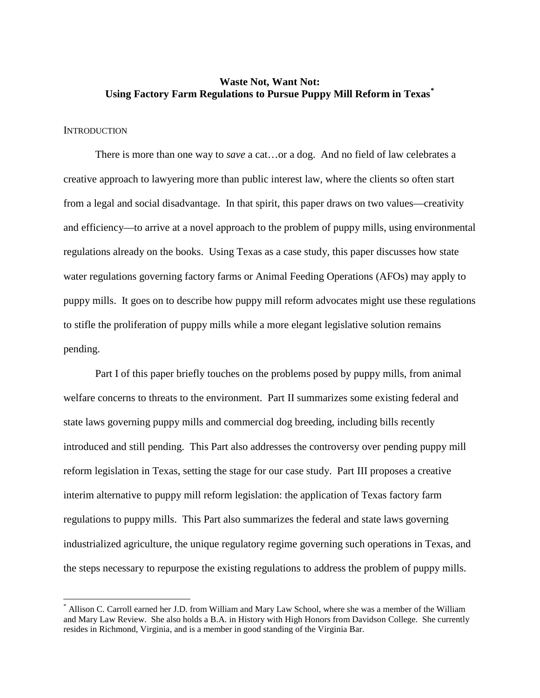## **Waste Not, Want Not: Using Factory Farm Regulations to Pursue Puppy Mill Reform in Texas[\\*](#page-19-0)**

## **INTRODUCTION**

There is more than one way to *save* a cat…or a dog. And no field of law celebrates a creative approach to lawyering more than public interest law, where the clients so often start from a legal and social disadvantage. In that spirit, this paper draws on two values—creativity and efficiency—to arrive at a novel approach to the problem of puppy mills, using environmental regulations already on the books. Using Texas as a case study, this paper discusses how state water regulations governing factory farms or Animal Feeding Operations (AFOs) may apply to puppy mills. It goes on to describe how puppy mill reform advocates might use these regulations to stifle the proliferation of puppy mills while a more elegant legislative solution remains pending.

Part I of this paper briefly touches on the problems posed by puppy mills, from animal welfare concerns to threats to the environment. Part II summarizes some existing federal and state laws governing puppy mills and commercial dog breeding, including bills recently introduced and still pending. This Part also addresses the controversy over pending puppy mill reform legislation in Texas, setting the stage for our case study. Part III proposes a creative interim alternative to puppy mill reform legislation: the application of Texas factory farm regulations to puppy mills. This Part also summarizes the federal and state laws governing industrialized agriculture, the unique regulatory regime governing such operations in Texas, and the steps necessary to repurpose the existing regulations to address the problem of puppy mills.

<span id="page-19-0"></span>Allison C. Carroll earned her J.D. from William and Mary Law School, where she was a member of the William and Mary Law Review. She also holds a B.A. in History with High Honors from Davidson College. She currently resides in Richmond, Virginia, and is a member in good standing of the Virginia Bar.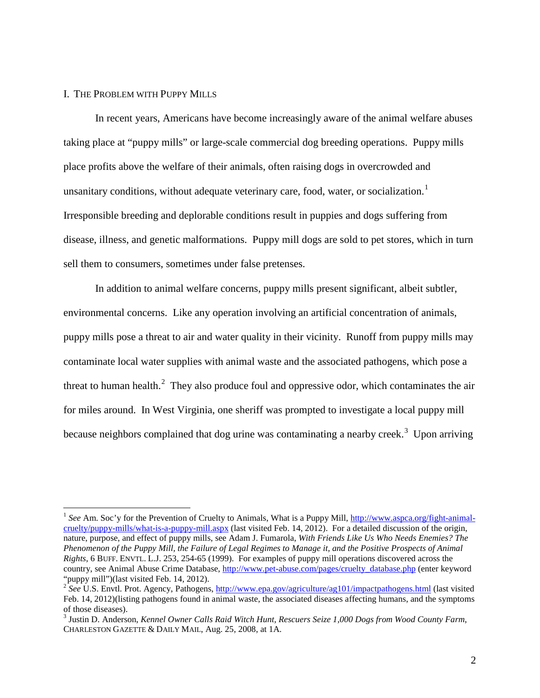#### I. THE PROBLEM WITH PUPPY MILLS

In recent years, Americans have become increasingly aware of the animal welfare abuses taking place at "puppy mills" or large-scale commercial dog breeding operations. Puppy mills place profits above the welfare of their animals, often raising dogs in overcrowded and unsanitary conditions, without adequate veterinary care, food, water, or socialization.<sup>[1](#page-20-0)</sup> Irresponsible breeding and deplorable conditions result in puppies and dogs suffering from disease, illness, and genetic malformations. Puppy mill dogs are sold to pet stores, which in turn sell them to consumers, sometimes under false pretenses.

In addition to animal welfare concerns, puppy mills present significant, albeit subtler, environmental concerns. Like any operation involving an artificial concentration of animals, puppy mills pose a threat to air and water quality in their vicinity. Runoff from puppy mills may contaminate local water supplies with animal waste and the associated pathogens, which pose a threat to human health. $^2$  $^2$  They also produce foul and oppressive odor, which contaminates the air for miles around. In West Virginia, one sheriff was prompted to investigate a local puppy mill because neighbors complained that dog urine was contaminating a nearby creek.<sup>[3](#page-20-2)</sup> Upon arriving

<span id="page-20-0"></span> <sup>1</sup> *See* Am. Soc'y for the Prevention of Cruelty to Animals, What is a Puppy Mill, [http://www.aspca.org/fight-animal](http://www.aspca.org/fight-animal-cruelty/puppy-mills/what-is-a-puppy-mill.aspx)[cruelty/puppy-mills/what-is-a-puppy-mill.aspx](http://www.aspca.org/fight-animal-cruelty/puppy-mills/what-is-a-puppy-mill.aspx) (last visited Feb. 14, 2012). For a detailed discussion of the origin, nature, purpose, and effect of puppy mills, see Adam J. Fumarola, *With Friends Like Us Who Needs Enemies? The Phenomenon of the Puppy Mill, the Failure of Legal Regimes to Manage it, and the Positive Prospects of Animal Rights*, 6 BUFF. ENVTL. L.J. 253, 254-65 (1999). For examples of puppy mill operations discovered across the country, see Animal Abuse Crime Database, [http://www.pet-abuse.com/pages/cruelty\\_database.php](http://www.pet-abuse.com/pages/cruelty_database.php) (enter keyword "puppy mill")(last visited Feb. 14, 2012).<br><sup>2</sup> See U.S. Envtl. Prot. Agency, Pathogens,<http://www.epa.gov/agriculture/ag101/impactpathogens.html> (last visited

<span id="page-20-1"></span>Feb. 14, 2012)(listing pathogens found in animal waste, the associated diseases affecting humans, and the symptoms of those diseases).

<span id="page-20-2"></span><sup>3</sup> Justin D. Anderson, *Kennel Owner Calls Raid Witch Hunt, Rescuers Seize 1,000 Dogs from Wood County Farm*, CHARLESTON GAZETTE & DAILY MAIL, Aug. 25, 2008, at 1A.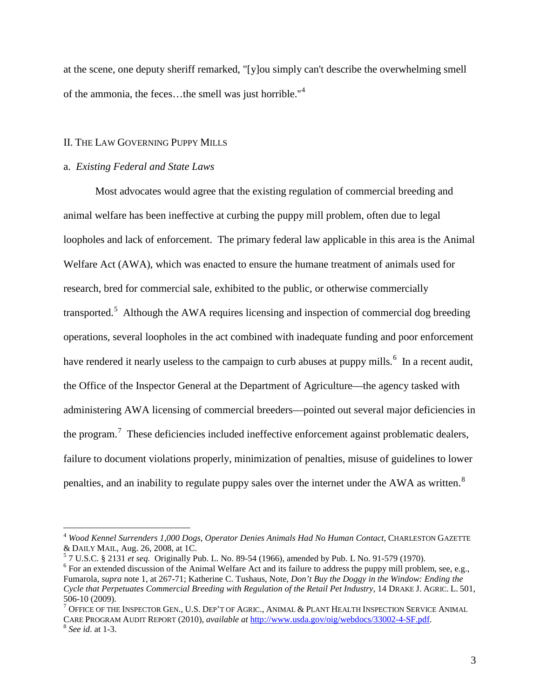at the scene, one deputy sheriff remarked, "[y]ou simply can't describe the overwhelming smell of the ammonia, the feces...the smell was just horrible."<sup>[4](#page-21-0)</sup>

## II. THE LAW GOVERNING PUPPY MILLS

## a. *Existing Federal and State Laws*

Most advocates would agree that the existing regulation of commercial breeding and animal welfare has been ineffective at curbing the puppy mill problem, often due to legal loopholes and lack of enforcement. The primary federal law applicable in this area is the Animal Welfare Act (AWA), which was enacted to ensure the humane treatment of animals used for research, bred for commercial sale, exhibited to the public, or otherwise commercially transported.<sup>[5](#page-21-1)</sup> Although the AWA requires licensing and inspection of commercial dog breeding operations, several loopholes in the act combined with inadequate funding and poor enforcement have rendered it nearly useless to the campaign to curb abuses at puppy mills.<sup>[6](#page-21-2)</sup> In a recent audit, the Office of the Inspector General at the Department of Agriculture—the agency tasked with administering AWA licensing of commercial breeders—pointed out several major deficiencies in the program.<sup>[7](#page-21-3)</sup> These deficiencies included ineffective enforcement against problematic dealers, failure to document violations properly, minimization of penalties, misuse of guidelines to lower penalties, and an inability to regulate puppy sales over the internet under the AWA as written.<sup>[8](#page-21-4)</sup>

<span id="page-21-0"></span><sup>&</sup>lt;sup>4</sup> Wood Kennel Surrenders 1,000 Dogs, Operator Denies Animals Had No Human Contact, CHARLESTON GAZETTE & DAILY MAIL, Aug. 26, 2008, at 1C.<br>
<sup>5</sup> 7 U.S.C. § 2131 *et seq.* Originally Pub. L. No. 89-54 (1966), amended by Pub. L No. 91-579 (1970).<br>
<sup>6</sup> For an extended discussion of the Animal Welfare Act and its failure to add

<span id="page-21-1"></span>

<span id="page-21-2"></span>Fumarola, *supra* note 1, at 267-71; Katherine C. Tushaus, Note, *Don't Buy the Doggy in the Window: Ending the Cycle that Perpetuates Commercial Breeding with Regulation of the Retail Pet Industry*, 14 DRAKE J. AGRIC. L. 501, 506-10 (2009).<br><sup>7</sup> Office of the Inspector Gen., U.S. Dep't of Agric., Animal & Plant Health Inspection Service Animal

<span id="page-21-4"></span><span id="page-21-3"></span>CARE PROGRAM AUDIT REPORT (2010), *available at* [http://www.usda.gov/oig/webdocs/33002-4-SF.pdf.](http://www.usda.gov/oig/webdocs/33002-4-SF.pdf) <sup>8</sup> *See id*. at 1-3.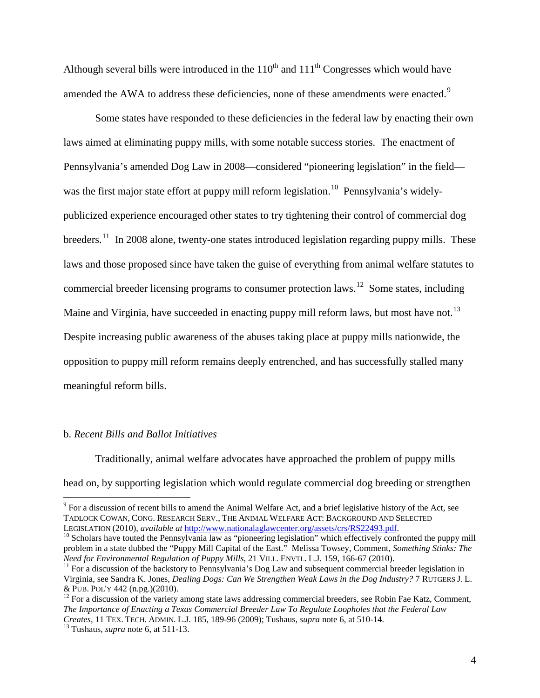Although several bills were introduced in the  $110<sup>th</sup>$  and  $111<sup>th</sup>$  Congresses which would have amended the AWA to address these deficiencies, none of these amendments were enacted.<sup>[9](#page-22-0)</sup>

Some states have responded to these deficiencies in the federal law by enacting their own laws aimed at eliminating puppy mills, with some notable success stories. The enactment of Pennsylvania's amended Dog Law in 2008—considered "pioneering legislation" in the field was the first major state effort at puppy mill reform legislation.<sup>10</sup> Pennsylvania's widelypublicized experience encouraged other states to try tightening their control of commercial dog breeders.<sup>[11](#page-22-2)</sup> In 2008 alone, twenty-one states introduced legislation regarding puppy mills. These laws and those proposed since have taken the guise of everything from animal welfare statutes to commercial breeder licensing programs to consumer protection laws.[12](#page-22-3) Some states, including Maine and Virginia, have succeeded in enacting puppy mill reform laws, but most have not.<sup>[13](#page-22-4)</sup> Despite increasing public awareness of the abuses taking place at puppy mills nationwide, the opposition to puppy mill reform remains deeply entrenched, and has successfully stalled many meaningful reform bills.

## b. *Recent Bills and Ballot Initiatives*

Traditionally, animal welfare advocates have approached the problem of puppy mills head on, by supporting legislation which would regulate commercial dog breeding or strengthen

<span id="page-22-0"></span><sup>&</sup>lt;sup>9</sup> For a discussion of recent bills to amend the Animal Welfare Act, and a brief legislative history of the Act, see TADLOCK COWAN, CONG. RESEARCH SERV., THE ANIMAL WELFARE ACT: BACKGROUND AND SELECTED<br>LEGISLATION (2010), *available at http://www.nationalaglawcenter.org/assets/crs/RS22493.pdf.* 

<span id="page-22-1"></span><sup>&</sup>lt;sup>10</sup> Scholars have touted the Pennsylvania law as "pioneering legislation" which effectively confronted the puppy mill problem in a state dubbed the "Puppy Mill Capital of the East." Melissa Towsey, Comment, *Something Stinks: The Need for Environmental Regulation of Puppy Mills*, 21 VILL. ENVTL. L.J. 159, 166-67 (2010).

<span id="page-22-2"></span><sup>&</sup>lt;sup>11</sup> For a discussion of the backstory to Pennsylvania's Dog Law and subsequent commercial breeder legislation in Virginia, see Sandra K. Jones, *Dealing Dogs: Can We Strengthen Weak Laws in the Dog Industry?* 7 RUTGERS J. L. & PUB. POL'Y 442 (n.pg.)(2010). <sup>12</sup> For a discussion of the variety among state laws addressing commercial breeders, see Robin Fae Katz, Comment,

<span id="page-22-3"></span>*The Importance of Enacting a Texas Commercial Breeder Law To Regulate Loopholes that the Federal Law Creates*, 11 TEX. TECH. ADMIN. L.J. 185, 189-96 (2009); Tushaus, *supra* note 6, at 510-14. 13 Tushaus, *supra* note 6, at 511-13.

<span id="page-22-4"></span>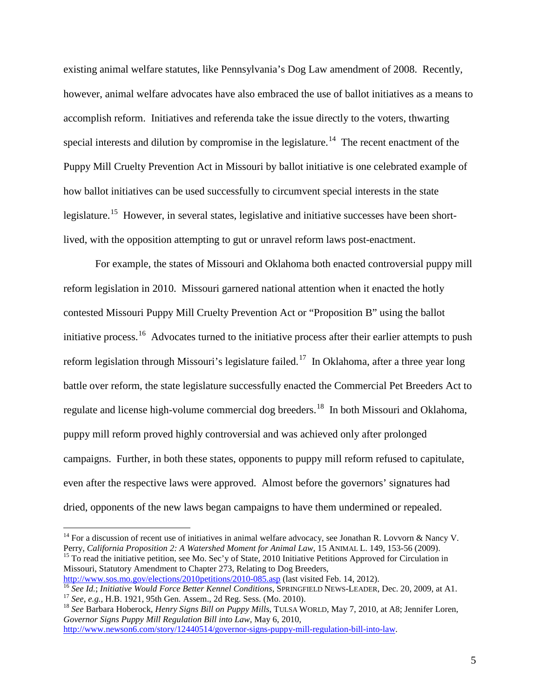existing animal welfare statutes, like Pennsylvania's Dog Law amendment of 2008. Recently, however, animal welfare advocates have also embraced the use of ballot initiatives as a means to accomplish reform. Initiatives and referenda take the issue directly to the voters, thwarting special interests and dilution by compromise in the legislature.<sup>[14](#page-23-0)</sup> The recent enactment of the Puppy Mill Cruelty Prevention Act in Missouri by ballot initiative is one celebrated example of how ballot initiatives can be used successfully to circumvent special interests in the state legislature.<sup>15</sup> However, in several states, legislative and initiative successes have been shortlived, with the opposition attempting to gut or unravel reform laws post-enactment.

For example, the states of Missouri and Oklahoma both enacted controversial puppy mill reform legislation in 2010. Missouri garnered national attention when it enacted the hotly contested Missouri Puppy Mill Cruelty Prevention Act or "Proposition B" using the ballot initiative process.<sup>[16](#page-23-2)</sup> Advocates turned to the initiative process after their earlier attempts to push reform legislation through Missouri's legislature failed.<sup>[17](#page-23-3)</sup> In Oklahoma, after a three year long battle over reform, the state legislature successfully enacted the Commercial Pet Breeders Act to regulate and license high-volume commercial dog breeders.<sup>18</sup> In both Missouri and Oklahoma, puppy mill reform proved highly controversial and was achieved only after prolonged campaigns. Further, in both these states, opponents to puppy mill reform refused to capitulate, even after the respective laws were approved. Almost before the governors' signatures had dried, opponents of the new laws began campaigns to have them undermined or repealed.

<span id="page-23-1"></span>Missouri, Statutory Amendment to Chapter 273, Relating to Dog Breeders,<br>http://www.sos.mo.gov/elections/2010petitions/2010-085.asp (last visited Feb. 14, 2012).

[http://www.newson6.com/story/12440514/governor-signs-puppy-mill-regulation-bill-into-law.](http://www.newson6.com/story/12440514/governor-signs-puppy-mill-regulation-bill-into-law)

<span id="page-23-0"></span><sup>&</sup>lt;sup>14</sup> For a discussion of recent use of initiatives in animal welfare advocacy, see Jonathan R. Lovvorn & Nancy V. Perry, *California Proposition 2: A Watershed Moment for Animal Law*, 15 ANIMAL L. 149, 153-56 (2009). <sup>15</sup> To read the initiative petition, see Mo. Sec'y of State, 2010 Initiative Petitions Approved for Circulation in

<span id="page-23-2"></span><sup>&</sup>lt;sup>16</sup> See Id.; Initiative Would Force Better Kennel Conditions, SPRINGFIELD NEWS-LEADER, Dec. 20, 2009, at A1.<br><sup>17</sup> See, e.g., H.B. 1921, 95th Gen. Assem., 2d Reg. Sess. (Mo. 2010).<br><sup>18</sup> See Barbara Hoberock, *Henry Signs* 

<span id="page-23-4"></span><span id="page-23-3"></span>*Governor Signs Puppy Mill Regulation Bill into Law*, May 6, 2010,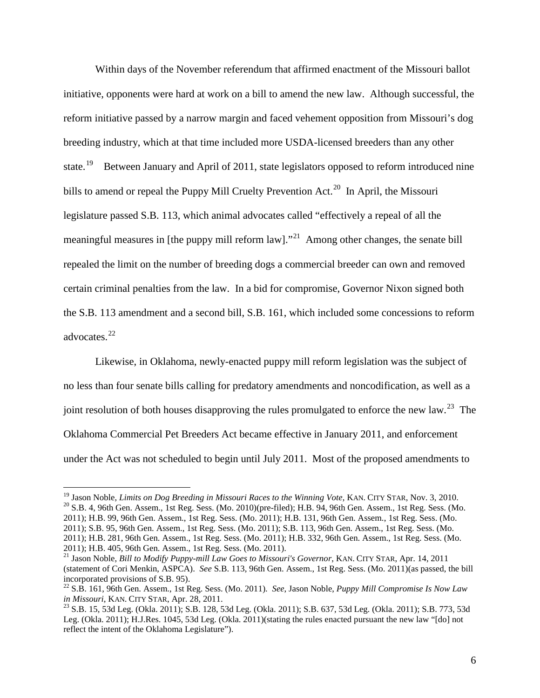Within days of the November referendum that affirmed enactment of the Missouri ballot initiative, opponents were hard at work on a bill to amend the new law. Although successful, the reform initiative passed by a narrow margin and faced vehement opposition from Missouri's dog breeding industry, which at that time included more USDA-licensed breeders than any other state.<sup>19</sup> Between January and April of 2011, state legislators opposed to reform introduced nine bills to amend or repeal the Puppy Mill Cruelty Prevention Act.<sup>[20](#page-24-1)</sup> In April, the Missouri legislature passed S.B. 113, which animal advocates called "effectively a repeal of all the meaningful measures in [the puppy mill reform law]."<sup>21</sup> Among other changes, the senate bill repealed the limit on the number of breeding dogs a commercial breeder can own and removed certain criminal penalties from the law. In a bid for compromise, Governor Nixon signed both the S.B. 113 amendment and a second bill, S.B. 161, which included some concessions to reform advocates. [22](#page-24-3)

Likewise, in Oklahoma, newly-enacted puppy mill reform legislation was the subject of no less than four senate bills calling for predatory amendments and noncodification, as well as a joint resolution of both houses disapproving the rules promulgated to enforce the new law.<sup>[23](#page-24-4)</sup> The Oklahoma Commercial Pet Breeders Act became effective in January 2011, and enforcement under the Act was not scheduled to begin until July 2011. Most of the proposed amendments to

<span id="page-24-1"></span><span id="page-24-0"></span><sup>&</sup>lt;sup>19</sup> Jason Noble, *Limits on Dog Breeding in Missouri Races to the Winning Vote*, KAN. CITY STAR, Nov. 3, 2010.<br><sup>20</sup> S.B. 4, 96th Gen. Assem., 1st Reg. Sess. (Mo. 2010)(pre-filed); H.B. 94, 96th Gen. Assem., 1st Reg. Sess 2011); H.B. 99, 96th Gen. Assem., 1st Reg. Sess. (Mo. 2011); H.B. 131, 96th Gen. Assem., 1st Reg. Sess. (Mo. 2011); S.B. 95, 96th Gen. Assem., 1st Reg. Sess. (Mo. 2011); S.B. 113, 96th Gen. Assem., 1st Reg. Sess. (Mo. 2011); H.B. 281, 96th Gen. Assem., 1st Reg. Sess. (Mo. 2011); H.B. 332, 96th Gen. Assem., 1st Reg. Sess. (Mo. 2011); H.B. 405, 96th Gen. Assem., 1st Reg. Sess. (Mo. 2011).

<span id="page-24-2"></span><sup>21</sup> Jason Noble, *Bill to Modify Puppy-mill Law Goes to Missouri's Governor*, KAN. CITY STAR, Apr. 14, 2011 (statement of Cori Menkin, ASPCA). *See* S.B. 113, 96th Gen. Assem., 1st Reg. Sess. (Mo. 2011)(as passed, the bill incorporated provisions of S.B. 95).

<span id="page-24-3"></span><sup>&</sup>lt;sup>22</sup> S.B. 161, 96th Gen. Assem., 1st Reg. Sess. (Mo. 2011). *See*, Jason Noble, *Puppy Mill Compromise Is Now Law in Missouri*, KAN. CITY STAR, Apr. 28, 2011.

<span id="page-24-4"></span><sup>&</sup>lt;sup>23</sup> S.B. 15, 53d Leg. (Okla. 2011); S.B. 128, 53d Leg. (Okla. 2011); S.B. 637, 53d Leg. (Okla. 2011); S.B. 773, 53d Leg. (Okla. 2011); H.J.Res. 1045, 53d Leg. (Okla. 2011)(stating the rules enacted pursuant the new law "[do] not reflect the intent of the Oklahoma Legislature").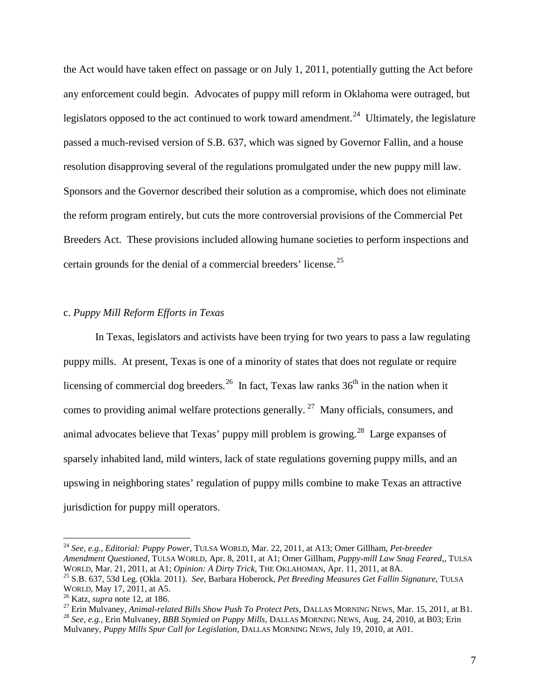the Act would have taken effect on passage or on July 1, 2011, potentially gutting the Act before any enforcement could begin. Advocates of puppy mill reform in Oklahoma were outraged, but legislators opposed to the act continued to work toward amendment.<sup>24</sup> Ultimately, the legislature passed a much-revised version of S.B. 637, which was signed by Governor Fallin, and a house resolution disapproving several of the regulations promulgated under the new puppy mill law. Sponsors and the Governor described their solution as a compromise, which does not eliminate the reform program entirely, but cuts the more controversial provisions of the Commercial Pet Breeders Act. These provisions included allowing humane societies to perform inspections and certain grounds for the denial of a commercial breeders' license.<sup>25</sup>

## c. *Puppy Mill Reform Efforts in Texas*

In Texas, legislators and activists have been trying for two years to pass a law regulating puppy mills. At present, Texas is one of a minority of states that does not regulate or require licensing of commercial dog breeders.<sup>[26](#page-25-2)</sup> In fact, Texas law ranks  $36<sup>th</sup>$  in the nation when it comes to providing animal welfare protections generally.<sup>[27](#page-25-3)</sup> Many officials, consumers, and animal advocates believe that Texas' puppy mill problem is growing.<sup>[28](#page-25-4)</sup> Large expanses of sparsely inhabited land, mild winters, lack of state regulations governing puppy mills, and an upswing in neighboring states' regulation of puppy mills combine to make Texas an attractive jurisdiction for puppy mill operators.

<span id="page-25-0"></span> <sup>24</sup> *See, e.g., Editorial: Puppy Power*, TULSA WORLD, Mar. 22, 2011, at A13; Omer Gillham, *Pet-breeder Amendment Questioned*, TULSA WORLD, Apr. 8, 2011, at A1; Omer Gillham, *Puppy-mill Law Snag Feared,*, TULSA <sup>25</sup> S.B. 637, 53d Leg. (Okla. 2011). *See*, Barbara Hoberock, *Pet Breeding Measures Get Fallin Signature*, TULSA WORLD, May 17, 2011, at A5.

<span id="page-25-3"></span><span id="page-25-2"></span><span id="page-25-1"></span><sup>&</sup>lt;sup>26</sup> Katz, *supra* note 12, at 186.<br><sup>27</sup> Erin Mulvaney, *Animal-related Bills Show Push To Protect Pets*, DALLAS MORNING NEWS, Mar. 15, 2011, at B1.<br><sup>28</sup> See, e.g., Erin Mulvaney, *BBB Stymied on Puppy Mills*, DALLAS MORN

<span id="page-25-4"></span>Mulvaney, *Puppy Mills Spur Call for Legislation*, DALLAS MORNING NEWS, July 19, 2010, at A01.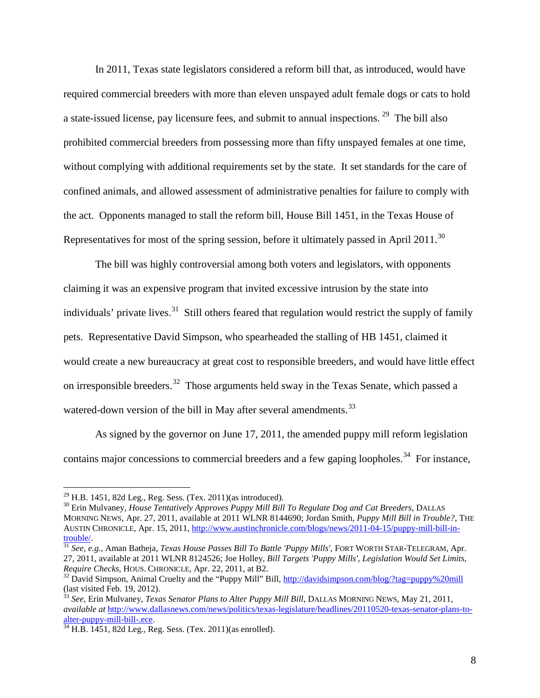In 2011, Texas state legislators considered a reform bill that, as introduced, would have required commercial breeders with more than eleven unspayed adult female dogs or cats to hold a state-issued license, pay licensure fees, and submit to annual inspections.<sup>29</sup> The bill also prohibited commercial breeders from possessing more than fifty unspayed females at one time, without complying with additional requirements set by the state. It set standards for the care of confined animals, and allowed assessment of administrative penalties for failure to comply with the act. Opponents managed to stall the reform bill, House Bill 1451, in the Texas House of Representatives for most of the spring session, before it ultimately passed in April 2011.<sup>30</sup>

The bill was highly controversial among both voters and legislators, with opponents claiming it was an expensive program that invited excessive intrusion by the state into individuals' private lives.<sup>31</sup> Still others feared that regulation would restrict the supply of family pets. Representative David Simpson, who spearheaded the stalling of HB 1451, claimed it would create a new bureaucracy at great cost to responsible breeders, and would have little effect on irresponsible breeders.<sup>[32](#page-26-3)</sup> Those arguments held sway in the Texas Senate, which passed a watered-down version of the bill in May after several amendments.<sup>[33](#page-26-4)</sup>

As signed by the governor on June 17, 2011, the amended puppy mill reform legislation contains major concessions to commercial breeders and a few gaping loopholes.<sup>34</sup> For instance,

<span id="page-26-1"></span>

<span id="page-26-0"></span><sup>&</sup>lt;sup>29</sup> H.B. 1451, 82d Leg., Reg. Sess. (Tex. 2011)(as introduced).<br><sup>30</sup> Erin Mulvaney, *House Tentatively Approves Puppy Mill Bill To Regulate Dog and Cat Breeders*, DALLAS MORNING NEWS, Apr. 27, 2011, available at 2011 WLNR 8144690; Jordan Smith, *Puppy Mill Bill in Trouble?*, THE AUSTIN CHRONICLE, Apr. 15, 2011, http://www.austinchronicle.com/blogs/news/2011-04-15/puppy-mill-bill-in-<br>trouble/.

<span id="page-26-2"></span><sup>&</sup>lt;sup>31</sup> *See, e.g.*, Aman Batheja, *Texas House Passes Bill To Battle 'Puppy Mills'*, FORT WORTH STAR-TELEGRAM, Apr. 27, 2011, available at 2011 WLNR 8124526; Joe Holley, *Bill Targets 'Puppy Mills', Legislation Would Set Limits,* 

<span id="page-26-3"></span><sup>&</sup>lt;sup>32</sup> David Simpson, Animal Cruelty and the "Puppy Mill" Bill,<http://davidsimpson.com/blog/?tag=puppy%20mill> (last visited Feb. 19, 2012).

<span id="page-26-4"></span><sup>33</sup> *See*, Erin Mulvaney, *Texas Senator Plans to Alter Puppy Mill Bill*, DALLAS MORNING NEWS, May 21, 2011, *available at http://www.dallasnews.com/news/politics/texas-legislature/headlines/20110520-texas-senator-plans-to-*<br>alter-puppy-mill-bill-.ece.

<span id="page-26-5"></span> $\frac{34 \text{ H.B. }1451, 82d \text{ Leg. }8 \text{ess. }(\text{Texas }2011)(\text{as enrolled}).$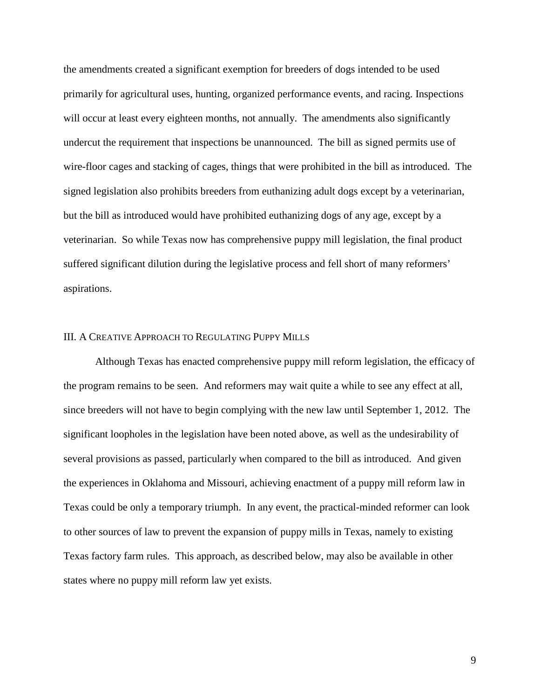the amendments created a significant exemption for breeders of dogs intended to be used primarily for agricultural uses, hunting, organized performance events, and racing. Inspections will occur at least every eighteen months, not annually. The amendments also significantly undercut the requirement that inspections be unannounced. The bill as signed permits use of wire-floor cages and stacking of cages, things that were prohibited in the bill as introduced. The signed legislation also prohibits breeders from euthanizing adult dogs except by a veterinarian, but the bill as introduced would have prohibited euthanizing dogs of any age, except by a veterinarian. So while Texas now has comprehensive puppy mill legislation, the final product suffered significant dilution during the legislative process and fell short of many reformers' aspirations.

## III. A CREATIVE APPROACH TO REGULATING PUPPY MILLS

Although Texas has enacted comprehensive puppy mill reform legislation, the efficacy of the program remains to be seen. And reformers may wait quite a while to see any effect at all, since breeders will not have to begin complying with the new law until September 1, 2012. The significant loopholes in the legislation have been noted above, as well as the undesirability of several provisions as passed, particularly when compared to the bill as introduced. And given the experiences in Oklahoma and Missouri, achieving enactment of a puppy mill reform law in Texas could be only a temporary triumph. In any event, the practical-minded reformer can look to other sources of law to prevent the expansion of puppy mills in Texas, namely to existing Texas factory farm rules. This approach, as described below, may also be available in other states where no puppy mill reform law yet exists.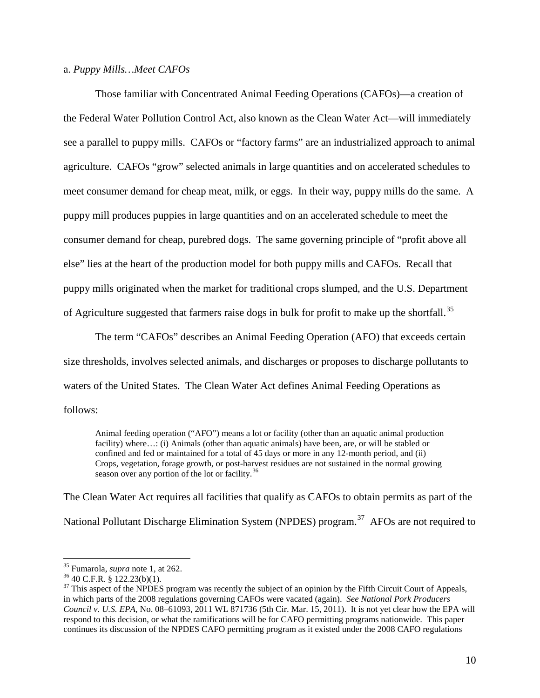## a. *Puppy Mills…Meet CAFOs*

Those familiar with Concentrated Animal Feeding Operations (CAFOs)—a creation of the Federal Water Pollution Control Act, also known as the Clean Water Act—will immediately see a parallel to puppy mills. CAFOs or "factory farms" are an industrialized approach to animal agriculture. CAFOs "grow" selected animals in large quantities and on accelerated schedules to meet consumer demand for cheap meat, milk, or eggs. In their way, puppy mills do the same. A puppy mill produces puppies in large quantities and on an accelerated schedule to meet the consumer demand for cheap, purebred dogs. The same governing principle of "profit above all else" lies at the heart of the production model for both puppy mills and CAFOs. Recall that puppy mills originated when the market for traditional crops slumped, and the U.S. Department of Agriculture suggested that farmers raise dogs in bulk for profit to make up the shortfall.<sup>35</sup>

The term "CAFOs" describes an Animal Feeding Operation (AFO) that exceeds certain size thresholds, involves selected animals, and discharges or proposes to discharge pollutants to waters of the United States. The Clean Water Act defines Animal Feeding Operations as follows:

Animal feeding operation ("AFO") means a lot or facility (other than an aquatic animal production facility) where...: (i) Animals (other than aquatic animals) have been, are, or will be stabled or confined and fed or maintained for a total of 45 days or more in any 12-month period, and (ii) Crops, vegetation, forage growth, or post-harvest residues are not sustained in the normal growing season over any portion of the lot or facility. $36$ 

The Clean Water Act requires all facilities that qualify as CAFOs to obtain permits as part of the National Pollutant Discharge Elimination System (NPDES) program.<sup>37</sup> AFOs are not required to

<span id="page-28-2"></span>

<span id="page-28-1"></span><span id="page-28-0"></span><sup>&</sup>lt;sup>35</sup> Fumarola, *supra* note 1, at 262.<br><sup>36</sup> 40 C.F.R. § 122.23(b)(1).<br><sup>37</sup> This aspect of the NPDES program was recently the subject of an opinion by the Fifth Circuit Court of Appeals, in which parts of the 2008 regulations governing CAFOs were vacated (again). *See National Pork Producers Council v. U.S. EPA*, No. 08–61093, 2011 WL 871736 (5th Cir. Mar. 15, 2011). It is not yet clear how the EPA will respond to this decision, or what the ramifications will be for CAFO permitting programs nationwide. This paper continues its discussion of the NPDES CAFO permitting program as it existed under the 2008 CAFO regulations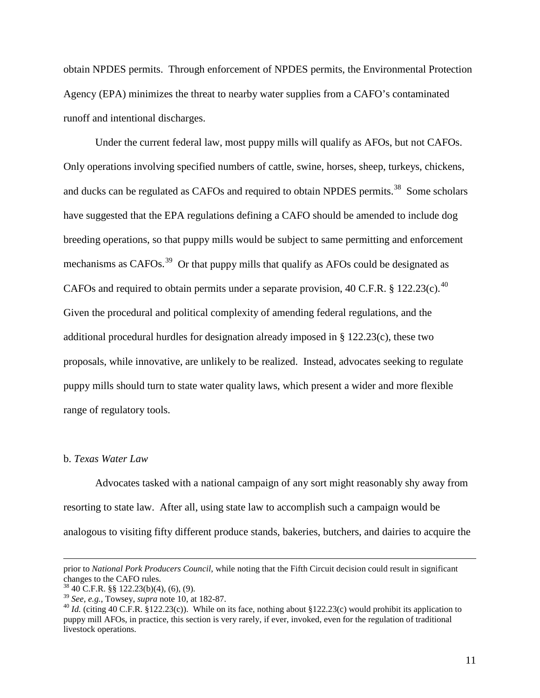obtain NPDES permits. Through enforcement of NPDES permits, the Environmental Protection Agency (EPA) minimizes the threat to nearby water supplies from a CAFO's contaminated runoff and intentional discharges.

Under the current federal law, most puppy mills will qualify as AFOs, but not CAFOs. Only operations involving specified numbers of cattle, swine, horses, sheep, turkeys, chickens, and ducks can be regulated as CAFOs and required to obtain NPDES permits.<sup>[38](#page-29-0)</sup> Some scholars have suggested that the EPA regulations defining a CAFO should be amended to include dog breeding operations, so that puppy mills would be subject to same permitting and enforcement mechanisms as CAFOs.<sup>[39](#page-29-1)</sup> Or that puppy mills that qualify as AFOs could be designated as CAFOs and required to obtain permits under a separate provision, [40](#page-29-2) C.F.R. § 122.23(c).<sup>40</sup> Given the procedural and political complexity of amending federal regulations, and the additional procedural hurdles for designation already imposed in § 122.23(c), these two proposals, while innovative, are unlikely to be realized. Instead, advocates seeking to regulate puppy mills should turn to state water quality laws, which present a wider and more flexible range of regulatory tools.

#### b. *Texas Water Law*

 $\overline{a}$ 

Advocates tasked with a national campaign of any sort might reasonably shy away from resorting to state law. After all, using state law to accomplish such a campaign would be analogous to visiting fifty different produce stands, bakeries, butchers, and dairies to acquire the

prior to *National Pork Producers Council*, while noting that the Fifth Circuit decision could result in significant changes to the CAFO rules.

<span id="page-29-0"></span>

 $^{38}$  40 C.F.R. §§ 122.23(b)(4), (6), (9).<br><sup>39</sup> See, e.g., Towsey, *supra* note 10, at 182-87.

<span id="page-29-2"></span><span id="page-29-1"></span><sup>&</sup>lt;sup>40</sup> *Id.* (citing 40 C.F.R. §122.23(c)). While on its face, nothing about §122.23(c) would prohibit its application to puppy mill AFOs, in practice, this section is very rarely, if ever, invoked, even for the regulation of traditional livestock operations.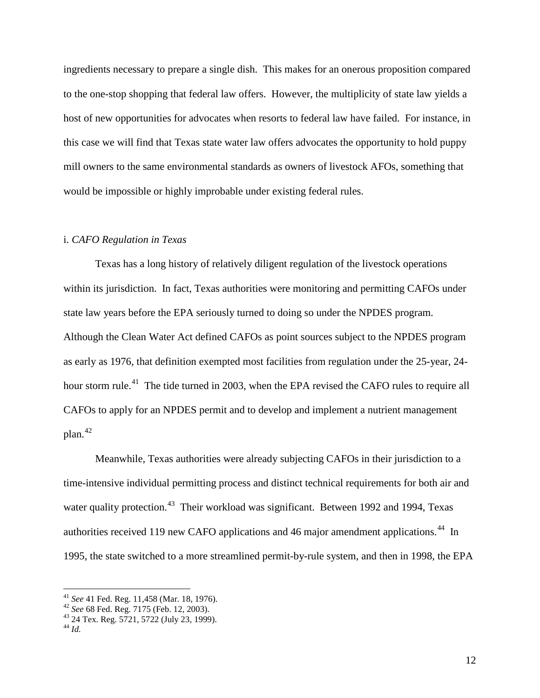ingredients necessary to prepare a single dish. This makes for an onerous proposition compared to the one-stop shopping that federal law offers. However, the multiplicity of state law yields a host of new opportunities for advocates when resorts to federal law have failed. For instance, in this case we will find that Texas state water law offers advocates the opportunity to hold puppy mill owners to the same environmental standards as owners of livestock AFOs, something that would be impossible or highly improbable under existing federal rules.

## i. *CAFO Regulation in Texas*

Texas has a long history of relatively diligent regulation of the livestock operations within its jurisdiction. In fact, Texas authorities were monitoring and permitting CAFOs under state law years before the EPA seriously turned to doing so under the NPDES program. Although the Clean Water Act defined CAFOs as point sources subject to the NPDES program as early as 1976, that definition exempted most facilities from regulation under the 25-year, 24 hour storm rule.<sup>41</sup> The tide turned in 2003, when the EPA revised the CAFO rules to require all CAFOs to apply for an NPDES permit and to develop and implement a nutrient management plan. [42](#page-30-1)

Meanwhile, Texas authorities were already subjecting CAFOs in their jurisdiction to a time-intensive individual permitting process and distinct technical requirements for both air and water quality protection.<sup>[43](#page-30-2)</sup> Their workload was significant. Between 1992 and 1994, Texas authorities received 119 new CAFO applications and 46 major amendment applications.<sup>[44](#page-30-3)</sup> In 1995, the state switched to a more streamlined permit-by-rule system, and then in 1998, the EPA

<span id="page-30-0"></span><sup>41</sup> *See* 41 Fed. Reg. 11,458 (Mar. 18, 1976). <sup>42</sup> *See* 68 Fed. Reg. 7175 (Feb. 12, 2003). <sup>43</sup> 24 Tex. Reg. 5721, 5722 (July 23, 1999). <sup>44</sup> *Id.*

<span id="page-30-1"></span>

<span id="page-30-2"></span>

<span id="page-30-3"></span>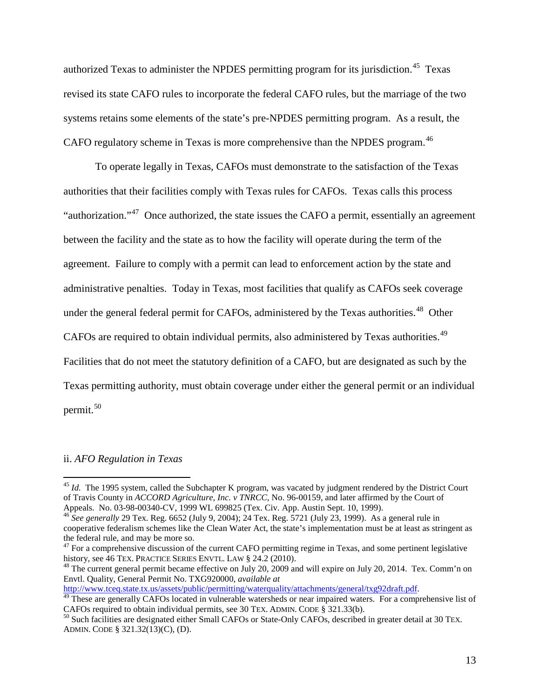authorized Texas to administer the NPDES permitting program for its jurisdiction.<sup>[45](#page-31-0)</sup> Texas revised its state CAFO rules to incorporate the federal CAFO rules, but the marriage of the two systems retains some elements of the state's pre-NPDES permitting program. As a result, the CAFO regulatory scheme in Texas is more comprehensive than the NPDES program.<sup>[46](#page-31-1)</sup>

To operate legally in Texas, CAFOs must demonstrate to the satisfaction of the Texas authorities that their facilities comply with Texas rules for CAFOs. Texas calls this process "authorization."[47](#page-31-2) Once authorized, the state issues the CAFO a permit, essentially an agreement between the facility and the state as to how the facility will operate during the term of the agreement. Failure to comply with a permit can lead to enforcement action by the state and administrative penalties. Today in Texas, most facilities that qualify as CAFOs seek coverage under the general federal permit for CAFOs, administered by the Texas authorities.<sup>[48](#page-31-3)</sup> Other CAFOs are required to obtain individual permits, also administered by Texas authorities.<sup>49</sup> Facilities that do not meet the statutory definition of a CAFO, but are designated as such by the Texas permitting authority, must obtain coverage under either the general permit or an individual permit. [50](#page-31-5) 

## ii. *AFO Regulation in Texas*

<span id="page-31-0"></span><sup>&</sup>lt;sup>45</sup> *Id.* The 1995 system, called the Subchapter K program, was vacated by judgment rendered by the District Court of Travis County in *ACCORD Agriculture, Inc. v TNRCC*, No. 96-00159, and later affirmed by the Court of Appeals. No. 03-98-00340-CV, 1999 WL 699825 (Tex. Civ. App. Austin Sept. 10, 1999).<br><sup>46</sup> *See generally* 29 Tex. Reg. 6652 (July 9, 2004); 24 Tex. Reg. 5721 (July 23, 1999). As a general rule in

<span id="page-31-1"></span>cooperative federalism schemes like the Clean Water Act, the state's implementation must be at least as stringent as the federal rule, and may be more so.

<span id="page-31-2"></span><sup>&</sup>lt;sup>47</sup> For a comprehensive discussion of the current CAFO permitting regime in Texas, and some pertinent legislative history, see 46 TEX. PRACTICE SERIES ENVTL, LAW § 24.2 (2010).

<span id="page-31-3"></span><sup>&</sup>lt;sup>48</sup> The current general permit became effective on July 20, 2009 and will expire on July 20, 2014. Tex. Comm'n on Envtl. Quality, General Permit No. TXG920000, *available at*<br>http://www.tceq.state.tx.us/assets/public/permitting/waterquality/attachments/general/txg92draft.pdf.

<span id="page-31-4"></span><sup>&</sup>lt;sup>49</sup> These are generally CAFOs located in vulnerable watersheds or near impaired waters. For a comprehensive list of CAFOs required to obtain individual permits, see 30 TEX. ADMIN. CODE § 321.33(b).

<span id="page-31-5"></span> $^{50}$  Such facilities are designated either Small CAFOs or State-Only CAFOs, described in greater detail at 30 TEX. ADMIN. CODE § 321.32(13)(C), (D).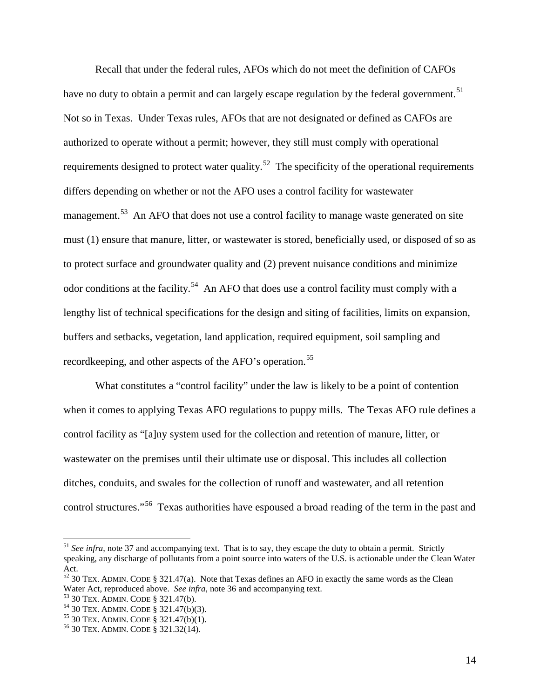Recall that under the federal rules, AFOs which do not meet the definition of CAFOs have no duty to obtain a permit and can largely escape regulation by the federal government.<sup>51</sup> Not so in Texas. Under Texas rules, AFOs that are not designated or defined as CAFOs are authorized to operate without a permit; however, they still must comply with operational requirements designed to protect water quality.<sup>52</sup> The specificity of the operational requirements differs depending on whether or not the AFO uses a control facility for wastewater management.<sup>53</sup> An AFO that does not use a control facility to manage waste generated on site must (1) ensure that manure, litter, or wastewater is stored, beneficially used, or disposed of so as to protect surface and groundwater quality and (2) prevent nuisance conditions and minimize odor conditions at the facility.<sup>54</sup> An AFO that does use a control facility must comply with a lengthy list of technical specifications for the design and siting of facilities, limits on expansion, buffers and setbacks, vegetation, land application, required equipment, soil sampling and recordkeeping, and other aspects of the AFO's operation.<sup>55</sup>

What constitutes a "control facility" under the law is likely to be a point of contention when it comes to applying Texas AFO regulations to puppy mills. The Texas AFO rule defines a control facility as "[a]ny system used for the collection and retention of manure, litter, or wastewater on the premises until their ultimate use or disposal. This includes all collection ditches, conduits, and swales for the collection of runoff and wastewater, and all retention control structures."[56](#page-32-5) Texas authorities have espoused a broad reading of the term in the past and

<span id="page-32-0"></span><sup>&</sup>lt;sup>51</sup> See infra, note 37 and accompanying text. That is to say, they escape the duty to obtain a permit. Strictly speaking, any discharge of pollutants from a point source into waters of the U.S. is actionable under the Clean Water Act.

<span id="page-32-1"></span> $52$  30 TEX. ADMIN. CODE § 321.47(a). Note that Texas defines an AFO in exactly the same words as the Clean Water Act, reproduced above. *See infra*, note 36 and accompanying text.<br><sup>53</sup> 30 TEX. ADMIN. CODE § 321.47(b).<br><sup>54</sup> 30 TEX. ADMIN. CODE § 321.47(b)(3).<br><sup>55</sup> 30 TEX. ADMIN. CODE § 321.47(b)(1).<br><sup>56</sup> 30 TEX. ADMIN. CODE § 32

<span id="page-32-2"></span>

<span id="page-32-3"></span>

<span id="page-32-4"></span>

<span id="page-32-5"></span>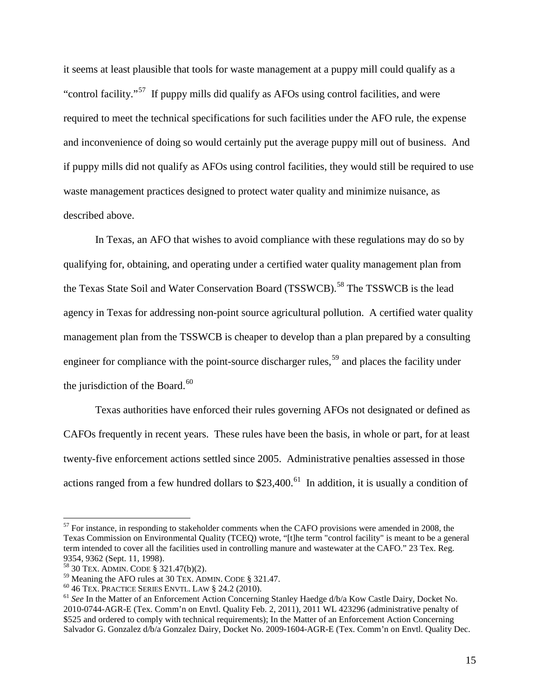it seems at least plausible that tools for waste management at a puppy mill could qualify as a "control facility."[57](#page-33-0) If puppy mills did qualify as AFOs using control facilities, and were required to meet the technical specifications for such facilities under the AFO rule, the expense and inconvenience of doing so would certainly put the average puppy mill out of business. And if puppy mills did not qualify as AFOs using control facilities, they would still be required to use waste management practices designed to protect water quality and minimize nuisance, as described above.

In Texas, an AFO that wishes to avoid compliance with these regulations may do so by qualifying for, obtaining, and operating under a certified water quality management plan from the Texas State Soil and Water Conservation Board (TSSWCB).<sup>[58](#page-33-1)</sup> The TSSWCB is the lead agency in Texas for addressing non-point source agricultural pollution. A certified water quality management plan from the TSSWCB is cheaper to develop than a plan prepared by a consulting engineer for compliance with the point-source discharger rules,<sup>[59](#page-33-2)</sup> and places the facility under the jurisdiction of the Board.<sup>[60](#page-33-3)</sup>

Texas authorities have enforced their rules governing AFOs not designated or defined as CAFOs frequently in recent years. These rules have been the basis, in whole or part, for at least twenty-five enforcement actions settled since 2005. Administrative penalties assessed in those actions ranged from a few hundred dollars to  $$23,400<sup>61</sup>$  $$23,400<sup>61</sup>$  $$23,400<sup>61</sup>$  In addition, it is usually a condition of

<span id="page-33-0"></span> $57$  For instance, in responding to stakeholder comments when the CAFO provisions were amended in 2008, the Texas Commission on Environmental Quality (TCEQ) wrote, "[t]he term "control facility" is meant to be a general term intended to cover all the facilities used in controlling manure and wastewater at the CAFO." 23 Tex. Reg. 9354, 9362 (Sept. 11, 1998).

<span id="page-33-2"></span>

<span id="page-33-1"></span><sup>&</sup>lt;sup>58</sup> 30 TEX. ADMIN. CODE § 321.47(b)(2).<br><sup>59</sup> Meaning the AFO rules at 30 TEX. ADMIN. CODE § 321.47.

<span id="page-33-4"></span>

<span id="page-33-3"></span><sup>&</sup>lt;sup>60</sup> 46 TEX. PRACTICE SERIES ENVTL. LAW § 24.2 (2010). <sup>61</sup> See In the Matter of an Enforcement Action Concerning Stanley Haedge d/b/a Kow Castle Dairy, Docket No. 2010-0744-AGR-E (Tex. Comm'n on Envtl. Quality Feb. 2, 2011), 2011 WL 423296 (administrative penalty of \$525 and ordered to comply with technical requirements); In the Matter of an Enforcement Action Concerning Salvador G. Gonzalez d/b/a Gonzalez Dairy, Docket No. 2009-1604-AGR-E (Tex. Comm'n on Envtl. Quality Dec.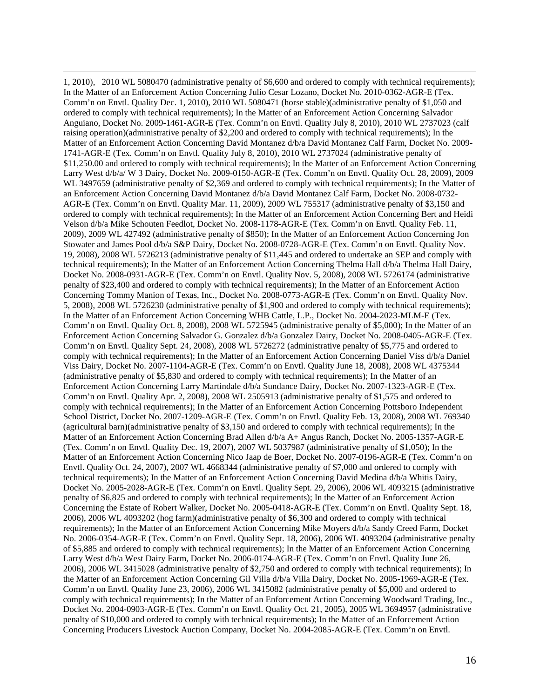1, 2010), 2010 WL 5080470 (administrative penalty of \$6,600 and ordered to comply with technical requirements); In the Matter of an Enforcement Action Concerning Julio Cesar Lozano, Docket No. 2010-0362-AGR-E (Tex. Comm'n on Envtl. Quality Dec. 1, 2010), 2010 WL 5080471 (horse stable)(administrative penalty of \$1,050 and ordered to comply with technical requirements); In the Matter of an Enforcement Action Concerning Salvador Anguiano, Docket No. 2009-1461-AGR-E (Tex. Comm'n on Envtl. Quality July 8, 2010), 2010 WL 2737023 (calf raising operation)(administrative penalty of \$2,200 and ordered to comply with technical requirements); In the Matter of an Enforcement Action Concerning David Montanez d/b/a David Montanez Calf Farm, Docket No. 2009- 1741-AGR-E (Tex. Comm'n on Envtl. Quality July 8, 2010), 2010 WL 2737024 (administrative penalty of \$11,250.00 and ordered to comply with technical requirements); In the Matter of an Enforcement Action Concerning Larry West d/b/a/ W 3 Dairy, Docket No. 2009-0150-AGR-E (Tex. Comm'n on Envtl. Quality Oct. 28, 2009), 2009 WL 3497659 (administrative penalty of \$2,369 and ordered to comply with technical requirements); In the Matter of an Enforcement Action Concerning David Montanez d/b/a David Montanez Calf Farm, Docket No. 2008-0732- AGR-E (Tex. Comm'n on Envtl. Quality Mar. 11, 2009), 2009 WL 755317 (administrative penalty of \$3,150 and ordered to comply with technical requirements); In the Matter of an Enforcement Action Concerning Bert and Heidi Velson d/b/a Mike Schouten Feedlot, Docket No. 2008-1178-AGR-E (Tex. Comm'n on Envtl. Quality Feb. 11, 2009), 2009 WL 427492 (administrative penalty of \$850); In the Matter of an Enforcement Action Concerning Jon Stowater and James Pool d/b/a S&P Dairy, Docket No. 2008-0728-AGR-E (Tex. Comm'n on Envtl. Quality Nov. 19, 2008), 2008 WL 5726213 (administrative penalty of \$11,445 and ordered to undertake an SEP and comply with technical requirements); In the Matter of an Enforcement Action Concerning Thelma Hall d/b/a Thelma Hall Dairy, Docket No. 2008-0931-AGR-E (Tex. Comm'n on Envtl. Quality Nov. 5, 2008), 2008 WL 5726174 (administrative penalty of \$23,400 and ordered to comply with technical requirements); In the Matter of an Enforcement Action Concerning Tommy Manion of Texas, Inc., Docket No. 2008-0773-AGR-E (Tex. Comm'n on Envtl. Quality Nov. 5, 2008), 2008 WL 5726230 (administrative penalty of \$1,900 and ordered to comply with technical requirements); In the Matter of an Enforcement Action Concerning WHB Cattle, L.P., Docket No. 2004-2023-MLM-E (Tex. Comm'n on Envtl. Quality Oct. 8, 2008), 2008 WL 5725945 (administrative penalty of \$5,000); In the Matter of an Enforcement Action Concerning Salvador G. Gonzalez d/b/a Gonzalez Dairy, Docket No. 2008-0405-AGR-E (Tex. Comm'n on Envtl. Quality Sept. 24, 2008), 2008 WL 5726272 (administrative penalty of \$5,775 and ordered to comply with technical requirements); In the Matter of an Enforcement Action Concerning Daniel Viss d/b/a Daniel Viss Dairy, Docket No. 2007-1104-AGR-E (Tex. Comm'n on Envtl. Quality June 18, 2008), 2008 WL 4375344 (administrative penalty of \$5,830 and ordered to comply with technical requirements); In the Matter of an Enforcement Action Concerning Larry Martindale d/b/a Sundance Dairy, Docket No. 2007-1323-AGR-E (Tex. Comm'n on Envtl. Quality Apr. 2, 2008), 2008 WL 2505913 (administrative penalty of \$1,575 and ordered to comply with technical requirements); In the Matter of an Enforcement Action Concerning Pottsboro Independent School District, Docket No. 2007-1209-AGR-E (Tex. Comm'n on Envtl. Quality Feb. 13, 2008), 2008 WL 769340 (agricultural barn)(administrative penalty of \$3,150 and ordered to comply with technical requirements); In the Matter of an Enforcement Action Concerning Brad Allen d/b/a A+ Angus Ranch, Docket No. 2005-1357-AGR-E (Tex. Comm'n on Envtl. Quality Dec. 19, 2007), 2007 WL 5037987 (administrative penalty of \$1,050); In the Matter of an Enforcement Action Concerning Nico Jaap de Boer, Docket No. 2007-0196-AGR-E (Tex. Comm'n on Envtl. Quality Oct. 24, 2007), 2007 WL 4668344 (administrative penalty of \$7,000 and ordered to comply with technical requirements); In the Matter of an Enforcement Action Concerning David Medina d/b/a Whitis Dairy, Docket No. 2005-2028-AGR-E (Tex. Comm'n on Envtl. Quality Sept. 29, 2006), 2006 WL 4093215 (administrative penalty of \$6,825 and ordered to comply with technical requirements); In the Matter of an Enforcement Action Concerning the Estate of Robert Walker, Docket No. 2005-0418-AGR-E (Tex. Comm'n on Envtl. Quality Sept. 18, 2006), 2006 WL 4093202 (hog farm)(administrative penalty of \$6,300 and ordered to comply with technical requirements); In the Matter of an Enforcement Action Concerning Mike Moyers d/b/a Sandy Creed Farm, Docket No. 2006-0354-AGR-E (Tex. Comm'n on Envtl. Quality Sept. 18, 2006), 2006 WL 4093204 (administrative penalty of \$5,885 and ordered to comply with technical requirements); In the Matter of an Enforcement Action Concerning Larry West d/b/a West Dairy Farm, Docket No. 2006-0174-AGR-E (Tex. Comm'n on Envtl. Quality June 26, 2006), 2006 WL 3415028 (administrative penalty of \$2,750 and ordered to comply with technical requirements); In the Matter of an Enforcement Action Concerning Gil Villa d/b/a Villa Dairy, Docket No. 2005-1969-AGR-E (Tex. Comm'n on Envtl. Quality June 23, 2006), 2006 WL 3415082 (administrative penalty of \$5,000 and ordered to comply with technical requirements); In the Matter of an Enforcement Action Concerning Woodward Trading, Inc., Docket No. 2004-0903-AGR-E (Tex. Comm'n on Envtl. Quality Oct. 21, 2005), 2005 WL 3694957 (administrative penalty of \$10,000 and ordered to comply with technical requirements); In the Matter of an Enforcement Action Concerning Producers Livestock Auction Company, Docket No. 2004-2085-AGR-E (Tex. Comm'n on Envtl.

 $\overline{a}$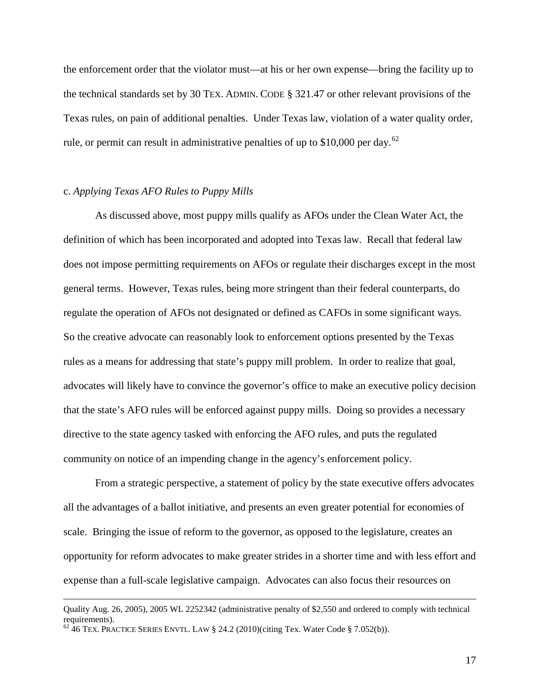the enforcement order that the violator must—at his or her own expense—bring the facility up to the technical standards set by 30 TEX. ADMIN. CODE § 321.47 or other relevant provisions of the Texas rules, on pain of additional penalties. Under Texas law, violation of a water quality order, rule, or permit can result in administrative penalties of up to \$10,000 per day.<sup>[62](#page-35-0)</sup>

## c. *Applying Texas AFO Rules to Puppy Mills*

As discussed above, most puppy mills qualify as AFOs under the Clean Water Act, the definition of which has been incorporated and adopted into Texas law. Recall that federal law does not impose permitting requirements on AFOs or regulate their discharges except in the most general terms. However, Texas rules, being more stringent than their federal counterparts, do regulate the operation of AFOs not designated or defined as CAFOs in some significant ways. So the creative advocate can reasonably look to enforcement options presented by the Texas rules as a means for addressing that state's puppy mill problem. In order to realize that goal, advocates will likely have to convince the governor's office to make an executive policy decision that the state's AFO rules will be enforced against puppy mills. Doing so provides a necessary directive to the state agency tasked with enforcing the AFO rules, and puts the regulated community on notice of an impending change in the agency's enforcement policy.

From a strategic perspective, a statement of policy by the state executive offers advocates all the advantages of a ballot initiative, and presents an even greater potential for economies of scale. Bringing the issue of reform to the governor, as opposed to the legislature, creates an opportunity for reform advocates to make greater strides in a shorter time and with less effort and expense than a full-scale legislative campaign. Advocates can also focus their resources on

<u>.</u>

Quality Aug. 26, 2005), 2005 WL 2252342 (administrative penalty of \$2,550 and ordered to comply with technical requirements).<br><sup>62</sup> 46 TEX. PRACTICE SERIES ENVTL. LAW § 24.2 (2010)(citing Tex. Water Code § 7.052(b)).

<span id="page-35-0"></span>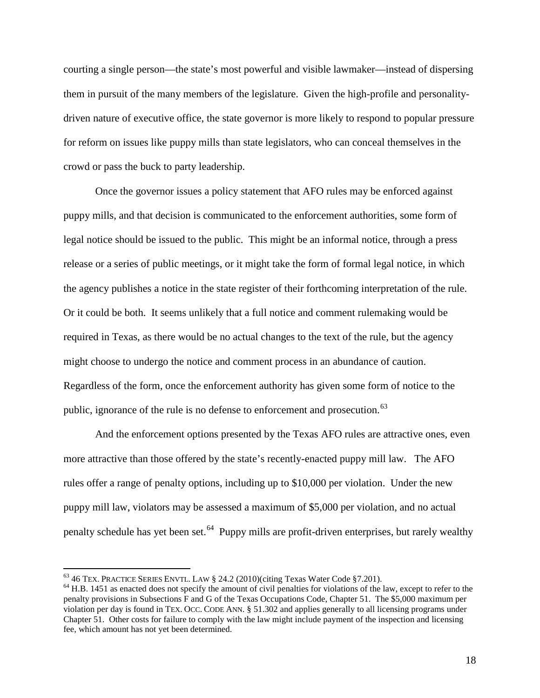courting a single person—the state's most powerful and visible lawmaker—instead of dispersing them in pursuit of the many members of the legislature. Given the high-profile and personalitydriven nature of executive office, the state governor is more likely to respond to popular pressure for reform on issues like puppy mills than state legislators, who can conceal themselves in the crowd or pass the buck to party leadership.

Once the governor issues a policy statement that AFO rules may be enforced against puppy mills, and that decision is communicated to the enforcement authorities, some form of legal notice should be issued to the public. This might be an informal notice, through a press release or a series of public meetings, or it might take the form of formal legal notice, in which the agency publishes a notice in the state register of their forthcoming interpretation of the rule. Or it could be both. It seems unlikely that a full notice and comment rulemaking would be required in Texas, as there would be no actual changes to the text of the rule, but the agency might choose to undergo the notice and comment process in an abundance of caution. Regardless of the form, once the enforcement authority has given some form of notice to the public, ignorance of the rule is no defense to enforcement and prosecution.<sup>[63](#page-36-0)</sup>

And the enforcement options presented by the Texas AFO rules are attractive ones, even more attractive than those offered by the state's recently-enacted puppy mill law. The AFO rules offer a range of penalty options, including up to \$10,000 per violation. Under the new puppy mill law, violators may be assessed a maximum of \$5,000 per violation, and no actual penalty schedule has yet been set.<sup>[64](#page-36-1)</sup> Puppy mills are profit-driven enterprises, but rarely wealthy

<span id="page-36-1"></span>

<span id="page-36-0"></span><sup>&</sup>lt;sup>63</sup> 46 TEX. PRACTICE SERIES ENVTL. LAW § 24.2 (2010)(citing Texas Water Code §7.201).<br><sup>64</sup> H.B. 1451 as enacted does not specify the amount of civil penalties for violations of the law, except to refer to the penalty provisions in Subsections F and G of the Texas Occupations Code, Chapter 51. The \$5,000 maximum per violation per day is found in TEX. OCC. CODE ANN. § 51.302 and applies generally to all licensing programs under Chapter 51. Other costs for failure to comply with the law might include payment of the inspection and licensing fee, which amount has not yet been determined.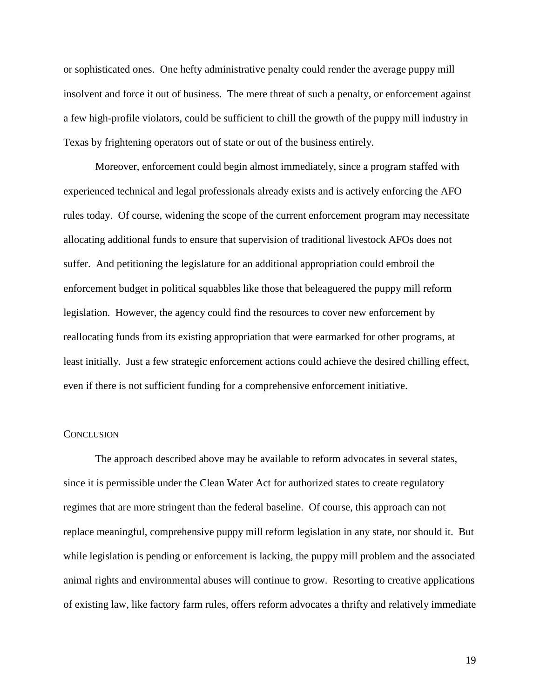or sophisticated ones. One hefty administrative penalty could render the average puppy mill insolvent and force it out of business. The mere threat of such a penalty, or enforcement against a few high-profile violators, could be sufficient to chill the growth of the puppy mill industry in Texas by frightening operators out of state or out of the business entirely.

Moreover, enforcement could begin almost immediately, since a program staffed with experienced technical and legal professionals already exists and is actively enforcing the AFO rules today. Of course, widening the scope of the current enforcement program may necessitate allocating additional funds to ensure that supervision of traditional livestock AFOs does not suffer. And petitioning the legislature for an additional appropriation could embroil the enforcement budget in political squabbles like those that beleaguered the puppy mill reform legislation. However, the agency could find the resources to cover new enforcement by reallocating funds from its existing appropriation that were earmarked for other programs, at least initially. Just a few strategic enforcement actions could achieve the desired chilling effect, even if there is not sufficient funding for a comprehensive enforcement initiative.

#### **CONCLUSION**

The approach described above may be available to reform advocates in several states, since it is permissible under the Clean Water Act for authorized states to create regulatory regimes that are more stringent than the federal baseline. Of course, this approach can not replace meaningful, comprehensive puppy mill reform legislation in any state, nor should it. But while legislation is pending or enforcement is lacking, the puppy mill problem and the associated animal rights and environmental abuses will continue to grow. Resorting to creative applications of existing law, like factory farm rules, offers reform advocates a thrifty and relatively immediate

19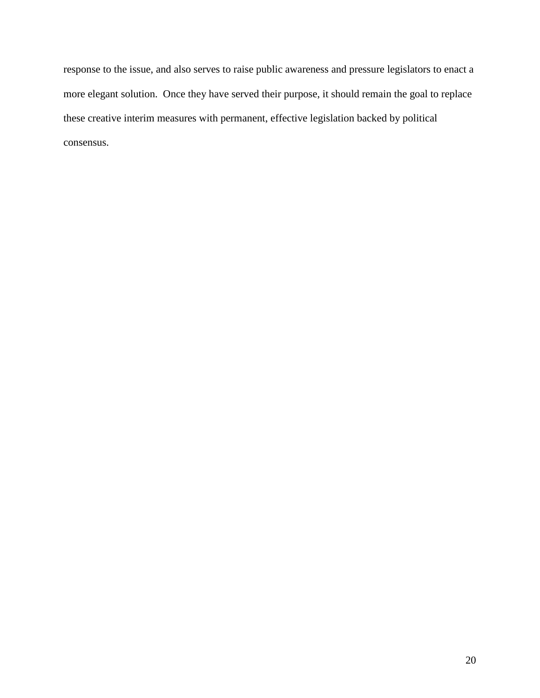response to the issue, and also serves to raise public awareness and pressure legislators to enact a more elegant solution. Once they have served their purpose, it should remain the goal to replace these creative interim measures with permanent, effective legislation backed by political consensus.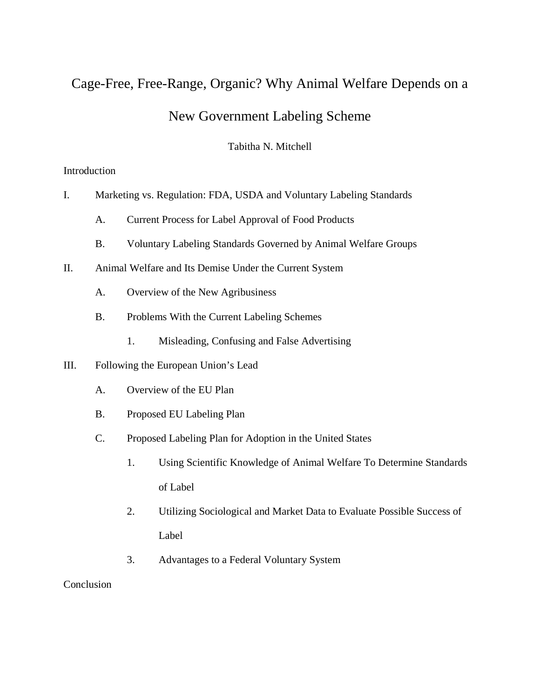# Cage-Free, Free-Range, Organic? Why Animal Welfare Depends on a New Government Labeling Scheme

# Tabitha N. Mitchell

# Introduction

- I. Marketing vs. Regulation: FDA, USDA and Voluntary Labeling Standards
	- A. Current Process for Label Approval of Food Products
	- B. Voluntary Labeling Standards Governed by Animal Welfare Groups
- II. Animal Welfare and Its Demise Under the Current System
	- A. Overview of the New Agribusiness
	- B. Problems With the Current Labeling Schemes
		- 1. Misleading, Confusing and False Advertising
- III. Following the European Union's Lead
	- A. Overview of the EU Plan
	- B. Proposed EU Labeling Plan
	- C. Proposed Labeling Plan for Adoption in the United States
		- 1. Using Scientific Knowledge of Animal Welfare To Determine Standards of Label
		- 2. Utilizing Sociological and Market Data to Evaluate Possible Success of Label
		- 3. Advantages to a Federal Voluntary System

## **Conclusion**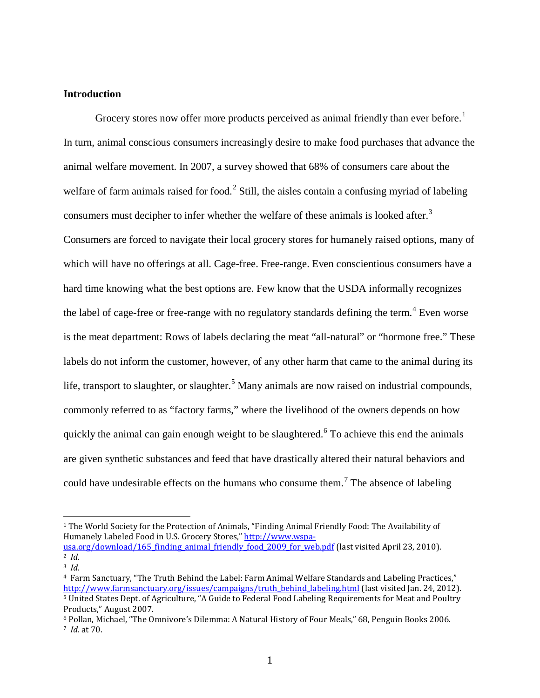## **Introduction**

Grocery stores now offer more products perceived as animal friendly than ever before.<sup>[1](#page-40-0)</sup> In turn, animal conscious consumers increasingly desire to make food purchases that advance the animal welfare movement. In 2007, a survey showed that 68% of consumers care about the welfare of farm animals raised for food.<sup>[2](#page-40-1)</sup> Still, the aisles contain a confusing myriad of labeling consumers must decipher to infer whether the welfare of these animals is looked after.<sup>[3](#page-40-2)</sup> Consumers are forced to navigate their local grocery stores for humanely raised options, many of which will have no offerings at all. Cage-free. Free-range. Even conscientious consumers have a hard time knowing what the best options are. Few know that the USDA informally recognizes the label of cage-free or free-range with no regulatory standards defining the term.<sup>[4](#page-40-3)</sup> Even worse is the meat department: Rows of labels declaring the meat "all-natural" or "hormone free." These labels do not inform the customer, however, of any other harm that came to the animal during its life, transport to slaughter, or slaughter.<sup>[5](#page-40-4)</sup> Many animals are now raised on industrial compounds, commonly referred to as "factory farms," where the livelihood of the owners depends on how quickly the animal can gain enough weight to be slaughtered.<sup>[6](#page-40-5)</sup> To achieve this end the animals are given synthetic substances and feed that have drastically altered their natural behaviors and could have undesirable effects on the humans who consume them.<sup>[7](#page-40-6)</sup> The absence of labeling

<span id="page-40-0"></span> <sup>1</sup> The World Society for the Protection of Animals, "Finding Animal Friendly Food: The Availability of Humanely Labeled Food in U.S. Grocery Stores," [http://www.wspa](http://www.wspa-usa.org/download/165_finding_animal_friendly_food_2009_for_web.pdf)usa.org/download/165 finding animal friendly food 2009 for web.pdf (last visited April 23, 2010).

<span id="page-40-2"></span><span id="page-40-1"></span><sup>2</sup> *Id.* 3 *Id.*

<span id="page-40-4"></span><span id="page-40-3"></span><sup>4</sup> Farm Sanctuary, "The Truth Behind the Label: Farm Animal Welfare Standards and Labeling Practices," [http://www.farmsanctuary.org/issues/campaigns/truth\\_behind\\_labeling.html](http://www.farmsanctuary.org/issues/campaigns/truth_behind_labeling.html) (last visited Jan. 24, 2012). <sup>5</sup> United States Dept. of Agriculture, "A Guide to Federal Food Labeling Requirements for Meat and Poultry Products," August 2007.

<span id="page-40-6"></span><span id="page-40-5"></span><sup>6</sup> Pollan, Michael, "The Omnivore's Dilemma: A Natural History of Four Meals," 68, Penguin Books 2006. 7 *Id.* at 70.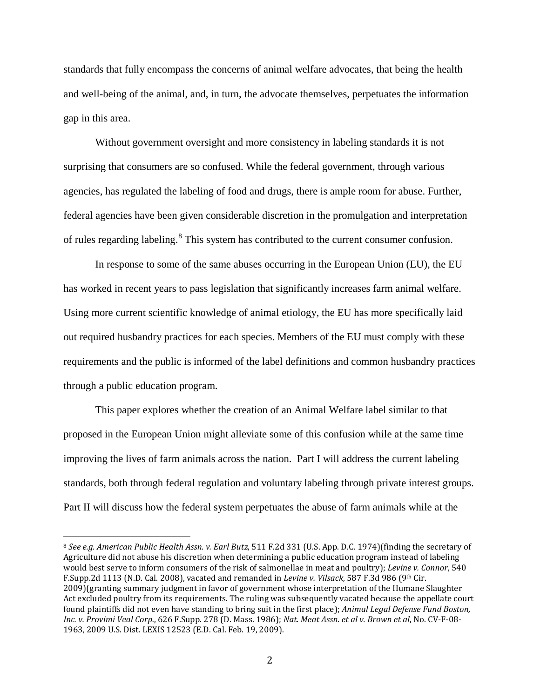standards that fully encompass the concerns of animal welfare advocates, that being the health and well-being of the animal, and, in turn, the advocate themselves, perpetuates the information gap in this area.

Without government oversight and more consistency in labeling standards it is not surprising that consumers are so confused. While the federal government, through various agencies, has regulated the labeling of food and drugs, there is ample room for abuse. Further, federal agencies have been given considerable discretion in the promulgation and interpretation of rules regarding labeling.<sup>[8](#page-41-0)</sup> This system has contributed to the current consumer confusion.

In response to some of the same abuses occurring in the European Union (EU), the EU has worked in recent years to pass legislation that significantly increases farm animal welfare. Using more current scientific knowledge of animal etiology, the EU has more specifically laid out required husbandry practices for each species. Members of the EU must comply with these requirements and the public is informed of the label definitions and common husbandry practices through a public education program.

This paper explores whether the creation of an Animal Welfare label similar to that proposed in the European Union might alleviate some of this confusion while at the same time improving the lives of farm animals across the nation. Part I will address the current labeling standards, both through federal regulation and voluntary labeling through private interest groups. Part II will discuss how the federal system perpetuates the abuse of farm animals while at the

<span id="page-41-0"></span> <sup>8</sup> *See e.g. American Public Health Assn. v. Earl Butz*, 511 F.2d 331 (U.S. App. D.C. 1974)(finding the secretary of Agriculture did not abuse his discretion when determining a public education program instead of labeling would best serve to inform consumers of the risk of salmonellae in meat and poultry); *Levine v. Connor*, 540 F.Supp.2d 1113 (N.D. Cal. 2008), vacated and remanded in *Levine v. Vilsack*, 587 F.3d 986 (9th Cir. 2009)(granting summary judgment in favor of government whose interpretation of the Humane Slaughter Act excluded poultry from its requirements. The ruling was subsequently vacated because the appellate court found plaintiffs did not even have standing to bring suit in the first place); *Animal Legal Defense Fund Boston, Inc. v. Provimi Veal Corp.*, 626 F.Supp. 278 (D. Mass. 1986); *Nat. Meat Assn. et al v. Brown et al*, No. CV-F-08- 1963, 2009 U.S. Dist. LEXIS 12523 (E.D. Cal. Feb. 19, 2009).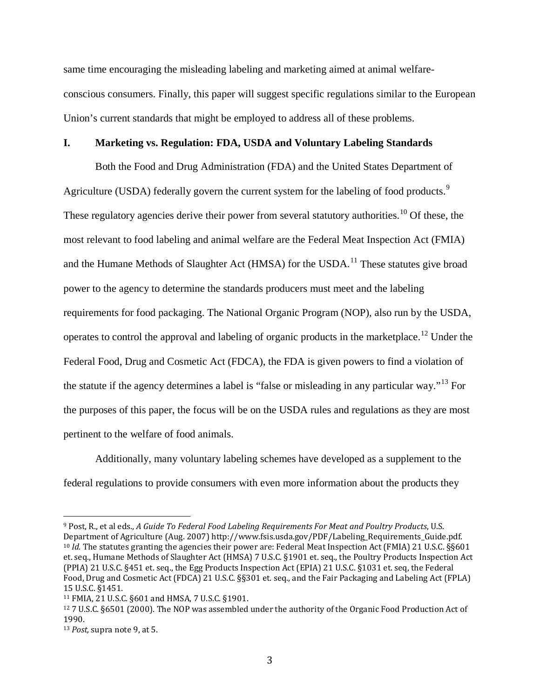same time encouraging the misleading labeling and marketing aimed at animal welfareconscious consumers. Finally, this paper will suggest specific regulations similar to the European Union's current standards that might be employed to address all of these problems.

#### **I. Marketing vs. Regulation: FDA, USDA and Voluntary Labeling Standards**

Both the Food and Drug Administration (FDA) and the United States Department of Agriculture (USDA) federally govern the current system for the labeling of food products.<sup>[9](#page-42-0)</sup> These regulatory agencies derive their power from several statutory authorities.<sup>[10](#page-42-1)</sup> Of these, the most relevant to food labeling and animal welfare are the Federal Meat Inspection Act (FMIA) and the Humane Methods of Slaughter Act (HMSA) for the USDA.<sup>[11](#page-42-2)</sup> These statutes give broad power to the agency to determine the standards producers must meet and the labeling requirements for food packaging. The National Organic Program (NOP), also run by the USDA, operates to control the approval and labeling of organic products in the marketplace.[12](#page-42-3) Under the Federal Food, Drug and Cosmetic Act (FDCA), the FDA is given powers to find a violation of the statute if the agency determines a label is "false or misleading in any particular way."<sup>[13](#page-42-4)</sup> For the purposes of this paper, the focus will be on the USDA rules and regulations as they are most pertinent to the welfare of food animals.

Additionally, many voluntary labeling schemes have developed as a supplement to the federal regulations to provide consumers with even more information about the products they

<span id="page-42-1"></span><span id="page-42-0"></span> <sup>9</sup> Post, R., et al eds., *A Guide To Federal Food Labeling Requirements For Meat and Poultry Products*, U.S. Department of Agriculture (Aug. 2007) http://www.fsis.usda.gov/PDF/Labeling\_Requirements\_Guide.pdf. <sup>10</sup> *Id.* The statutes granting the agencies their power are: Federal Meat Inspection Act (FMIA) 21 U.S.C. §§601 et. seq., Humane Methods of Slaughter Act (HMSA) 7 U.S.C. §1901 et. seq., the Poultry Products Inspection Act (PPIA) 21 U.S.C. §451 et. seq., the Egg Products Inspection Act (EPIA) 21 U.S.C. §1031 et. seq, the Federal Food, Drug and Cosmetic Act (FDCA) 21 U.S.C. §§301 et. seq., and the Fair Packaging and Labeling Act (FPLA)

<span id="page-42-2"></span><sup>&</sup>lt;sup>11</sup> FMIA, 21 U.S.C. §601 and HMSA, 7 U.S.C. §1901.

<span id="page-42-3"></span><sup>12</sup> 7 U.S.C. §6501 (2000). The NOP was assembled under the authority of the Organic Food Production Act of 1990.

<span id="page-42-4"></span><sup>13</sup> *Post,* supra note 9, at 5.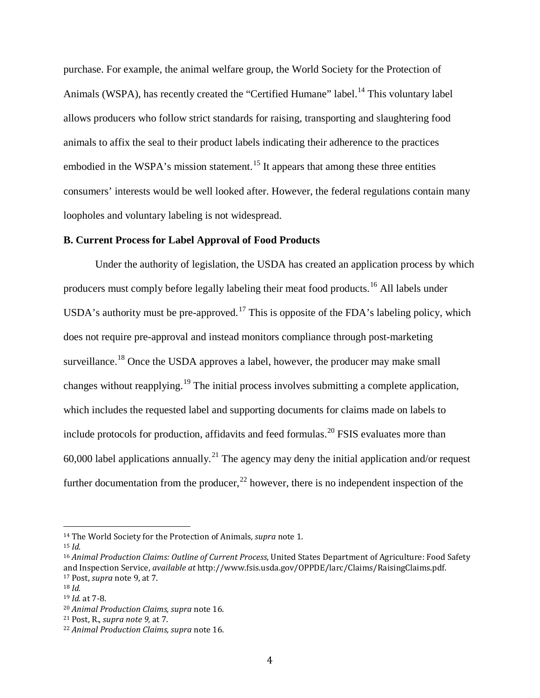purchase. For example, the animal welfare group, the World Society for the Protection of Animals (WSPA), has recently created the "Certified Humane" label.<sup>[14](#page-43-0)</sup> This voluntary label allows producers who follow strict standards for raising, transporting and slaughtering food animals to affix the seal to their product labels indicating their adherence to the practices embodied in the WSPA's mission statement.<sup>[15](#page-43-1)</sup> It appears that among these three entities consumers' interests would be well looked after. However, the federal regulations contain many loopholes and voluntary labeling is not widespread.

#### **B. Current Process for Label Approval of Food Products**

Under the authority of legislation, the USDA has created an application process by which producers must comply before legally labeling their meat food products.[16](#page-43-2) All labels under USDA's authority must be pre-approved.<sup>[17](#page-43-3)</sup> This is opposite of the FDA's labeling policy, which does not require pre-approval and instead monitors compliance through post-marketing surveillance.<sup>[18](#page-43-4)</sup> Once the USDA approves a label, however, the producer may make small changes without reapplying.[19](#page-43-5) The initial process involves submitting a complete application, which includes the requested label and supporting documents for claims made on labels to include protocols for production, affidavits and feed formulas.<sup>[20](#page-43-6)</sup> FSIS evaluates more than 60,000 label applications annually.<sup>[21](#page-43-7)</sup> The agency may deny the initial application and/or request further documentation from the producer,<sup>[22](#page-43-8)</sup> however, there is no independent inspection of the

<span id="page-43-0"></span> <sup>14</sup> The World Society for the Protection of Animals*, supra* note 1.

<span id="page-43-1"></span><sup>15</sup> *Id.*

<span id="page-43-2"></span><sup>16</sup> *Animal Production Claims: Outline of Current Process*, United States Department of Agriculture: Food Safety and Inspection Service, *available at* http://www.fsis.usda.gov/OPPDE/larc/Claims/RaisingClaims.pdf. <sup>17</sup> Post, *supra* note 9, at 7. 18 *Id.*

<span id="page-43-4"></span><span id="page-43-3"></span>

<span id="page-43-5"></span><sup>19</sup> *Id.* at 7-8.

<span id="page-43-6"></span><sup>20</sup> *Animal Production Claims, supra* note 16.

<span id="page-43-7"></span><sup>21</sup> Post, R., *supra note 9,* at 7.

<span id="page-43-8"></span><sup>22</sup> *Animal Production Claims, supra* note 16.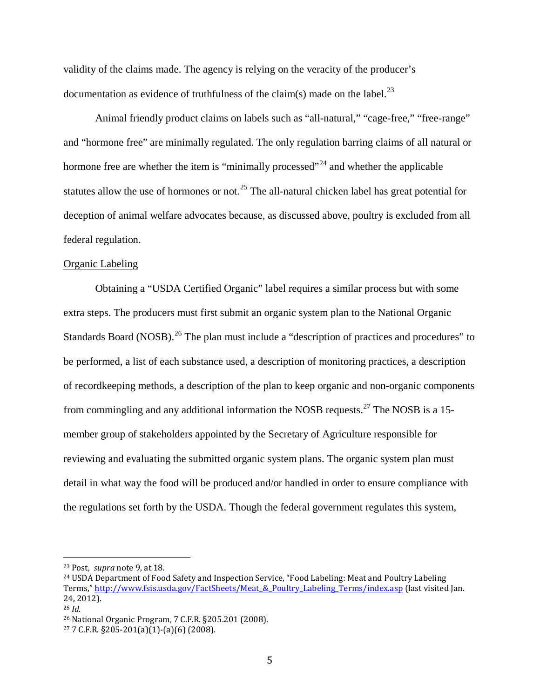validity of the claims made. The agency is relying on the veracity of the producer's documentation as evidence of truthfulness of the claim(s) made on the label.<sup>[23](#page-44-0)</sup>

Animal friendly product claims on labels such as "all-natural," "cage-free," "free-range" and "hormone free" are minimally regulated. The only regulation barring claims of all natural or hormone free are whether the item is "minimally processed"<sup>[24](#page-44-1)</sup> and whether the applicable statutes allow the use of hormones or not.<sup>[25](#page-44-2)</sup> The all-natural chicken label has great potential for deception of animal welfare advocates because, as discussed above, poultry is excluded from all federal regulation.

#### Organic Labeling

Obtaining a "USDA Certified Organic" label requires a similar process but with some extra steps. The producers must first submit an organic system plan to the National Organic Standards Board (NOSB).<sup>[26](#page-44-3)</sup> The plan must include a "description of practices and procedures" to be performed, a list of each substance used, a description of monitoring practices, a description of recordkeeping methods, a description of the plan to keep organic and non-organic components from commingling and any additional information the NOSB requests.<sup>[27](#page-44-4)</sup> The NOSB is a 15member group of stakeholders appointed by the Secretary of Agriculture responsible for reviewing and evaluating the submitted organic system plans. The organic system plan must detail in what way the food will be produced and/or handled in order to ensure compliance with the regulations set forth by the USDA. Though the federal government regulates this system,

<span id="page-44-0"></span> <sup>23</sup> Post, *supra* note 9, at 18*.*

<span id="page-44-1"></span><sup>24</sup> USDA Department of Food Safety and Inspection Service, "Food Labeling: Meat and Poultry Labeling Terms," http://www.fsis.usda.gov/FactSheets/Meat & Poultry\_Labeling\_Terms/index.asp (last visited Jan. 24, 2012).

<span id="page-44-2"></span><sup>25</sup> *Id.*

<span id="page-44-3"></span><sup>26</sup> National Organic Program, 7 C.F.R. §205.201 (2008).

<span id="page-44-4"></span> $277$  C.F.R. §205-201(a)(1)-(a)(6) (2008).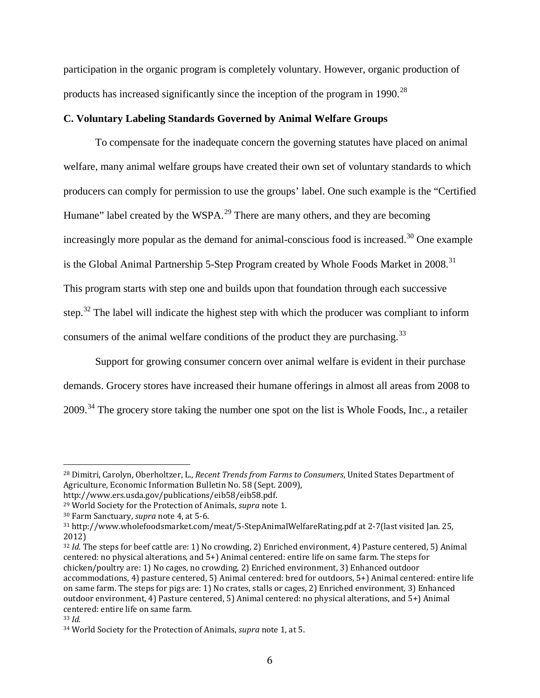participation in the organic program is completely voluntary. However, organic production of products has increased significantly since the inception of the program in 1990.<sup>[28](#page-45-0)</sup>

## **C. Voluntary Labeling Standards Governed by Animal Welfare Groups**

To compensate for the inadequate concern the governing statutes have placed on animal welfare, many animal welfare groups have created their own set of voluntary standards to which producers can comply for permission to use the groups' label. One such example is the "Certified Humane" label created by the WSPA.<sup>[29](#page-45-1)</sup> There are many others, and they are becoming increasingly more popular as the demand for animal-conscious food is increased.<sup>[30](#page-45-2)</sup> One example is the Global Animal Partnership 5-Step Program created by Whole Foods Market in 2008.<sup>[31](#page-45-3)</sup> This program starts with step one and builds upon that foundation through each successive step.<sup>[32](#page-45-4)</sup> The label will indicate the highest step with which the producer was compliant to inform consumers of the animal welfare conditions of the product they are purchasing.<sup>[33](#page-45-5)</sup>

Support for growing consumer concern over animal welfare is evident in their purchase demands. Grocery stores have increased their humane offerings in almost all areas from 2008 to 2009.<sup>[34](#page-45-6)</sup> The grocery store taking the number one spot on the list is Whole Foods, Inc., a retailer

<span id="page-45-0"></span> <sup>28</sup> Dimitri, Carolyn, Oberholtzer, L., *Recent Trends from Farms to Consumers*, United States Department of Agriculture, Economic Information Bulletin No. 58 (Sept. 2009),

http://www.ers.usda.gov/publications/eib58/eib58.pdf.

<span id="page-45-1"></span><sup>29</sup> World Society for the Protection of Animals, *supra* note 1.

<span id="page-45-2"></span><sup>30</sup> Farm Sanctuary, *supra* note 4, at 5-6.

<span id="page-45-3"></span><sup>31</sup> http://www.wholefoodsmarket.com/meat/5-StepAnimalWelfareRating.pdf at 2-7(last visited Jan. 25, 2012)

<span id="page-45-4"></span><sup>32</sup> *Id.* The steps for beef cattle are: 1) No crowding, 2) Enriched environment, 4) Pasture centered, 5) Animal centered: no physical alterations, and 5+) Animal centered: entire life on same farm. The steps for chicken/poultry are: 1) No cages, no crowding, 2) Enriched environment, 3) Enhanced outdoor accommodations, 4) pasture centered, 5) Animal centered: bred for outdoors, 5+) Animal centered: entire life on same farm. The steps for pigs are: 1) No crates, stalls or cages, 2) Enriched environment, 3) Enhanced outdoor environment, 4) Pasture centered, 5) Animal centered: no physical alterations, and 5+) Animal centered: entire life on same farm.

<span id="page-45-5"></span><sup>33</sup> *Id.*

<span id="page-45-6"></span><sup>34</sup> World Society for the Protection of Animals, *supra* note 1, at 5.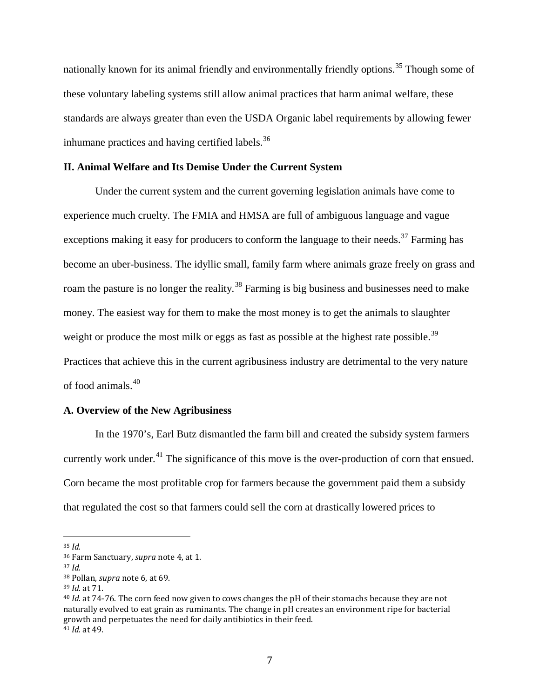nationally known for its animal friendly and environmentally friendly options.<sup>[35](#page-46-0)</sup> Though some of these voluntary labeling systems still allow animal practices that harm animal welfare, these standards are always greater than even the USDA Organic label requirements by allowing fewer inhumane practices and having certified labels.<sup>[36](#page-46-1)</sup>

#### **II. Animal Welfare and Its Demise Under the Current System**

Under the current system and the current governing legislation animals have come to experience much cruelty. The FMIA and HMSA are full of ambiguous language and vague exceptions making it easy for producers to conform the language to their needs.<sup>[37](#page-46-2)</sup> Farming has become an uber-business. The idyllic small, family farm where animals graze freely on grass and roam the pasture is no longer the reality.<sup>[38](#page-46-3)</sup> Farming is big business and businesses need to make money. The easiest way for them to make the most money is to get the animals to slaughter weight or produce the most milk or eggs as fast as possible at the highest rate possible.<sup>[39](#page-46-4)</sup> Practices that achieve this in the current agribusiness industry are detrimental to the very nature of food animals.[40](#page-46-5)

#### **A. Overview of the New Agribusiness**

In the 1970's, Earl Butz dismantled the farm bill and created the subsidy system farmers currently work under.<sup>[41](#page-46-6)</sup> The significance of this move is the over-production of corn that ensued. Corn became the most profitable crop for farmers because the government paid them a subsidy that regulated the cost so that farmers could sell the corn at drastically lowered prices to

<span id="page-46-0"></span> <sup>35</sup> *Id.*

<span id="page-46-1"></span><sup>36</sup> Farm Sanctuary, *supra* note 4, at 1.

<span id="page-46-2"></span><sup>37</sup> *Id.*

<span id="page-46-3"></span><sup>38</sup> Pollan, *supra* note 6, at 69.

<span id="page-46-4"></span><sup>39</sup> *Id.* at 71.

<span id="page-46-6"></span><span id="page-46-5"></span><sup>40</sup> *Id.* at 74-76. The corn feed now given to cows changes the pH of their stomachs because they are not naturally evolved to eat grain as ruminants. The change in pH creates an environment ripe for bacterial growth and perpetuates the need for daily antibiotics in their feed. <sup>41</sup> *Id.* at 49.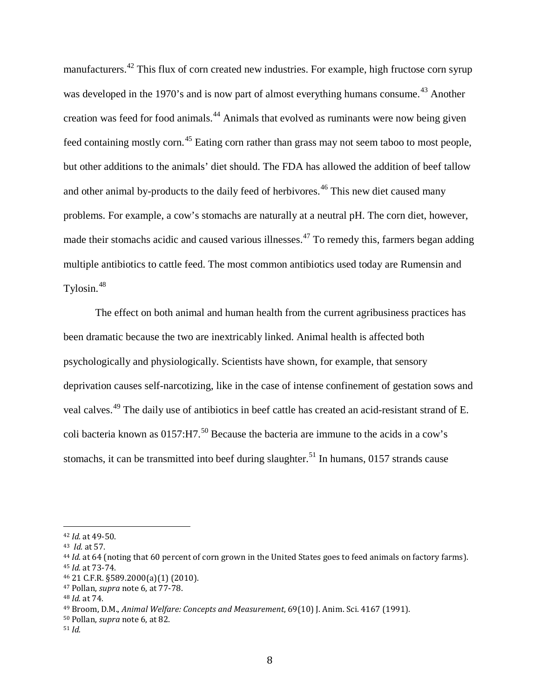manufacturers.<sup>[42](#page-47-0)</sup> This flux of corn created new industries. For example, high fructose corn syrup was developed in the 1970's and is now part of almost everything humans consume.<sup>[43](#page-47-1)</sup> Another creation was feed for food animals.[44](#page-47-2) Animals that evolved as ruminants were now being given feed containing mostly corn.[45](#page-47-3) Eating corn rather than grass may not seem taboo to most people, but other additions to the animals' diet should. The FDA has allowed the addition of beef tallow and other animal by-products to the daily feed of herbivores.<sup>[46](#page-47-4)</sup> This new diet caused many problems. For example, a cow's stomachs are naturally at a neutral pH. The corn diet, however, made their stomachs acidic and caused various illnesses.<sup>[47](#page-47-5)</sup> To remedy this, farmers began adding multiple antibiotics to cattle feed. The most common antibiotics used today are Rumensin and Tylosin.[48](#page-47-6)

The effect on both animal and human health from the current agribusiness practices has been dramatic because the two are inextricably linked. Animal health is affected both psychologically and physiologically. Scientists have shown, for example, that sensory deprivation causes self-narcotizing, like in the case of intense confinement of gestation sows and veal calves.[49](#page-47-7) The daily use of antibiotics in beef cattle has created an acid-resistant strand of E. coli bacteria known as  $0157:H7^{50}$  $0157:H7^{50}$  $0157:H7^{50}$  Because the bacteria are immune to the acids in a cow's stomachs, it can be transmitted into beef during slaughter.<sup>[51](#page-47-9)</sup> In humans, 0157 strands cause

<span id="page-47-0"></span> <sup>42</sup> *Id.* at 49-50.

<span id="page-47-1"></span><sup>43</sup> *Id.* at 57.

<span id="page-47-3"></span><span id="page-47-2"></span><sup>44</sup> *Id.* at 64 (noting that 60 percent of corn grown in the United States goes to feed animals on factory farms). <sup>45</sup> *Id.* at 73-74.

<span id="page-47-4"></span><sup>46</sup> 21 C.F.R. §589.2000(a)(1) (2010).

<span id="page-47-5"></span><sup>47</sup> Pollan, *supra* note 6, at 77-78.

<span id="page-47-6"></span><sup>48</sup> *Id.* at 74.

<span id="page-47-7"></span><sup>49</sup> Broom, D.M., *Animal Welfare: Concepts and Measurement*, 69(10) J. Anim. Sci. 4167 (1991).

<span id="page-47-8"></span><sup>50</sup> Pollan, *supra* note 6, at 82.

<span id="page-47-9"></span><sup>51</sup> *Id.*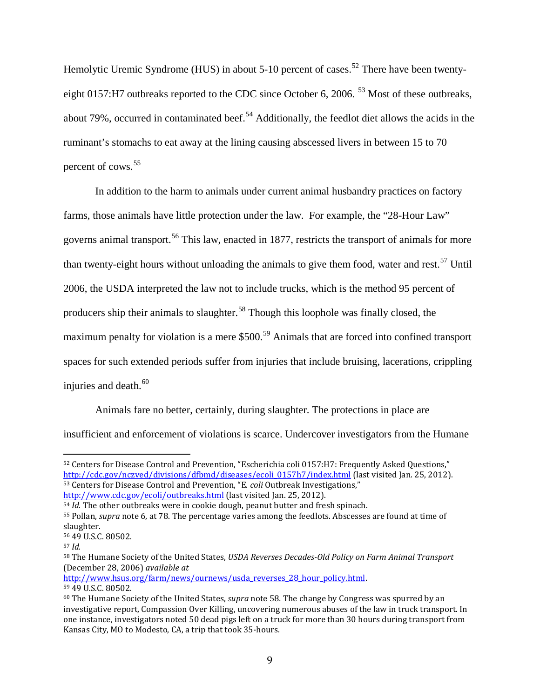Hemolytic Uremic Syndrome (HUS) in about  $5\t{-}10$  percent of cases.<sup>[52](#page-48-0)</sup> There have been twenty-eight 0157:H7 outbreaks reported to the CDC since October 6, 2006. <sup>[53](#page-48-1)</sup> Most of these outbreaks, about 79%, occurred in contaminated beef.<sup>[54](#page-48-2)</sup> Additionally, the feedlot diet allows the acids in the ruminant's stomachs to eat away at the lining causing abscessed livers in between 15 to 70 percent of cows.<sup>[55](#page-48-3)</sup>

In addition to the harm to animals under current animal husbandry practices on factory farms, those animals have little protection under the law. For example, the "28-Hour Law" governs animal transport.<sup>[56](#page-48-4)</sup> This law, enacted in 1877, restricts the transport of animals for more than twenty-eight hours without unloading the animals to give them food, water and rest.<sup>[57](#page-48-5)</sup> Until 2006, the USDA interpreted the law not to include trucks, which is the method 95 percent of producers ship their animals to slaughter.<sup>[58](#page-48-6)</sup> Though this loophole was finally closed, the maximum penalty for violation is a mere \$500.<sup>[59](#page-48-7)</sup> Animals that are forced into confined transport spaces for such extended periods suffer from injuries that include bruising, lacerations, crippling injuries and death.<sup>[60](#page-48-8)</sup>

Animals fare no better, certainly, during slaughter. The protections in place are insufficient and enforcement of violations is scarce. Undercover investigators from the Humane

<span id="page-48-0"></span> <sup>52</sup> Centers for Disease Control and Prevention, "Escherichia coli 0157:H7: Frequently Asked Questions," [http://cdc.gov/nczved/divisions/dfbmd/diseases/ecoli\\_0157h7/index.html](http://cdc.gov/nczved/divisions/dfbmd/diseases/ecoli_0157h7/index.html) (last visited Jan. 25, 2012). <sup>53</sup> Centers for Disease Control and Prevention, "E. *coli* Outbreak Investigations,"

<span id="page-48-1"></span><http://www.cdc.gov/ecoli/outbreaks.html> (last visited Jan. 25, 2012).

<span id="page-48-2"></span><sup>54</sup> *Id.* The other outbreaks were in cookie dough, peanut butter and fresh spinach.

<span id="page-48-3"></span><sup>55</sup> Pollan, *supra* note 6, at 78. The percentage varies among the feedlots. Abscesses are found at time of slaughter.

<span id="page-48-4"></span><sup>56</sup> 49 U.S.C. 80502.

<span id="page-48-5"></span><sup>57</sup> *Id.*

<span id="page-48-6"></span><sup>58</sup> The Humane Society of the United States, *USDA Reverses Decades-Old Policy on Farm Animal Transport* (December 28, 2006) *available at* 

[http://www.hsus.org/farm/news/ournews/usda\\_reverses\\_28\\_hour\\_policy.html.](http://www.hsus.org/farm/news/ournews/usda_reverses_28_hour_policy.html)

<span id="page-48-7"></span><sup>59</sup> 49 U.S.C. 80502.

<span id="page-48-8"></span><sup>60</sup> The Humane Society of the United States, *supra* note 58*.* The change by Congress was spurred by an investigative report, Compassion Over Killing, uncovering numerous abuses of the law in truck transport. In one instance, investigators noted 50 dead pigs left on a truck for more than 30 hours during transport from Kansas City, MO to Modesto, CA, a trip that took 35-hours.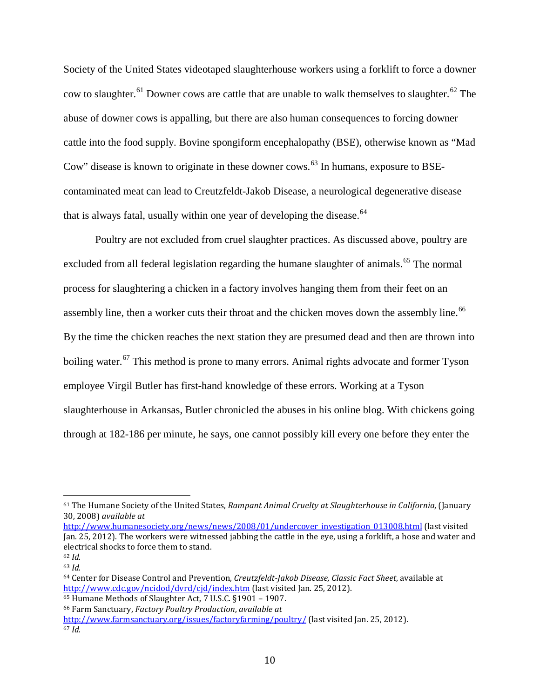Society of the United States videotaped slaughterhouse workers using a forklift to force a downer cow to slaughter.<sup>[61](#page-49-0)</sup> Downer cows are cattle that are unable to walk themselves to slaughter.<sup>[62](#page-49-1)</sup> The abuse of downer cows is appalling, but there are also human consequences to forcing downer cattle into the food supply. Bovine spongiform encephalopathy (BSE), otherwise known as "Mad Cow" disease is known to originate in these downer cows.<sup>[63](#page-49-2)</sup> In humans, exposure to BSEcontaminated meat can lead to Creutzfeldt-Jakob Disease, a neurological degenerative disease that is always fatal, usually within one year of developing the disease. $64$ 

Poultry are not excluded from cruel slaughter practices. As discussed above, poultry are excluded from all federal legislation regarding the humane slaughter of animals.<sup>[65](#page-49-4)</sup> The normal process for slaughtering a chicken in a factory involves hanging them from their feet on an assembly line, then a worker cuts their throat and the chicken moves down the assembly line.<sup>[66](#page-49-5)</sup> By the time the chicken reaches the next station they are presumed dead and then are thrown into boiling water.<sup>[67](#page-49-6)</sup> This method is prone to many errors. Animal rights advocate and former Tyson employee Virgil Butler has first-hand knowledge of these errors. Working at a Tyson slaughterhouse in Arkansas, Butler chronicled the abuses in his online blog. With chickens going through at 182-186 per minute, he says, one cannot possibly kill every one before they enter the

<span id="page-49-0"></span> <sup>61</sup> The Humane Society of the United States, *Rampant Animal Cruelty at Slaughterhouse in California*, (January 30, 2008) *available at* 

[http://www.humanesociety.org/news/news/2008/01/undercover\\_investigation\\_013008.html](http://www.humanesociety.org/news/news/2008/01/undercover_investigation_013008.html) (last visited Jan. 25, 2012). The workers were witnessed jabbing the cattle in the eye, using a forklift, a hose and water and electrical shocks to force them to stand.

<span id="page-49-2"></span><span id="page-49-1"></span><sup>62</sup> *Id.* <sup>63</sup> *Id.*

<span id="page-49-3"></span><sup>64</sup> Center for Disease Control and Prevention, *Creutzfeldt-Jakob Disease, Classic Fact Sheet*, available at <http://www.cdc.gov/ncidod/dvrd/cjd/index.htm> (last visited Jan. 25, 2012).

<span id="page-49-4"></span><sup>65</sup> Humane Methods of Slaughter Act, 7 U.S.C. §1901 – 1907.

<span id="page-49-5"></span><sup>66</sup> Farm Sanctuary, *Factory Poultry Production*, *available at*

<span id="page-49-6"></span><http://www.farmsanctuary.org/issues/factoryfarming/poultry/> (last visited Jan. 25, 2012). <sup>67</sup> *Id.*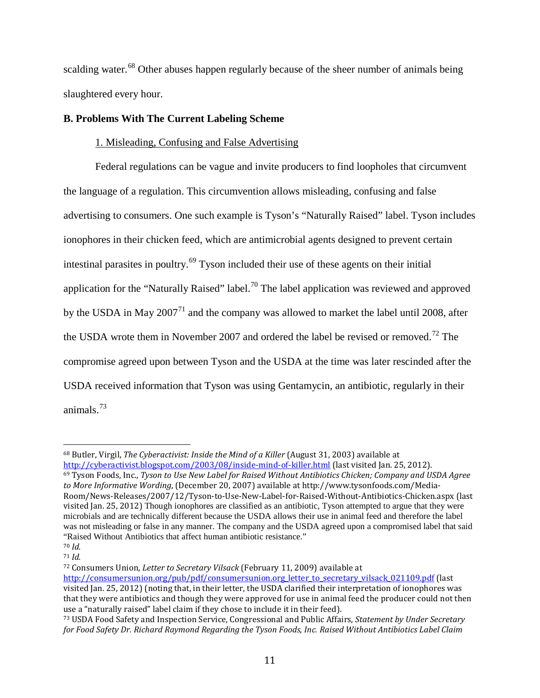scalding water.<sup>[68](#page-50-0)</sup> Other abuses happen regularly because of the sheer number of animals being slaughtered every hour.

# **B. Problems With The Current Labeling Scheme**

# 1. Misleading, Confusing and False Advertising

Federal regulations can be vague and invite producers to find loopholes that circumvent the language of a regulation. This circumvention allows misleading, confusing and false advertising to consumers. One such example is Tyson's "Naturally Raised" label. Tyson includes ionophores in their chicken feed, which are antimicrobial agents designed to prevent certain intestinal parasites in poultry.[69](#page-50-1) Tyson included their use of these agents on their initial application for the "Naturally Raised" label.<sup>[70](#page-50-2)</sup> The label application was reviewed and approved by the USDA in May  $2007<sup>71</sup>$  $2007<sup>71</sup>$  $2007<sup>71</sup>$  and the company was allowed to market the label until 2008, after the USDA wrote them in November 2007 and ordered the label be revised or removed.<sup>[72](#page-50-4)</sup> The compromise agreed upon between Tyson and the USDA at the time was later rescinded after the USDA received information that Tyson was using Gentamycin, an antibiotic, regularly in their animals.[73](#page-50-5)

<span id="page-50-4"></span><sup>72</sup> Consumers Union, *Letter to Secretary Vilsack* (February 11, 2009) available at

<span id="page-50-0"></span> <sup>68</sup> Butler, Virgil, *The Cyberactivist: Inside the Mind of a Killer* (August 31, 2003) available at

<span id="page-50-1"></span><http://cyberactivist.blogspot.com/2003/08/inside-mind-of-killer.html> (last visited Jan. 25, 2012). <sup>69</sup> Tyson Foods, Inc., *Tyson to Use New Label for Raised Without Antibiotics Chicken; Company and USDA Agree to More Informative Wording*, (December 20, 2007) available at http://www.tysonfoods.com/Media-Room/News-Releases/2007/12/Tyson-to-Use-New-Label-for-Raised-Without-Antibiotics-Chicken.aspx (last visited Jan. 25, 2012) Though ionophores are classified as an antibiotic, Tyson attempted to argue that they were microbials and are technically different because the USDA allows their use in animal feed and therefore the label was not misleading or false in any manner. The company and the USDA agreed upon a compromised label that said "Raised Without Antibiotics that affect human antibiotic resistance."

<span id="page-50-2"></span><sup>70</sup> *Id.*

<span id="page-50-3"></span><sup>71</sup> *Id.*

[http://consumersunion.org/pub/pdf/consumersunion.org\\_letter\\_to\\_secretary\\_vilsack\\_021109.pdf](http://consumersunion.org/pub/pdf/consumersunion.org_letter_to_secretary_vilsack_021109.pdf) (last visited Jan. 25, 2012) (noting that, in their letter, the USDA clarified their interpretation of ionophores was that they were antibiotics and though they were approved for use in animal feed the producer could not then use a "naturally raised" label claim if they chose to include it in their feed).

<span id="page-50-5"></span><sup>73</sup> USDA Food Safety and Inspection Service, Congressional and Public Affairs, *Statement by Under Secretary for Food Safety Dr. Richard Raymond Regarding the Tyson Foods, Inc. Raised Without Antibiotics Label Claim*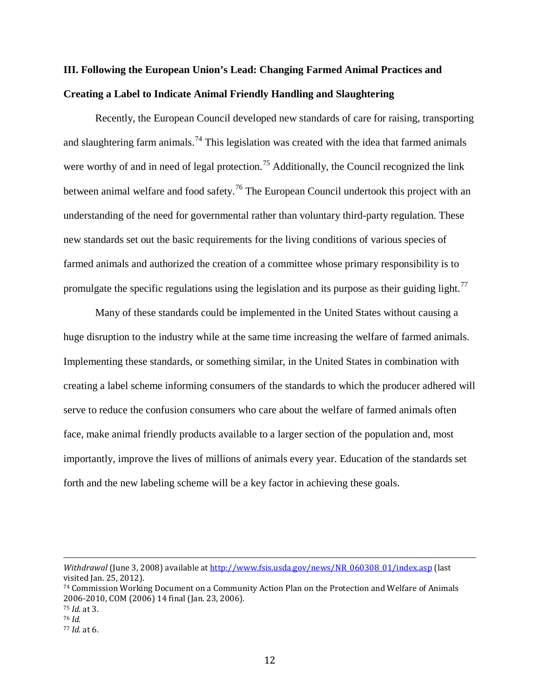# **III. Following the European Union's Lead: Changing Farmed Animal Practices and Creating a Label to Indicate Animal Friendly Handling and Slaughtering**

Recently, the European Council developed new standards of care for raising, transporting and slaughtering farm animals.<sup>[74](#page-51-0)</sup> This legislation was created with the idea that farmed animals were worthy of and in need of legal protection.<sup>[75](#page-51-1)</sup> Additionally, the Council recognized the link between animal welfare and food safety.<sup>[76](#page-51-2)</sup> The European Council undertook this project with an understanding of the need for governmental rather than voluntary third-party regulation. These new standards set out the basic requirements for the living conditions of various species of farmed animals and authorized the creation of a committee whose primary responsibility is to promulgate the specific regulations using the legislation and its purpose as their guiding light.<sup>[77](#page-51-3)</sup>

Many of these standards could be implemented in the United States without causing a huge disruption to the industry while at the same time increasing the welfare of farmed animals. Implementing these standards, or something similar, in the United States in combination with creating a label scheme informing consumers of the standards to which the producer adhered will serve to reduce the confusion consumers who care about the welfare of farmed animals often face, make animal friendly products available to a larger section of the population and, most importantly, improve the lives of millions of animals every year. Education of the standards set forth and the new labeling scheme will be a key factor in achieving these goals.

<sup>1</sup> *Withdrawal* (June 3, 2008) available a[t http://www.fsis.usda.gov/news/NR\\_060308\\_01/index.asp](http://www.fsis.usda.gov/news/NR_060308_01/index.asp) (last visited Jan. 25, 2012).

<span id="page-51-0"></span><sup>74</sup> Commission Working Document on a Community Action Plan on the Protection and Welfare of Animals 2006-2010, COM (2006) 14 final (Jan. 23, 2006).

<span id="page-51-1"></span><sup>75</sup> *Id.* at 3.

<span id="page-51-2"></span><sup>76</sup> *Id.*

<span id="page-51-3"></span><sup>77</sup> *Id.* at 6.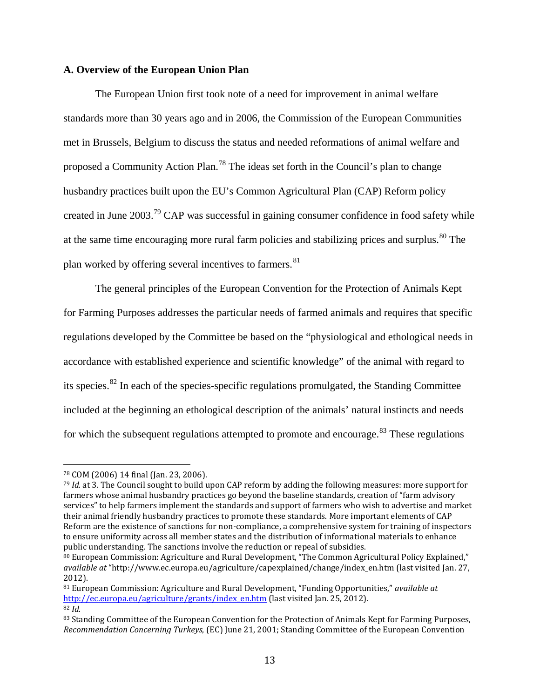#### **A. Overview of the European Union Plan**

The European Union first took note of a need for improvement in animal welfare standards more than 30 years ago and in 2006, the Commission of the European Communities met in Brussels, Belgium to discuss the status and needed reformations of animal welfare and proposed a Community Action Plan.<sup>[78](#page-52-0)</sup> The ideas set forth in the Council's plan to change husbandry practices built upon the EU's Common Agricultural Plan (CAP) Reform policy created in June 2003.[79](#page-52-1) CAP was successful in gaining consumer confidence in food safety while at the same time encouraging more rural farm policies and stabilizing prices and surplus.<sup>[80](#page-52-2)</sup> The plan worked by offering several incentives to farmers.<sup>81</sup>

The general principles of the European Convention for the Protection of Animals Kept for Farming Purposes addresses the particular needs of farmed animals and requires that specific regulations developed by the Committee be based on the "physiological and ethological needs in accordance with established experience and scientific knowledge" of the animal with regard to its species.[82](#page-52-4) In each of the species-specific regulations promulgated, the Standing Committee included at the beginning an ethological description of the animals' natural instincts and needs for which the subsequent regulations attempted to promote and encourage.<sup>[83](#page-52-5)</sup> These regulations

<span id="page-52-0"></span> <sup>78</sup> COM (2006) 14 final (Jan. 23, 2006).

<span id="page-52-1"></span><sup>79</sup> *Id.* at 3. The Council sought to build upon CAP reform by adding the following measures: more support for farmers whose animal husbandry practices go beyond the baseline standards, creation of "farm advisory services" to help farmers implement the standards and support of farmers who wish to advertise and market their animal friendly husbandry practices to promote these standards. More important elements of CAP Reform are the existence of sanctions for non-compliance, a comprehensive system for training of inspectors to ensure uniformity across all member states and the distribution of informational materials to enhance public understanding. The sanctions involve the reduction or repeal of subsidies.

<span id="page-52-2"></span><sup>80</sup> European Commission: Agriculture and Rural Development, "The Common Agricultural Policy Explained," *available at* "http://www.ec.europa.eu/agriculture/capexplained/change/index\_en.htm (last visited Jan. 27, 2012).

<span id="page-52-3"></span><sup>81</sup> European Commission: Agriculture and Rural Development, "Funding Opportunities," *available at* [http://ec.europa.eu/agriculture/grants/index\\_en.htm](http://ec.europa.eu/agriculture/capreform/index_en.htm) (last visited Jan. 25, 2012). <sup>82</sup> *Id.*

<span id="page-52-5"></span><span id="page-52-4"></span><sup>83</sup> Standing Committee of the European Convention for the Protection of Animals Kept for Farming Purposes, *Recommendation Concerning Turkeys*, (EC) June 21, 2001; Standing Committee of the European Convention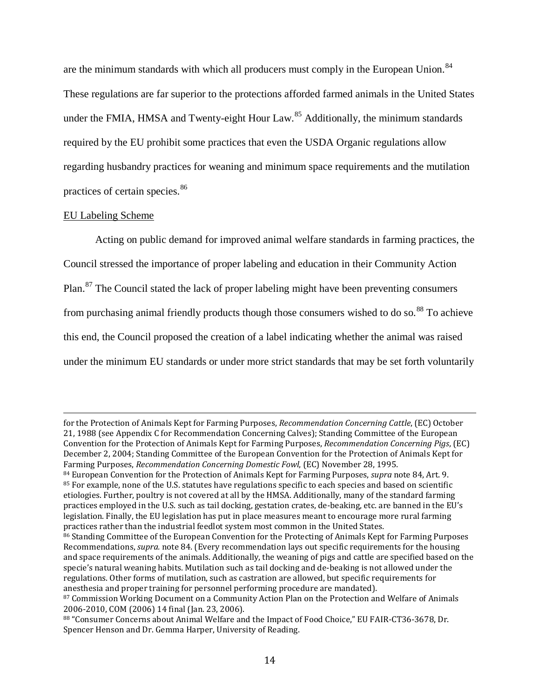are the minimum standards with which all producers must comply in the European Union.<sup>[84](#page-53-0)</sup> These regulations are far superior to the protections afforded farmed animals in the United States under the FMIA, HMSA and Twenty-eight Hour Law.<sup>[85](#page-53-1)</sup> Additionally, the minimum standards required by the EU prohibit some practices that even the USDA Organic regulations allow regarding husbandry practices for weaning and minimum space requirements and the mutilation practices of certain species.<sup>[86](#page-53-2)</sup>

#### EU Labeling Scheme

Acting on public demand for improved animal welfare standards in farming practices, the Council stressed the importance of proper labeling and education in their Community Action Plan.[87](#page-53-3) The Council stated the lack of proper labeling might have been preventing consumers from purchasing animal friendly products though those consumers wished to do so.<sup>[88](#page-53-4)</sup> To achieve this end, the Council proposed the creation of a label indicating whether the animal was raised under the minimum EU standards or under more strict standards that may be set forth voluntarily

<sup>1</sup> for the Protection of Animals Kept for Farming Purposes, *Recommendation Concerning Cattle*, (EC) October 21, 1988 (see Appendix C for Recommendation Concerning Calves); Standing Committee of the European Convention for the Protection of Animals Kept for Farming Purposes, *Recommendation Concerning Pigs*, (EC) December 2, 2004; Standing Committee of the European Convention for the Protection of Animals Kept for Farming Purposes, *Recommendation Concerning Domestic Fowl*, (EC) November 28, 1995.

<span id="page-53-1"></span><span id="page-53-0"></span><sup>84</sup> European Convention for the Protection of Animals Kept for Farming Purposes, *supra* note 84, Art. 9. 85 For example, none of the U.S. statutes have regulations specific to each species and based on scientific etiologies. Further, poultry is not covered at all by the HMSA. Additionally, many of the standard farming practices employed in the U.S. such as tail docking, gestation crates, de-beaking, etc. are banned in the EU's legislation. Finally, the EU legislation has put in place measures meant to encourage more rural farming practices rather than the industrial feedlot system most common in the United States.

<span id="page-53-2"></span><sup>86</sup> Standing Committee of the European Convention for the Protecting of Animals Kept for Farming Purposes Recommendations, *supra.* note 84. (Every recommendation lays out specific requirements for the housing and space requirements of the animals. Additionally, the weaning of pigs and cattle are specified based on the specie's natural weaning habits. Mutilation such as tail docking and de-beaking is not allowed under the regulations. Other forms of mutilation, such as castration are allowed, but specific requirements for anesthesia and proper training for personnel performing procedure are mandated).

<span id="page-53-3"></span><sup>87</sup> Commission Working Document on a Community Action Plan on the Protection and Welfare of Animals 2006-2010, COM (2006) 14 final (Jan. 23, 2006).

<span id="page-53-4"></span><sup>88</sup> "Consumer Concerns about Animal Welfare and the Impact of Food Choice," EU FAIR-CT36-3678, Dr. Spencer Henson and Dr. Gemma Harper, University of Reading.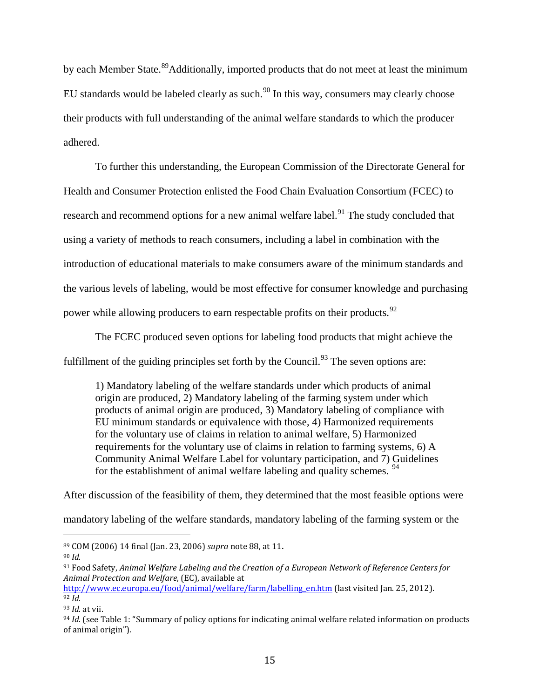by each Member State.<sup>[89](#page-54-0)</sup>Additionally, imported products that do not meet at least the minimum EU standards would be labeled clearly as such. $90$  In this way, consumers may clearly choose their products with full understanding of the animal welfare standards to which the producer adhered.

To further this understanding, the European Commission of the Directorate General for Health and Consumer Protection enlisted the Food Chain Evaluation Consortium (FCEC) to research and recommend options for a new animal welfare label.<sup>[91](#page-54-2)</sup> The study concluded that using a variety of methods to reach consumers, including a label in combination with the introduction of educational materials to make consumers aware of the minimum standards and the various levels of labeling, would be most effective for consumer knowledge and purchasing power while allowing producers to earn respectable profits on their products.<sup>[92](#page-54-3)</sup>

The FCEC produced seven options for labeling food products that might achieve the fulfillment of the guiding principles set forth by the Council.<sup>[93](#page-54-4)</sup> The seven options are:

1) Mandatory labeling of the welfare standards under which products of animal origin are produced, 2) Mandatory labeling of the farming system under which products of animal origin are produced, 3) Mandatory labeling of compliance with EU minimum standards or equivalence with those, 4) Harmonized requirements for the voluntary use of claims in relation to animal welfare, 5) Harmonized requirements for the voluntary use of claims in relation to farming systems, 6) A Community Animal Welfare Label for voluntary participation, and 7) Guidelines for the establishment of animal welfare labeling and quality schemes.  $94$ 

After discussion of the feasibility of them, they determined that the most feasible options were mandatory labeling of the welfare standards, mandatory labeling of the farming system or the

<span id="page-54-0"></span> <sup>89</sup> COM (2006) 14 final (Jan. 23, 2006) *supra* note 88, at 11.

<span id="page-54-1"></span><sup>90</sup> *Id.*

<span id="page-54-2"></span><sup>91</sup> Food Safety, *Animal Welfare Labeling and the Creation of a European Network of Reference Centers for Animal Protection and Welfare*, (EC), available at

<span id="page-54-3"></span>[http://www.ec.europa.eu/food/animal/welfare/farm/labelling\\_en.htm](http://www.ec.europa.eu/food/animal/welfare/farm/labelling_en.htm) (last visited Jan. 25, 2012). <sup>92</sup> *Id.*

<span id="page-54-4"></span><sup>93</sup> *Id.* at vii.

<span id="page-54-5"></span><sup>94</sup> *Id.* (see Table 1: "Summary of policy options for indicating animal welfare related information on products of animal origin").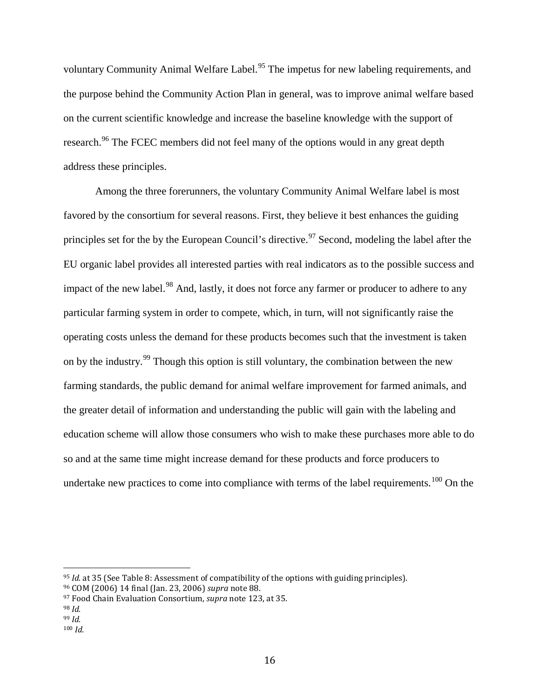voluntary Community Animal Welfare Label.<sup>[95](#page-55-0)</sup> The impetus for new labeling requirements, and the purpose behind the Community Action Plan in general, was to improve animal welfare based on the current scientific knowledge and increase the baseline knowledge with the support of research.<sup>[96](#page-55-1)</sup> The FCEC members did not feel many of the options would in any great depth address these principles.

Among the three forerunners, the voluntary Community Animal Welfare label is most favored by the consortium for several reasons. First, they believe it best enhances the guiding principles set for the by the European Council's directive.<sup>[97](#page-55-2)</sup> Second, modeling the label after the EU organic label provides all interested parties with real indicators as to the possible success and impact of the new label.<sup>[98](#page-55-3)</sup> And, lastly, it does not force any farmer or producer to adhere to any particular farming system in order to compete, which, in turn, will not significantly raise the operating costs unless the demand for these products becomes such that the investment is taken on by the industry.[99](#page-55-4) Though this option is still voluntary, the combination between the new farming standards, the public demand for animal welfare improvement for farmed animals, and the greater detail of information and understanding the public will gain with the labeling and education scheme will allow those consumers who wish to make these purchases more able to do so and at the same time might increase demand for these products and force producers to undertake new practices to come into compliance with terms of the label requirements.<sup>[100](#page-55-5)</sup> On the

<span id="page-55-0"></span> <sup>95</sup> *Id.* at 35 (See Table 8: Assessment of compatibility of the options with guiding principles).

<span id="page-55-1"></span><sup>96</sup> COM (2006) 14 final (Jan. 23, 2006) *supra* note 88.

<span id="page-55-2"></span><sup>97</sup> Food Chain Evaluation Consortium, *supra* note 123, at 35.

<span id="page-55-4"></span><span id="page-55-3"></span><sup>98</sup> *Id.*

<sup>99</sup> *Id.*

<span id="page-55-5"></span><sup>100</sup> *Id.*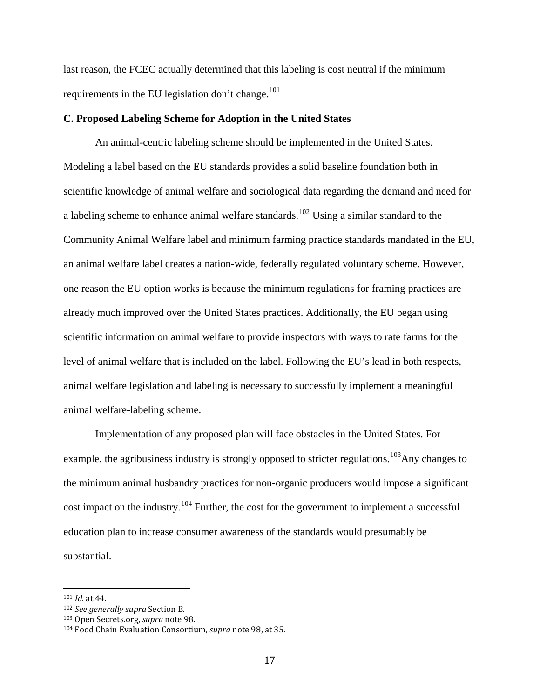last reason, the FCEC actually determined that this labeling is cost neutral if the minimum requirements in the EU legislation don't change. $101$ 

#### **C. Proposed Labeling Scheme for Adoption in the United States**

An animal-centric labeling scheme should be implemented in the United States. Modeling a label based on the EU standards provides a solid baseline foundation both in scientific knowledge of animal welfare and sociological data regarding the demand and need for a labeling scheme to enhance animal welfare standards.<sup>[102](#page-56-1)</sup> Using a similar standard to the Community Animal Welfare label and minimum farming practice standards mandated in the EU, an animal welfare label creates a nation-wide, federally regulated voluntary scheme. However, one reason the EU option works is because the minimum regulations for framing practices are already much improved over the United States practices. Additionally, the EU began using scientific information on animal welfare to provide inspectors with ways to rate farms for the level of animal welfare that is included on the label. Following the EU's lead in both respects, animal welfare legislation and labeling is necessary to successfully implement a meaningful animal welfare-labeling scheme.

Implementation of any proposed plan will face obstacles in the United States. For example, the agribusiness industry is strongly opposed to stricter regulations.<sup>103</sup>Any changes to the minimum animal husbandry practices for non-organic producers would impose a significant cost impact on the industry.<sup>[104](#page-56-3)</sup> Further, the cost for the government to implement a successful education plan to increase consumer awareness of the standards would presumably be substantial.

<span id="page-56-0"></span> <sup>101</sup> *Id.* at 44.

<span id="page-56-1"></span><sup>102</sup> *See generally supra* Section B.

<span id="page-56-2"></span><sup>103</sup> Open Secrets.org, *supra* note 98.

<span id="page-56-3"></span><sup>104</sup> Food Chain Evaluation Consortium, *supra* note 98, at 35.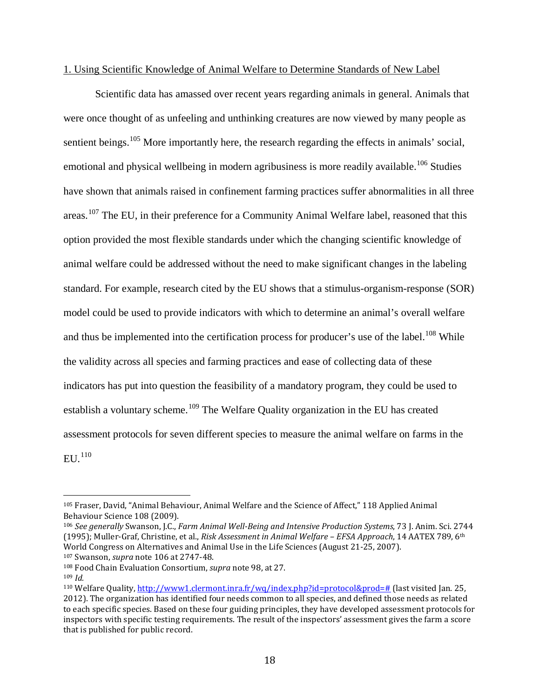#### 1. Using Scientific Knowledge of Animal Welfare to Determine Standards of New Label

Scientific data has amassed over recent years regarding animals in general. Animals that were once thought of as unfeeling and unthinking creatures are now viewed by many people as sentient beings.<sup>[105](#page-57-0)</sup> More importantly here, the research regarding the effects in animals' social, emotional and physical wellbeing in modern agribusiness is more readily available.<sup>[106](#page-57-1)</sup> Studies have shown that animals raised in confinement farming practices suffer abnormalities in all three areas.<sup>[107](#page-57-2)</sup> The EU, in their preference for a Community Animal Welfare label, reasoned that this option provided the most flexible standards under which the changing scientific knowledge of animal welfare could be addressed without the need to make significant changes in the labeling standard. For example, research cited by the EU shows that a stimulus-organism-response (SOR) model could be used to provide indicators with which to determine an animal's overall welfare and thus be implemented into the certification process for producer's use of the label.<sup>[108](#page-57-3)</sup> While the validity across all species and farming practices and ease of collecting data of these indicators has put into question the feasibility of a mandatory program, they could be used to establish a voluntary scheme.<sup>[109](#page-57-4)</sup> The Welfare Quality organization in the EU has created assessment protocols for seven different species to measure the animal welfare on farms in the  $ELU<sub>110</sub>$  $ELU<sub>110</sub>$  $ELU<sub>110</sub>$ 

<span id="page-57-0"></span> <sup>105</sup> Fraser, David, "Animal Behaviour, Animal Welfare and the Science of Affect," 118 Applied Animal Behaviour Science 108 (2009).

<span id="page-57-1"></span><sup>106</sup> *See generally* Swanson, J.C., *Farm Animal Well-Being and Intensive Production Systems*, 73 J. Anim. Sci. 2744 (1995); Muller-Graf, Christine, et al., *Risk Assessment in Animal Welfare – EFSA Approach*, 14 AATEX 789, 6th World Congress on Alternatives and Animal Use in the Life Sciences (August 21-25, 2007).

<span id="page-57-2"></span><sup>107</sup> Swanson, *supra* note 106 at 2747-48.

<span id="page-57-3"></span><sup>108</sup> Food Chain Evaluation Consortium, *supra* note 98, at 27.

<span id="page-57-4"></span><sup>109</sup> *Id.*

<span id="page-57-5"></span><sup>110</sup> Welfare Quality, [http://www1.clermont.inra.fr/wq/index.php?id=protocol&prod=#](http://www1.clermont.inra.fr/wq/index.php?id=protocol&prod=) (last visited Jan. 25, 2012). The organization has identified four needs common to all species, and defined those needs as related to each specific species. Based on these four guiding principles, they have developed assessment protocols for inspectors with specific testing requirements. The result of the inspectors' assessment gives the farm a score that is published for public record.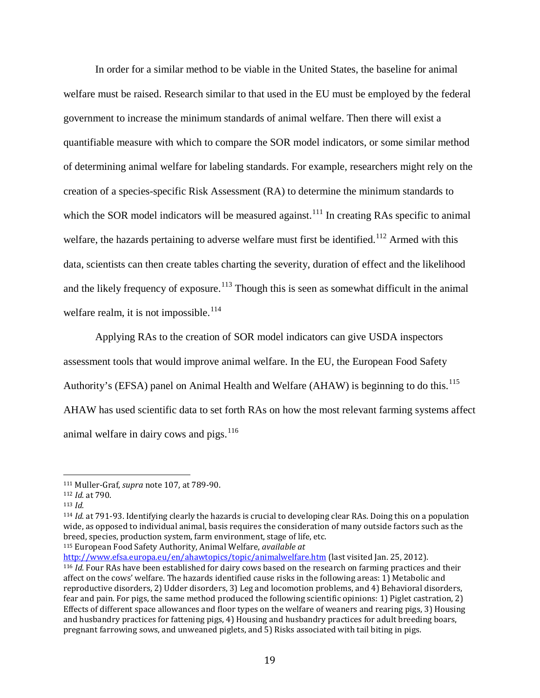In order for a similar method to be viable in the United States, the baseline for animal welfare must be raised. Research similar to that used in the EU must be employed by the federal government to increase the minimum standards of animal welfare. Then there will exist a quantifiable measure with which to compare the SOR model indicators, or some similar method of determining animal welfare for labeling standards. For example, researchers might rely on the creation of a species-specific Risk Assessment (RA) to determine the minimum standards to which the SOR model indicators will be measured against.<sup>[111](#page-58-0)</sup> In creating RAs specific to animal welfare, the hazards pertaining to adverse welfare must first be identified.<sup>[112](#page-58-1)</sup> Armed with this data, scientists can then create tables charting the severity, duration of effect and the likelihood and the likely frequency of exposure.<sup>[113](#page-58-2)</sup> Though this is seen as somewhat difficult in the animal welfare realm, it is not impossible.<sup>[114](#page-58-3)</sup>

Applying RAs to the creation of SOR model indicators can give USDA inspectors assessment tools that would improve animal welfare. In the EU, the European Food Safety Authority's (EFSA) panel on Animal Health and Welfare (AHAW) is beginning to do this.<sup>[115](#page-58-4)</sup> AHAW has used scientific data to set forth RAs on how the most relevant farming systems affect animal welfare in dairy cows and pigs. $116$ 

<span id="page-58-0"></span> <sup>111</sup> Muller-Graf, *supra* note 107, at 789-90.

<span id="page-58-1"></span><sup>112</sup> *Id.* at 790.

<span id="page-58-2"></span><sup>113</sup> *Id.*

<span id="page-58-3"></span><sup>114</sup> *Id.* at 791-93. Identifying clearly the hazards is crucial to developing clear RAs. Doing this on a population wide, as opposed to individual animal, basis requires the consideration of many outside factors such as the breed, species, production system, farm environment, stage of life, etc. <sup>115</sup> European Food Safety Authority, Animal Welfare, *available at* 

<span id="page-58-5"></span><span id="page-58-4"></span><http://www.efsa.europa.eu/en/ahawtopics/topic/animalwelfare.htm> (last visited Jan. 25, 2012). <sup>116</sup> *Id.* Four RAs have been established for dairy cows based on the research on farming practices and their affect on the cows' welfare. The hazards identified cause risks in the following areas: 1) Metabolic and reproductive disorders, 2) Udder disorders, 3) Leg and locomotion problems, and 4) Behavioral disorders, fear and pain. For pigs, the same method produced the following scientific opinions: 1) Piglet castration, 2) Effects of different space allowances and floor types on the welfare of weaners and rearing pigs, 3) Housing and husbandry practices for fattening pigs, 4) Housing and husbandry practices for adult breeding boars, pregnant farrowing sows, and unweaned piglets, and 5) Risks associated with tail biting in pigs.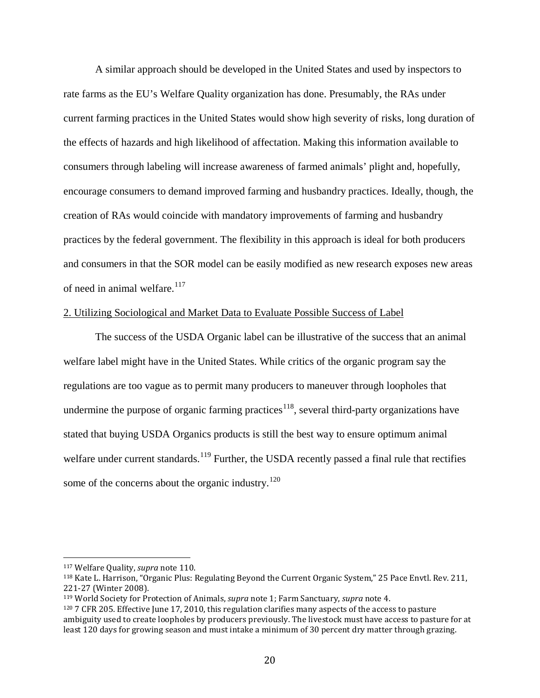A similar approach should be developed in the United States and used by inspectors to rate farms as the EU's Welfare Quality organization has done. Presumably, the RAs under current farming practices in the United States would show high severity of risks, long duration of the effects of hazards and high likelihood of affectation. Making this information available to consumers through labeling will increase awareness of farmed animals' plight and, hopefully, encourage consumers to demand improved farming and husbandry practices. Ideally, though, the creation of RAs would coincide with mandatory improvements of farming and husbandry practices by the federal government. The flexibility in this approach is ideal for both producers and consumers in that the SOR model can be easily modified as new research exposes new areas of need in animal welfare.<sup>[117](#page-59-0)</sup>

#### 2. Utilizing Sociological and Market Data to Evaluate Possible Success of Label

The success of the USDA Organic label can be illustrative of the success that an animal welfare label might have in the United States. While critics of the organic program say the regulations are too vague as to permit many producers to maneuver through loopholes that undermine the purpose of organic farming practices<sup>[118](#page-59-1)</sup>, several third-party organizations have stated that buying USDA Organics products is still the best way to ensure optimum animal welfare under current standards.<sup>[119](#page-59-2)</sup> Further, the USDA recently passed a final rule that rectifies some of the concerns about the organic industry. $120$ 

<span id="page-59-0"></span> <sup>117</sup> Welfare Quality, *supra* note 110.

<span id="page-59-1"></span><sup>118</sup> Kate L. Harrison, "Organic Plus: Regulating Beyond the Current Organic System," 25 Pace Envtl. Rev. 211, 221-27 (Winter 2008).

<span id="page-59-2"></span><sup>119</sup> World Society for Protection of Animals, *supra* note 1; Farm Sanctuary, *supra* note 4.

<span id="page-59-3"></span><sup>120</sup> 7 CFR 205. Effective June 17, 2010, this regulation clarifies many aspects of the access to pasture ambiguity used to create loopholes by producers previously. The livestock must have access to pasture for at least 120 days for growing season and must intake a minimum of 30 percent dry matter through grazing.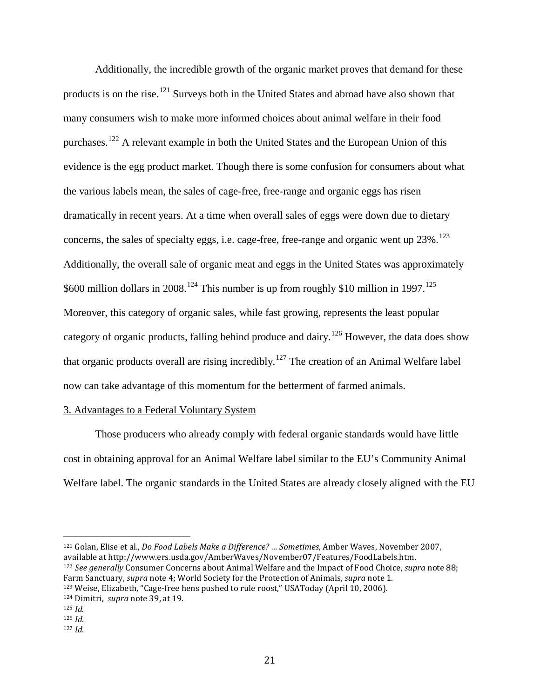Additionally, the incredible growth of the organic market proves that demand for these products is on the rise.<sup>[121](#page-60-0)</sup> Surveys both in the United States and abroad have also shown that many consumers wish to make more informed choices about animal welfare in their food purchases.<sup>[122](#page-60-1)</sup> A relevant example in both the United States and the European Union of this evidence is the egg product market. Though there is some confusion for consumers about what the various labels mean, the sales of cage-free, free-range and organic eggs has risen dramatically in recent years. At a time when overall sales of eggs were down due to dietary concerns, the sales of specialty eggs, i.e. cage-free, free-range and organic went up  $23\%$ .<sup>[123](#page-60-2)</sup> Additionally, the overall sale of organic meat and eggs in the United States was approximately \$600 million dollars in 2008.<sup>[124](#page-60-3)</sup> This number is up from roughly \$10 million in 1997.<sup>[125](#page-60-4)</sup> Moreover, this category of organic sales, while fast growing, represents the least popular category of organic products, falling behind produce and dairy.<sup>[126](#page-60-5)</sup> However, the data does show that organic products overall are rising incredibly.<sup>[127](#page-60-6)</sup> The creation of an Animal Welfare label now can take advantage of this momentum for the betterment of farmed animals.

#### 3. Advantages to a Federal Voluntary System

Those producers who already comply with federal organic standards would have little cost in obtaining approval for an Animal Welfare label similar to the EU's Community Animal Welfare label. The organic standards in the United States are already closely aligned with the EU

<span id="page-60-0"></span> 121 Golan, Elise et al., *Do Food Labels Make a Difference? … Sometimes*, Amber Waves, November 2007, available at http://www.ers.usda.gov/AmberWaves/November07/Features/FoodLabels.htm. <sup>122</sup> *See generally* Consumer Concerns about Animal Welfare and the Impact of Food Choice, *supra* note 88; Farm Sanctuary, *supra* note 4; World Society for the Protection of Animals, *supra* note 1.

<span id="page-60-2"></span><span id="page-60-1"></span><sup>123</sup> Weise, Elizabeth, "Cage-free hens pushed to rule roost," USAToday (April 10, 2006).

<span id="page-60-3"></span><sup>124</sup> Dimitri, *supra* note 39, at 19.

<span id="page-60-4"></span><sup>125</sup> *Id.*

<span id="page-60-5"></span><sup>126</sup> *Id.*

<span id="page-60-6"></span><sup>127</sup> *Id.*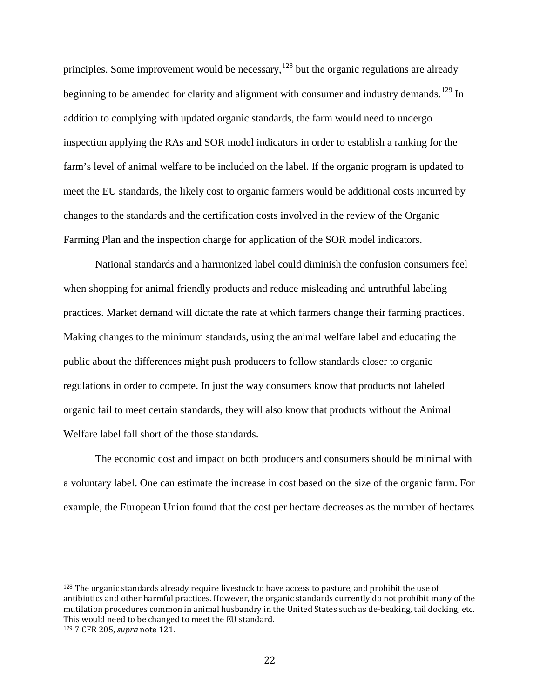principles. Some improvement would be necessary,  $128$  but the organic regulations are already beginning to be amended for clarity and alignment with consumer and industry demands.<sup>[129](#page-61-1)</sup> In addition to complying with updated organic standards, the farm would need to undergo inspection applying the RAs and SOR model indicators in order to establish a ranking for the farm's level of animal welfare to be included on the label. If the organic program is updated to meet the EU standards, the likely cost to organic farmers would be additional costs incurred by changes to the standards and the certification costs involved in the review of the Organic Farming Plan and the inspection charge for application of the SOR model indicators.

National standards and a harmonized label could diminish the confusion consumers feel when shopping for animal friendly products and reduce misleading and untruthful labeling practices. Market demand will dictate the rate at which farmers change their farming practices. Making changes to the minimum standards, using the animal welfare label and educating the public about the differences might push producers to follow standards closer to organic regulations in order to compete. In just the way consumers know that products not labeled organic fail to meet certain standards, they will also know that products without the Animal Welfare label fall short of the those standards.

The economic cost and impact on both producers and consumers should be minimal with a voluntary label. One can estimate the increase in cost based on the size of the organic farm. For example, the European Union found that the cost per hectare decreases as the number of hectares

<span id="page-61-1"></span><span id="page-61-0"></span> <sup>128</sup> The organic standards already require livestock to have access to pasture, and prohibit the use of antibiotics and other harmful practices. However, the organic standards currently do not prohibit many of the mutilation procedures common in animal husbandry in the United States such as de-beaking, tail docking, etc. This would need to be changed to meet the EU standard. <sup>129</sup> 7 CFR 205, *supra* note 121.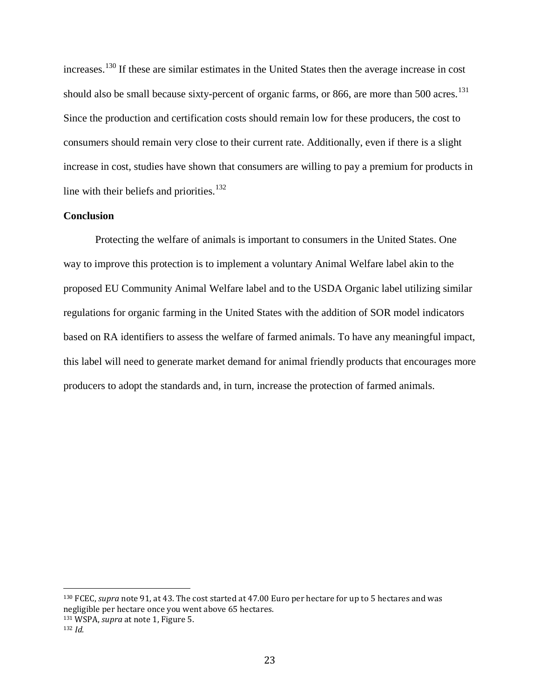increases.[130](#page-62-0) If these are similar estimates in the United States then the average increase in cost should also be small because sixty-percent of organic farms, or 866, are more than 500 acres.<sup>[131](#page-62-1)</sup> Since the production and certification costs should remain low for these producers, the cost to consumers should remain very close to their current rate. Additionally, even if there is a slight increase in cost, studies have shown that consumers are willing to pay a premium for products in line with their beliefs and priorities.<sup>[132](#page-62-2)</sup>

#### **Conclusion**

Protecting the welfare of animals is important to consumers in the United States. One way to improve this protection is to implement a voluntary Animal Welfare label akin to the proposed EU Community Animal Welfare label and to the USDA Organic label utilizing similar regulations for organic farming in the United States with the addition of SOR model indicators based on RA identifiers to assess the welfare of farmed animals. To have any meaningful impact, this label will need to generate market demand for animal friendly products that encourages more producers to adopt the standards and, in turn, increase the protection of farmed animals.

<span id="page-62-0"></span> <sup>130</sup> FCEC, *supra* note 91, at 43. The cost started at 47.00 Euro per hectare for up to 5 hectares and was negligible per hectare once you went above 65 hectares.

<span id="page-62-2"></span><span id="page-62-1"></span><sup>131</sup> WSPA, *supra* at note 1, Figure 5. 132 *Id.*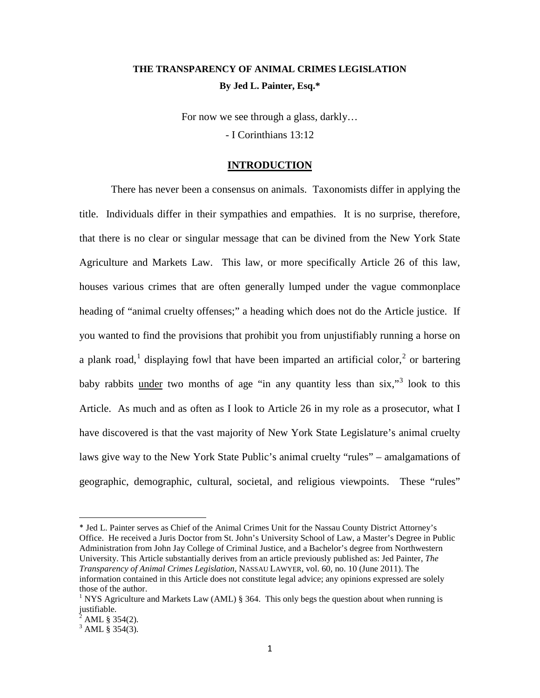# **THE TRANSPARENCY OF ANIMAL CRIMES LEGISLATION By Jed L. Painter, Esq.\***

For now we see through a glass, darkly… - I Corinthians 13:12

#### **INTRODUCTION**

There has never been a consensus on animals. Taxonomists differ in applying the title. Individuals differ in their sympathies and empathies. It is no surprise, therefore, that there is no clear or singular message that can be divined from the New York State Agriculture and Markets Law. This law, or more specifically Article 26 of this law, houses various crimes that are often generally lumped under the vague commonplace heading of "animal cruelty offenses;" a heading which does not do the Article justice. If you wanted to find the provisions that prohibit you from unjustifiably running a horse on a plank road,<sup>[1](#page-63-0)</sup> displaying fowl that have been imparted an artificial color,<sup>[2](#page-63-1)</sup> or bartering baby rabbits under two months of age "in any quantity less than  $six$ ,"<sup>[3](#page-63-2)</sup> look to this Article. As much and as often as I look to Article 26 in my role as a prosecutor, what I have discovered is that the vast majority of New York State Legislature's animal cruelty laws give way to the New York State Public's animal cruelty "rules" – amalgamations of geographic, demographic, cultural, societal, and religious viewpoints. These "rules"

 $\overline{\phantom{a}}$ 

<span id="page-63-0"></span><sup>\*</sup> Jed L. Painter serves as Chief of the Animal Crimes Unit for the Nassau County District Attorney's Office. He received a Juris Doctor from St. John's University School of Law, a Master's Degree in Public Administration from John Jay College of Criminal Justice, and a Bachelor's degree from Northwestern University. This Article substantially derives from an article previously published as: Jed Painter, *The Transparency of Animal Crimes Legislation*, NASSAU LAWYER, vol. 60, no. 10 (June 2011). The information contained in this Article does not constitute legal advice; any opinions expressed are solely those of the author.

<sup>&</sup>lt;sup>1</sup> NYS Agriculture and Markets Law (AML)  $\S$  364. This only begs the question about when running is  $\frac{1}{2}$  is ustifiable.

<sup>2</sup> AML § 354(2).

<span id="page-63-2"></span><span id="page-63-1"></span> $3$  AML § 354(3).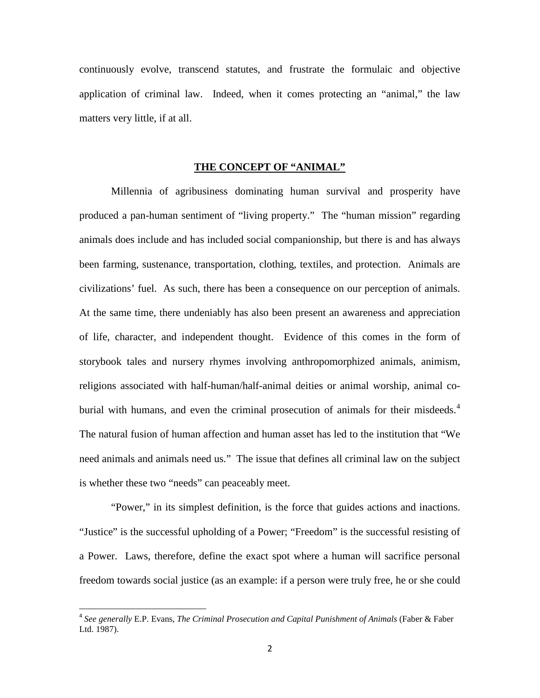continuously evolve, transcend statutes, and frustrate the formulaic and objective application of criminal law. Indeed, when it comes protecting an "animal," the law matters very little, if at all.

#### **THE CONCEPT OF "ANIMAL"**

Millennia of agribusiness dominating human survival and prosperity have produced a pan-human sentiment of "living property." The "human mission" regarding animals does include and has included social companionship, but there is and has always been farming, sustenance, transportation, clothing, textiles, and protection. Animals are civilizations' fuel. As such, there has been a consequence on our perception of animals. At the same time, there undeniably has also been present an awareness and appreciation of life, character, and independent thought. Evidence of this comes in the form of storybook tales and nursery rhymes involving anthropomorphized animals, animism, religions associated with half-human/half-animal deities or animal worship, animal co-burial with humans, and even the criminal prosecution of animals for their misdeeds.<sup>[4](#page-64-0)</sup> The natural fusion of human affection and human asset has led to the institution that "We need animals and animals need us." The issue that defines all criminal law on the subject is whether these two "needs" can peaceably meet.

"Power," in its simplest definition, is the force that guides actions and inactions. "Justice" is the successful upholding of a Power; "Freedom" is the successful resisting of a Power. Laws, therefore, define the exact spot where a human will sacrifice personal freedom towards social justice (as an example: if a person were truly free, he or she could

<span id="page-64-0"></span> <sup>4</sup> *See generally* E.P. Evans, *The Criminal Prosecution and Capital Punishment of Animals* (Faber & Faber Ltd. 1987).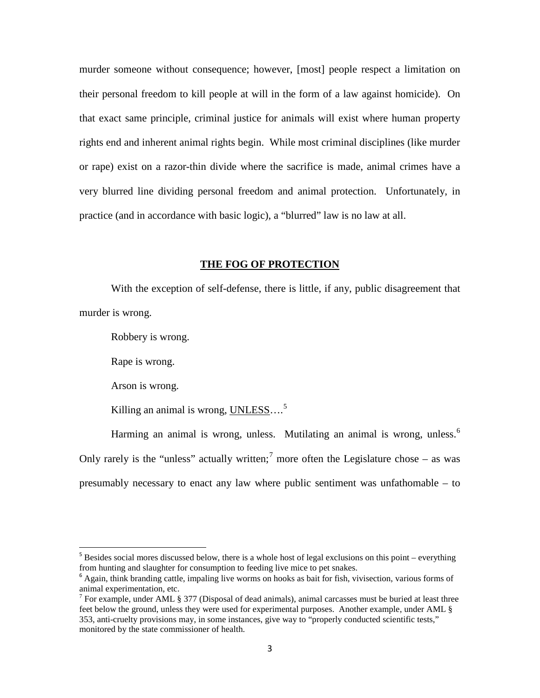murder someone without consequence; however, [most] people respect a limitation on their personal freedom to kill people at will in the form of a law against homicide). On that exact same principle, criminal justice for animals will exist where human property rights end and inherent animal rights begin. While most criminal disciplines (like murder or rape) exist on a razor-thin divide where the sacrifice is made, animal crimes have a very blurred line dividing personal freedom and animal protection. Unfortunately, in practice (and in accordance with basic logic), a "blurred" law is no law at all.

#### **THE FOG OF PROTECTION**

With the exception of self-defense, there is little, if any, public disagreement that murder is wrong.

Robbery is wrong.

Rape is wrong.

Arson is wrong.

Killing an animal is wrong, UNLESS....<sup>[5](#page-65-0)</sup>

Harming an animal is wrong, unless. Mutilating an animal is wrong, unless.<sup>[6](#page-65-1)</sup> Only rarely is the "unless" actually written;<sup>[7](#page-65-2)</sup> more often the Legislature chose – as was presumably necessary to enact any law where public sentiment was unfathomable – to

<span id="page-65-0"></span> $5$  Besides social mores discussed below, there is a whole host of legal exclusions on this point – everything from hunting and slaughter for consumption to feeding live mice to pet snakes.

<span id="page-65-1"></span> $6$  Again, think branding cattle, impaling live worms on hooks as bait for fish, vivisection, various forms of animal experimentation, etc.

<span id="page-65-2"></span><sup>&</sup>lt;sup>7</sup> For example, under AML § 377 (Disposal of dead animals), animal carcasses must be buried at least three feet below the ground, unless they were used for experimental purposes. Another example, under AML § 353, anti-cruelty provisions may, in some instances, give way to "properly conducted scientific tests," monitored by the state commissioner of health.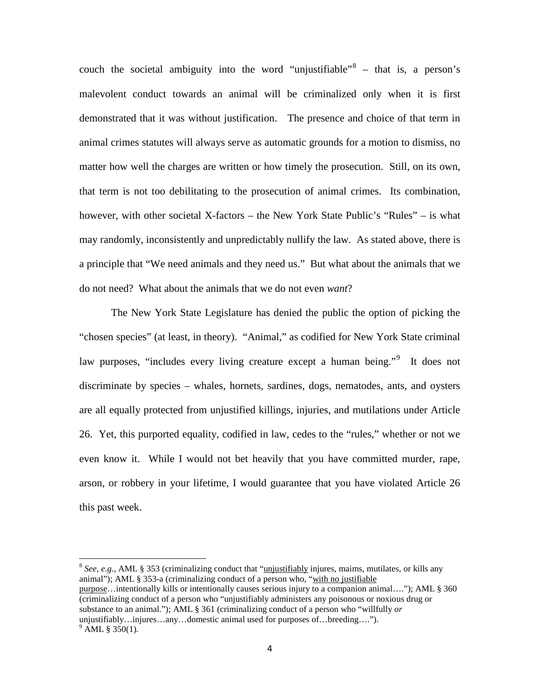couch the societal ambiguity into the word "unjustifiable"  $\delta$  – that is, a person's malevolent conduct towards an animal will be criminalized only when it is first demonstrated that it was without justification. The presence and choice of that term in animal crimes statutes will always serve as automatic grounds for a motion to dismiss, no matter how well the charges are written or how timely the prosecution. Still, on its own, that term is not too debilitating to the prosecution of animal crimes. Its combination, however, with other societal X-factors – the New York State Public's "Rules" – is what may randomly, inconsistently and unpredictably nullify the law. As stated above, there is a principle that "We need animals and they need us." But what about the animals that we do not need? What about the animals that we do not even *want*?

The New York State Legislature has denied the public the option of picking the "chosen species" (at least, in theory). "Animal," as codified for New York State criminal law purposes, "includes every living creature except a human being."<sup>[9](#page-66-1)</sup> It does not discriminate by species – whales, hornets, sardines, dogs, nematodes, ants, and oysters are all equally protected from unjustified killings, injuries, and mutilations under Article 26. Yet, this purported equality, codified in law, cedes to the "rules," whether or not we even know it. While I would not bet heavily that you have committed murder, rape, arson, or robbery in your lifetime, I would guarantee that you have violated Article 26 this past week.

<span id="page-66-1"></span><span id="page-66-0"></span> <sup>8</sup> *See*, *e.g.*, AML § 353 (criminalizing conduct that "unjustifiably injures, maims, mutilates, or kills any animal"); AML § 353-a (criminalizing conduct of a person who, "with no justifiable purpose…intentionally kills or intentionally causes serious injury to a companion animal…."); AML § 360 (criminalizing conduct of a person who "unjustifiably administers any poisonous or noxious drug or substance to an animal."); AML § 361 (criminalizing conduct of a person who "willfully *or*  unjustifiably…injures…any…domestic animal used for purposes of…breeding….").  $^{9}$  AML § 350(1).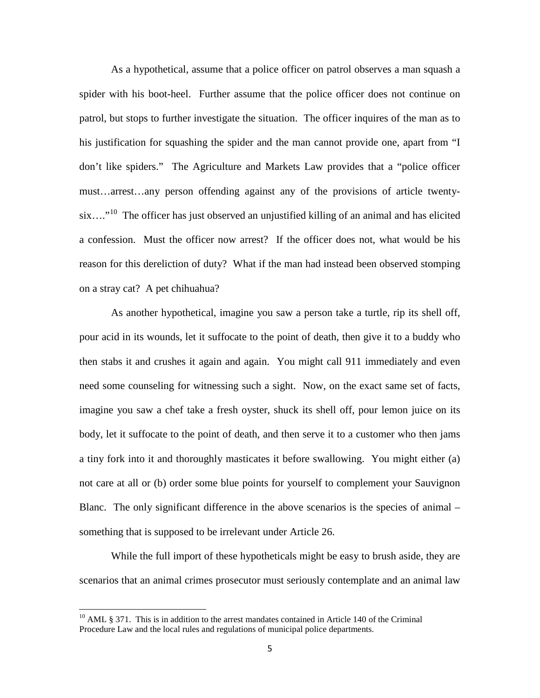As a hypothetical, assume that a police officer on patrol observes a man squash a spider with his boot-heel. Further assume that the police officer does not continue on patrol, but stops to further investigate the situation. The officer inquires of the man as to his justification for squashing the spider and the man cannot provide one, apart from "I don't like spiders." The Agriculture and Markets Law provides that a "police officer must…arrest…any person offending against any of the provisions of article twentysix....<sup>"10</sup> The officer has just observed an unjustified killing of an animal and has elicited a confession. Must the officer now arrest? If the officer does not, what would be his reason for this dereliction of duty? What if the man had instead been observed stomping on a stray cat? A pet chihuahua?

As another hypothetical, imagine you saw a person take a turtle, rip its shell off, pour acid in its wounds, let it suffocate to the point of death, then give it to a buddy who then stabs it and crushes it again and again. You might call 911 immediately and even need some counseling for witnessing such a sight. Now, on the exact same set of facts, imagine you saw a chef take a fresh oyster, shuck its shell off, pour lemon juice on its body, let it suffocate to the point of death, and then serve it to a customer who then jams a tiny fork into it and thoroughly masticates it before swallowing. You might either (a) not care at all or (b) order some blue points for yourself to complement your Sauvignon Blanc. The only significant difference in the above scenarios is the species of animal – something that is supposed to be irrelevant under Article 26.

While the full import of these hypotheticals might be easy to brush aside, they are scenarios that an animal crimes prosecutor must seriously contemplate and an animal law

<span id="page-67-0"></span> $10$  AML  $\delta$  371. This is in addition to the arrest mandates contained in Article 140 of the Criminal Procedure Law and the local rules and regulations of municipal police departments.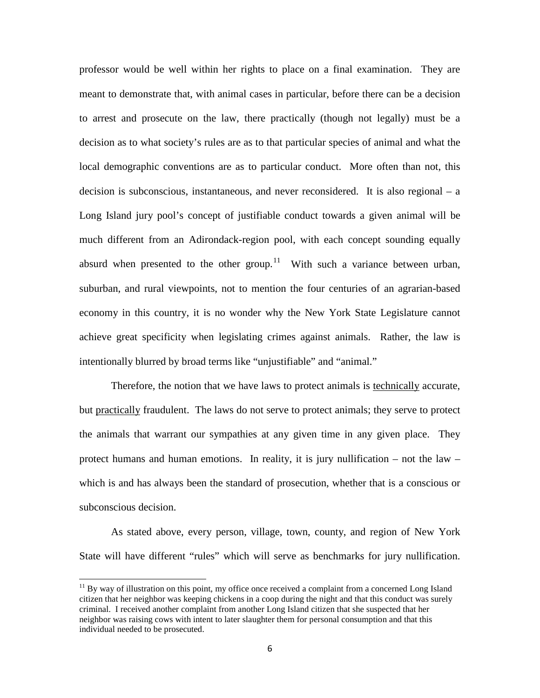professor would be well within her rights to place on a final examination. They are meant to demonstrate that, with animal cases in particular, before there can be a decision to arrest and prosecute on the law, there practically (though not legally) must be a decision as to what society's rules are as to that particular species of animal and what the local demographic conventions are as to particular conduct. More often than not, this decision is subconscious, instantaneous, and never reconsidered. It is also regional – a Long Island jury pool's concept of justifiable conduct towards a given animal will be much different from an Adirondack-region pool, with each concept sounding equally absurd when presented to the other group.<sup>[11](#page-68-0)</sup> With such a variance between urban, suburban, and rural viewpoints, not to mention the four centuries of an agrarian-based economy in this country, it is no wonder why the New York State Legislature cannot achieve great specificity when legislating crimes against animals. Rather, the law is intentionally blurred by broad terms like "unjustifiable" and "animal."

Therefore, the notion that we have laws to protect animals is technically accurate, but practically fraudulent. The laws do not serve to protect animals; they serve to protect the animals that warrant our sympathies at any given time in any given place. They protect humans and human emotions. In reality, it is jury nullification – not the law – which is and has always been the standard of prosecution, whether that is a conscious or subconscious decision.

As stated above, every person, village, town, county, and region of New York State will have different "rules" which will serve as benchmarks for jury nullification.

<span id="page-68-0"></span> $11$  By way of illustration on this point, my office once received a complaint from a concerned Long Island citizen that her neighbor was keeping chickens in a coop during the night and that this conduct was surely criminal. I received another complaint from another Long Island citizen that she suspected that her neighbor was raising cows with intent to later slaughter them for personal consumption and that this individual needed to be prosecuted.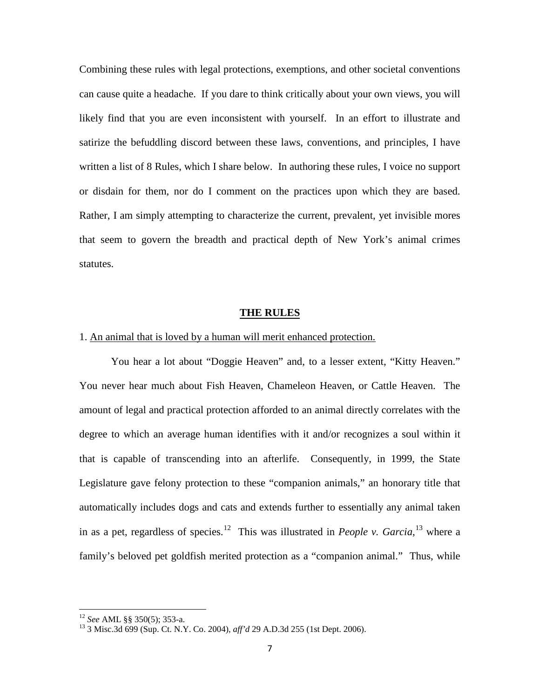Combining these rules with legal protections, exemptions, and other societal conventions can cause quite a headache. If you dare to think critically about your own views, you will likely find that you are even inconsistent with yourself. In an effort to illustrate and satirize the befuddling discord between these laws, conventions, and principles, I have written a list of 8 Rules, which I share below. In authoring these rules, I voice no support or disdain for them, nor do I comment on the practices upon which they are based. Rather, I am simply attempting to characterize the current, prevalent, yet invisible mores that seem to govern the breadth and practical depth of New York's animal crimes statutes.

#### **THE RULES**

#### 1. An animal that is loved by a human will merit enhanced protection.

You hear a lot about "Doggie Heaven" and, to a lesser extent, "Kitty Heaven." You never hear much about Fish Heaven, Chameleon Heaven, or Cattle Heaven. The amount of legal and practical protection afforded to an animal directly correlates with the degree to which an average human identifies with it and/or recognizes a soul within it that is capable of transcending into an afterlife. Consequently, in 1999, the State Legislature gave felony protection to these "companion animals," an honorary title that automatically includes dogs and cats and extends further to essentially any animal taken in as a pet, regardless of species.<sup>12</sup> This was illustrated in *People v. Garcia*,<sup>[13](#page-69-1)</sup> where a family's beloved pet goldfish merited protection as a "companion animal." Thus, while

<span id="page-69-1"></span><span id="page-69-0"></span><sup>&</sup>lt;sup>12</sup> *See* AML §§ 350(5); 353-a.<br><sup>13</sup> 3 Misc.3d 699 (Sup. Ct. N.Y. Co. 2004), *aff'd* 29 A.D.3d 255 (1st Dept. 2006).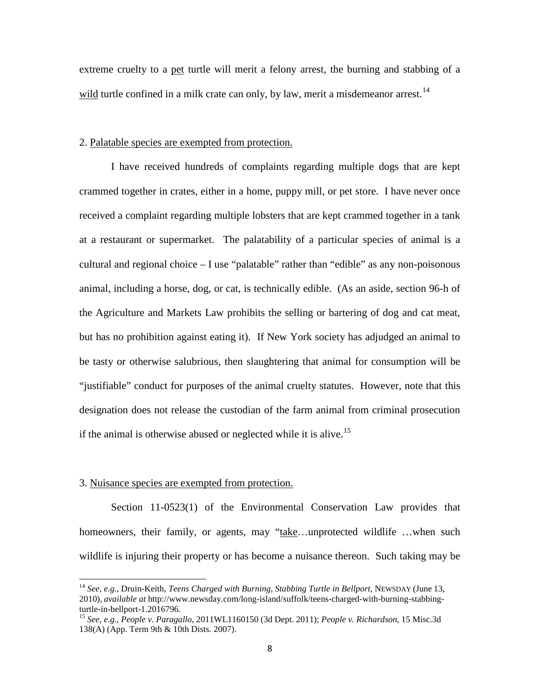extreme cruelty to a pet turtle will merit a felony arrest, the burning and stabbing of a wild turtle confined in a milk crate can only, by law, merit a misdemeanor arrest.<sup>[14](#page-70-0)</sup>

#### 2. Palatable species are exempted from protection.

I have received hundreds of complaints regarding multiple dogs that are kept crammed together in crates, either in a home, puppy mill, or pet store. I have never once received a complaint regarding multiple lobsters that are kept crammed together in a tank at a restaurant or supermarket. The palatability of a particular species of animal is a cultural and regional choice – I use "palatable" rather than "edible" as any non-poisonous animal, including a horse, dog, or cat, is technically edible. (As an aside, section 96-h of the Agriculture and Markets Law prohibits the selling or bartering of dog and cat meat, but has no prohibition against eating it). If New York society has adjudged an animal to be tasty or otherwise salubrious, then slaughtering that animal for consumption will be "justifiable" conduct for purposes of the animal cruelty statutes. However, note that this designation does not release the custodian of the farm animal from criminal prosecution if the animal is otherwise abused or neglected while it is alive.<sup>[15](#page-70-1)</sup>

#### 3. Nuisance species are exempted from protection.

Section 11-0523(1) of the Environmental Conservation Law provides that homeowners, their family, or agents, may "take...unprotected wildlife ...when such wildlife is injuring their property or has become a nuisance thereon. Such taking may be

<span id="page-70-0"></span><sup>14</sup> *See*, *e.g.*, Druin-Keith, *Teens Charged with Burning, Stabbing Turtle in Bellport*, NEWSDAY (June 13, 2010), *available at* http://www.newsday.com/long-island/suffolk/teens-charged-with-burning-stabbing-

<span id="page-70-1"></span><sup>&</sup>lt;sup>15</sup> See, e.g., People v. Paragallo, 2011WL1160150 (3d Dept. 2011); *People v. Richardson*, 15 Misc.3d 138(A) (App. Term 9th & 10th Dists. 2007).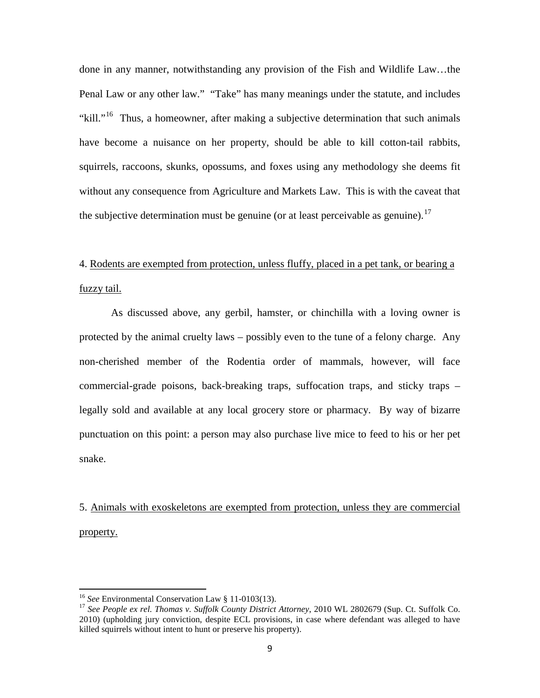done in any manner, notwithstanding any provision of the Fish and Wildlife Law…the Penal Law or any other law." "Take" has many meanings under the statute, and includes "kill."<sup>[16](#page-71-0)</sup> Thus, a homeowner, after making a subjective determination that such animals have become a nuisance on her property, should be able to kill cotton-tail rabbits, squirrels, raccoons, skunks, opossums, and foxes using any methodology she deems fit without any consequence from Agriculture and Markets Law. This is with the caveat that the subjective determination must be genuine (or at least perceivable as genuine).<sup>[17](#page-71-1)</sup>

# 4. Rodents are exempted from protection, unless fluffy, placed in a pet tank, or bearing a fuzzy tail.

As discussed above, any gerbil, hamster, or chinchilla with a loving owner is protected by the animal cruelty laws – possibly even to the tune of a felony charge. Any non-cherished member of the Rodentia order of mammals, however, will face commercial-grade poisons, back-breaking traps, suffocation traps, and sticky traps – legally sold and available at any local grocery store or pharmacy. By way of bizarre punctuation on this point: a person may also purchase live mice to feed to his or her pet snake.

5. Animals with exoskeletons are exempted from protection, unless they are commercial property.

<span id="page-71-1"></span><span id="page-71-0"></span><sup>&</sup>lt;sup>16</sup> *See* Environmental Conservation Law § 11-0103(13).<br><sup>17</sup> *See People ex rel. Thomas v. Suffolk County District Attorney*, 2010 WL 2802679 (Sup. Ct. Suffolk Co. 2010) (upholding jury conviction, despite ECL provisions, in case where defendant was alleged to have killed squirrels without intent to hunt or preserve his property).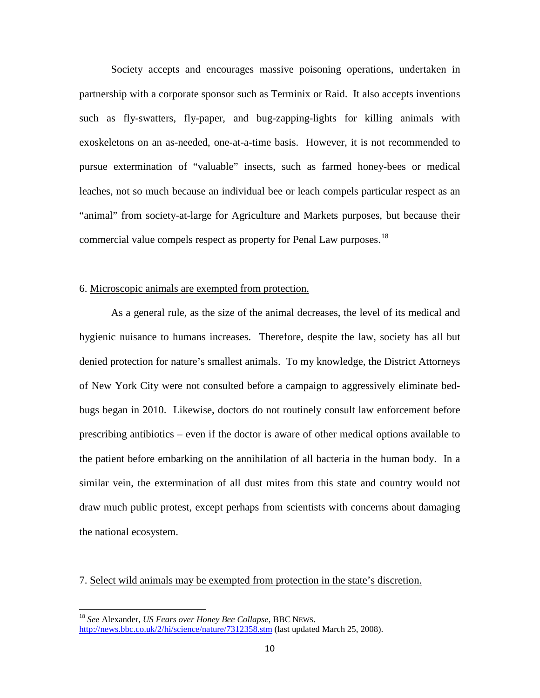Society accepts and encourages massive poisoning operations, undertaken in partnership with a corporate sponsor such as Terminix or Raid. It also accepts inventions such as fly-swatters, fly-paper, and bug-zapping-lights for killing animals with exoskeletons on an as-needed, one-at-a-time basis. However, it is not recommended to pursue extermination of "valuable" insects, such as farmed honey-bees or medical leaches, not so much because an individual bee or leach compels particular respect as an "animal" from society-at-large for Agriculture and Markets purposes, but because their commercial value compels respect as property for Penal Law purposes.<sup>18</sup>

### 6. Microscopic animals are exempted from protection.

As a general rule, as the size of the animal decreases, the level of its medical and hygienic nuisance to humans increases. Therefore, despite the law, society has all but denied protection for nature's smallest animals. To my knowledge, the District Attorneys of New York City were not consulted before a campaign to aggressively eliminate bedbugs began in 2010. Likewise, doctors do not routinely consult law enforcement before prescribing antibiotics – even if the doctor is aware of other medical options available to the patient before embarking on the annihilation of all bacteria in the human body. In a similar vein, the extermination of all dust mites from this state and country would not draw much public protest, except perhaps from scientists with concerns about damaging the national ecosystem.

7. Select wild animals may be exempted from protection in the state's discretion.

<span id="page-72-0"></span><sup>18</sup> *See* Alexander, *US Fears over Honey Bee Collapse*, BBC NEWS. <http://news.bbc.co.uk/2/hi/science/nature/7312358.stm> (last updated March 25, 2008).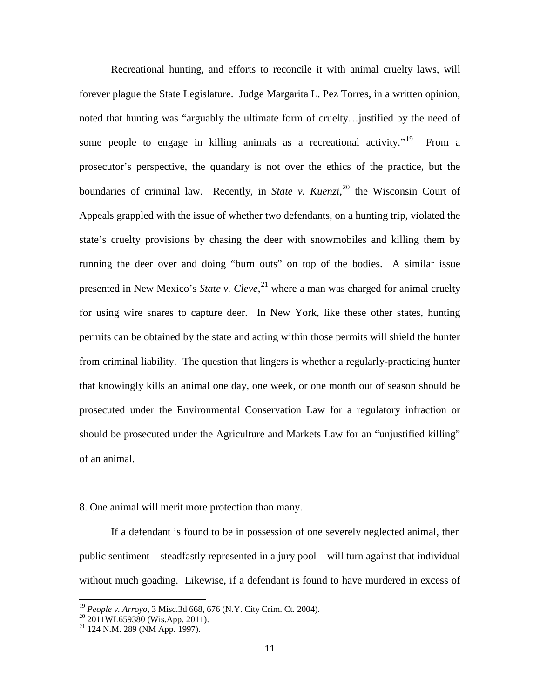Recreational hunting, and efforts to reconcile it with animal cruelty laws, will forever plague the State Legislature. Judge Margarita L. Pez Torres, in a written opinion, noted that hunting was "arguably the ultimate form of cruelty…justified by the need of some people to engage in killing animals as a recreational activity.<sup> $19$ </sup> From a prosecutor's perspective, the quandary is not over the ethics of the practice, but the boundaries of criminal law. Recently, in *State v. Kuenzi*, [20](#page-73-1) the Wisconsin Court of Appeals grappled with the issue of whether two defendants, on a hunting trip, violated the state's cruelty provisions by chasing the deer with snowmobiles and killing them by running the deer over and doing "burn outs" on top of the bodies. A similar issue presented in New Mexico's *State v. Cleve*, [21](#page-73-2) where a man was charged for animal cruelty for using wire snares to capture deer. In New York, like these other states, hunting permits can be obtained by the state and acting within those permits will shield the hunter from criminal liability. The question that lingers is whether a regularly-practicing hunter that knowingly kills an animal one day, one week, or one month out of season should be prosecuted under the Environmental Conservation Law for a regulatory infraction or should be prosecuted under the Agriculture and Markets Law for an "unjustified killing" of an animal.

### 8. One animal will merit more protection than many.

If a defendant is found to be in possession of one severely neglected animal, then public sentiment – steadfastly represented in a jury pool – will turn against that individual without much goading. Likewise, if a defendant is found to have murdered in excess of

<span id="page-73-1"></span><span id="page-73-0"></span><sup>&</sup>lt;sup>19</sup> *People v. Arroyo*, 3 Misc.3d 668, 676 (N.Y. City Crim. Ct. 2004).<br><sup>20</sup> 2011WL659380 (Wis.App. 2011).<br><sup>21</sup> 124 N.M. 289 (NM App. 1997).

<span id="page-73-2"></span>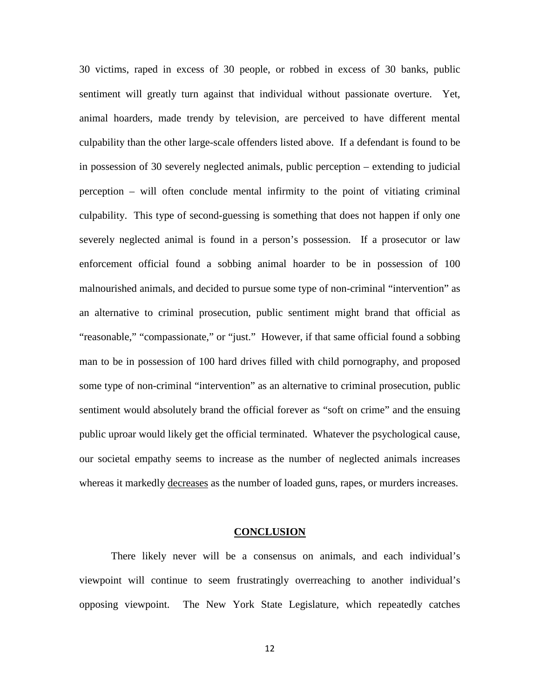30 victims, raped in excess of 30 people, or robbed in excess of 30 banks, public sentiment will greatly turn against that individual without passionate overture. Yet, animal hoarders, made trendy by television, are perceived to have different mental culpability than the other large-scale offenders listed above. If a defendant is found to be in possession of 30 severely neglected animals, public perception – extending to judicial perception – will often conclude mental infirmity to the point of vitiating criminal culpability. This type of second-guessing is something that does not happen if only one severely neglected animal is found in a person's possession. If a prosecutor or law enforcement official found a sobbing animal hoarder to be in possession of 100 malnourished animals, and decided to pursue some type of non-criminal "intervention" as an alternative to criminal prosecution, public sentiment might brand that official as "reasonable," "compassionate," or "just." However, if that same official found a sobbing man to be in possession of 100 hard drives filled with child pornography, and proposed some type of non-criminal "intervention" as an alternative to criminal prosecution, public sentiment would absolutely brand the official forever as "soft on crime" and the ensuing public uproar would likely get the official terminated. Whatever the psychological cause, our societal empathy seems to increase as the number of neglected animals increases whereas it markedly decreases as the number of loaded guns, rapes, or murders increases.

#### **CONCLUSION**

There likely never will be a consensus on animals, and each individual's viewpoint will continue to seem frustratingly overreaching to another individual's opposing viewpoint. The New York State Legislature, which repeatedly catches

12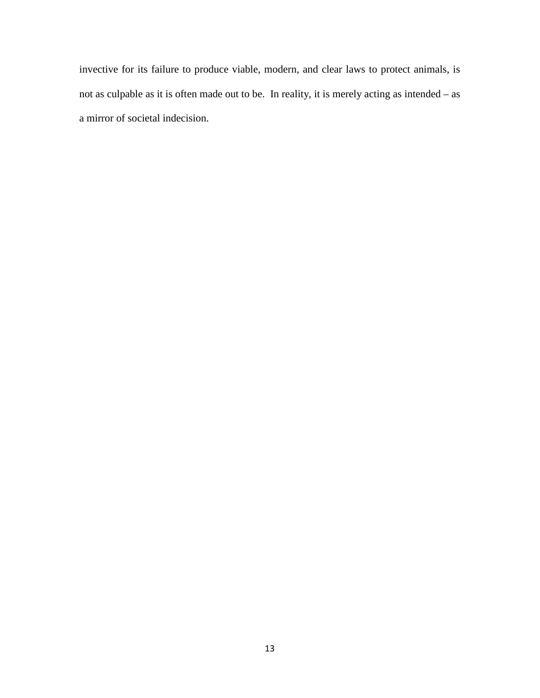invective for its failure to produce viable, modern, and clear laws to protect animals, is not as culpable as it is often made out to be. In reality, it is merely acting as intended – as a mirror of societal indecision.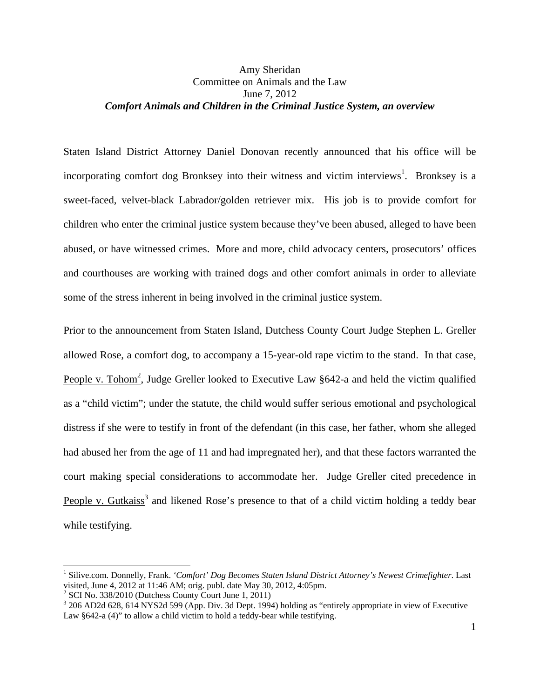# Amy Sheridan Committee on Animals and the Law June 7, 2012 *Comfort Animals and Children in the Criminal Justice System, an overview*

Staten Island District Attorney Daniel Donovan recently announced that his office will be incorporating comfort dog Bronksey into their witness and victim interviews<sup>1</sup>. Bronksey is a sweet-faced, velvet-black Labrador/golden retriever mix. His job is to provide comfort for children who enter the criminal justice system because they've been abused, alleged to have been abused, or have witnessed crimes. More and more, child advocacy centers, prosecutors' offices and courthouses are working with trained dogs and other comfort animals in order to alleviate some of the stress inherent in being involved in the criminal justice system.

Prior to the announcement from Staten Island, Dutchess County Court Judge Stephen L. Greller allowed Rose, a comfort dog, to accompany a 15-year-old rape victim to the stand. In that case, People v. Tohom<sup>2</sup>, Judge Greller looked to Executive Law  $§642$ -a and held the victim qualified as a "child victim"; under the statute, the child would suffer serious emotional and psychological distress if she were to testify in front of the defendant (in this case, her father, whom she alleged had abused her from the age of 11 and had impregnated her), and that these factors warranted the court making special considerations to accommodate her. Judge Greller cited precedence in People v. Gutkaiss<sup>3</sup> and likened Rose's presence to that of a child victim holding a teddy bear while testifying.

<sup>&</sup>lt;sup>1</sup> Silive.com. Donnelly, Frank. *'Comfort' Dog Becomes Staten Island District Attorney's Newest Crimefighter*. Last visited, June 4, 2012 at 11:46 AM; orig. publ. date May 30, 2012, 4:05pm.

 $2^2$  SCI No. 338/2010 (Dutchess County Court June 1, 2011)

<sup>&</sup>lt;sup>3</sup> 206 AD2d 628, 614 NYS2d 599 (App. Div. 3d Dept. 1994) holding as "entirely appropriate in view of Executive Law §642-a (4)" to allow a child victim to hold a teddy-bear while testifying.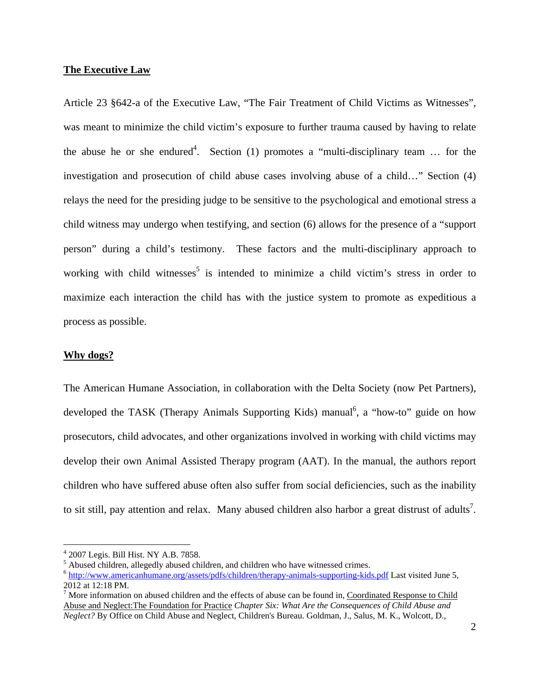### **The Executive Law**

Article 23 §642-a of the Executive Law, "The Fair Treatment of Child Victims as Witnesses", was meant to minimize the child victim's exposure to further trauma caused by having to relate the abuse he or she endured<sup>4</sup>. Section (1) promotes a "multi-disciplinary team ... for the investigation and prosecution of child abuse cases involving abuse of a child…" Section (4) relays the need for the presiding judge to be sensitive to the psychological and emotional stress a child witness may undergo when testifying, and section (6) allows for the presence of a "support person" during a child's testimony. These factors and the multi-disciplinary approach to working with child witnesses<sup>5</sup> is intended to minimize a child victim's stress in order to maximize each interaction the child has with the justice system to promote as expeditious a process as possible.

### **Why dogs?**

-

The American Humane Association, in collaboration with the Delta Society (now Pet Partners), developed the TASK (Therapy Animals Supporting Kids) manual<sup>6</sup>, a "how-to" guide on how prosecutors, child advocates, and other organizations involved in working with child victims may develop their own Animal Assisted Therapy program (AAT). In the manual, the authors report children who have suffered abuse often also suffer from social deficiencies, such as the inability to sit still, pay attention and relax. Many abused children also harbor a great distrust of adults<sup>7</sup>.

<sup>4</sup> 2007 Legis. Bill Hist. NY A.B. 7858.

 $<sup>5</sup>$  Abused children, allegedly abused children, and children who have witnessed crimes.</sup>

<sup>6</sup> http://www.americanhumane.org/assets/pdfs/children/therapy-animals-supporting-kids.pdf Last visited June 5, 2012 at 12:18 PM.

 $<sup>7</sup>$  More information on abused children and the effects of abuse can be found in, Coordinated Response to Child</sup> Abuse and Neglect:The Foundation for Practice *Chapter Six: What Are the Consequences of Child Abuse and Neglect?* By Office on Child Abuse and Neglect, Children's Bureau. Goldman, J., Salus, M. K., Wolcott, D.,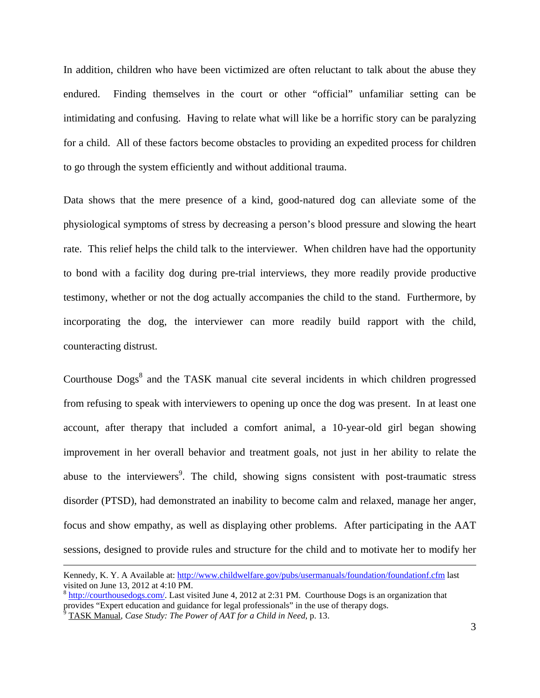In addition, children who have been victimized are often reluctant to talk about the abuse they endured. Finding themselves in the court or other "official" unfamiliar setting can be intimidating and confusing. Having to relate what will like be a horrific story can be paralyzing for a child. All of these factors become obstacles to providing an expedited process for children to go through the system efficiently and without additional trauma.

Data shows that the mere presence of a kind, good-natured dog can alleviate some of the physiological symptoms of stress by decreasing a person's blood pressure and slowing the heart rate. This relief helps the child talk to the interviewer. When children have had the opportunity to bond with a facility dog during pre-trial interviews, they more readily provide productive testimony, whether or not the dog actually accompanies the child to the stand. Furthermore, by incorporating the dog, the interviewer can more readily build rapport with the child, counteracting distrust.

Courthouse Dogs<sup>8</sup> and the TASK manual cite several incidents in which children progressed from refusing to speak with interviewers to opening up once the dog was present. In at least one account, after therapy that included a comfort animal, a 10-year-old girl began showing improvement in her overall behavior and treatment goals, not just in her ability to relate the abuse to the interviewers<sup>9</sup>. The child, showing signs consistent with post-traumatic stress disorder (PTSD), had demonstrated an inability to become calm and relaxed, manage her anger, focus and show empathy, as well as displaying other problems. After participating in the AAT sessions, designed to provide rules and structure for the child and to motivate her to modify her

Kennedy, K. Y. A Available at: http://www.childwelfare.gov/pubs/usermanuals/foundation/foundationf.cfm last visited on June 13, 2012 at 4:10 PM.

<sup>8</sup> http://courthousedogs.com/. Last visited June 4, 2012 at 2:31 PM. Courthouse Dogs is an organization that provides "Expert education and guidance for legal professionals" in the use of therapy dogs.<br><sup>9</sup> TASK Manuel, *Case Study The Bouar of AAT for a Child in Need* n, 12.

TASK Manual, *Case Study: The Power of AAT for a Child in Need*, p. 13.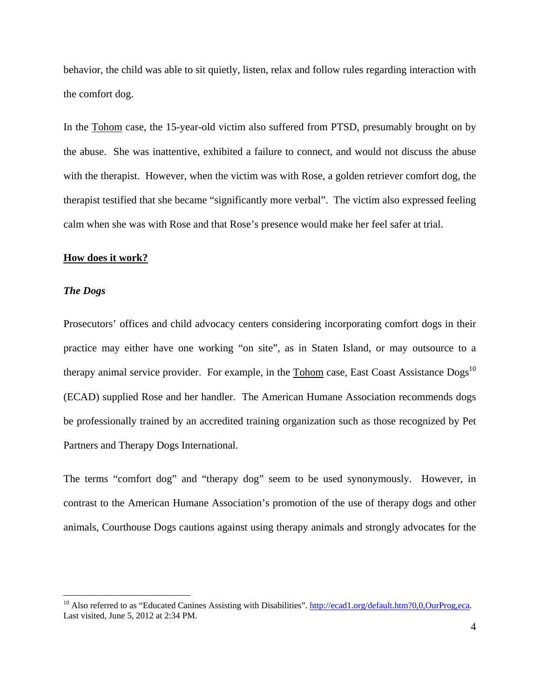behavior, the child was able to sit quietly, listen, relax and follow rules regarding interaction with the comfort dog.

In the Tohom case, the 15-year-old victim also suffered from PTSD, presumably brought on by the abuse. She was inattentive, exhibited a failure to connect, and would not discuss the abuse with the therapist. However, when the victim was with Rose, a golden retriever comfort dog, the therapist testified that she became "significantly more verbal". The victim also expressed feeling calm when she was with Rose and that Rose's presence would make her feel safer at trial.

## **How does it work?**

### *The Dogs*

<u>.</u>

Prosecutors' offices and child advocacy centers considering incorporating comfort dogs in their practice may either have one working "on site", as in Staten Island, or may outsource to a therapy animal service provider. For example, in the Tohom case, East Coast Assistance Dogs<sup>10</sup> (ECAD) supplied Rose and her handler. The American Humane Association recommends dogs be professionally trained by an accredited training organization such as those recognized by Pet Partners and Therapy Dogs International.

The terms "comfort dog" and "therapy dog" seem to be used synonymously. However, in contrast to the American Humane Association's promotion of the use of therapy dogs and other animals, Courthouse Dogs cautions against using therapy animals and strongly advocates for the

<sup>&</sup>lt;sup>10</sup> Also referred to as "Educated Canines Assisting with Disabilities". http://ecad1.org/default.htm?0,0,OurProg,eca. Last visited, June 5, 2012 at 2:34 PM.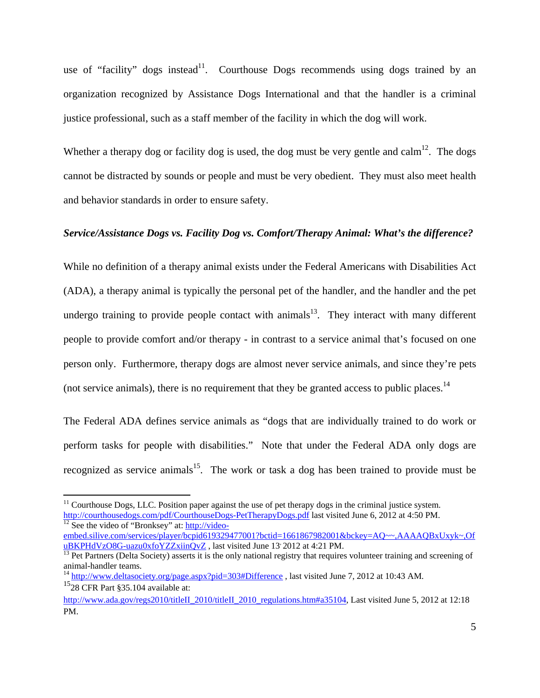use of "facility" dogs instead<sup>11</sup>. Courthouse Dogs recommends using dogs trained by an organization recognized by Assistance Dogs International and that the handler is a criminal justice professional, such as a staff member of the facility in which the dog will work.

Whether a therapy dog or facility dog is used, the dog must be very gentle and calm<sup>12</sup>. The dogs cannot be distracted by sounds or people and must be very obedient. They must also meet health and behavior standards in order to ensure safety.

## *Service/Assistance Dogs vs. Facility Dog vs. Comfort/Therapy Animal: What's the difference?*

While no definition of a therapy animal exists under the Federal Americans with Disabilities Act (ADA), a therapy animal is typically the personal pet of the handler, and the handler and the pet undergo training to provide people contact with animals<sup>13</sup>. They interact with many different people to provide comfort and/or therapy - in contrast to a service animal that's focused on one person only. Furthermore, therapy dogs are almost never service animals, and since they're pets (not service animals), there is no requirement that they be granted access to public places.14

The Federal ADA defines service animals as "dogs that are individually trained to do work or perform tasks for people with disabilities." Note that under the Federal ADA only dogs are recognized as service animals<sup>15</sup>. The work or task a dog has been trained to provide must be

 $11$  Courthouse Dogs, LLC. Position paper against the use of pet therapy dogs in the criminal justice system. http://courthousedogs.com/pdf/CourthouseDogs-PetTherapyDogs.pdf last visited June 6, 2012 at 4:50 PM.<br><sup>12</sup> See the video of "Bronksey" at: http://video-

embed.silive.com/services/player/bcpid619329477001?bctid=1661867982001&bckey=AQ~~,AAAAQBxUxyk~,Of<br>uBKPHdVzO8G-uazu0xfoYZZxiinQvZ, last visited June 13' 2012 at 4:21 PM.

 $^{13}$  Pet Partners (Delta Society) asserts it is the only national registry that requires volunteer training and screening of animal-handler teams.

<sup>&</sup>lt;sup>14</sup> http://www.deltasociety.org/page.aspx?pid=303#Difference, last visited June 7, 2012 at 10:43 AM. <sup>15</sup>28 CFR Part §35.104 available at:

http://www.ada.gov/regs2010/titleII\_2010/titleII\_2010\_regulations.htm#a35104, Last visited June 5, 2012 at 12:18 PM.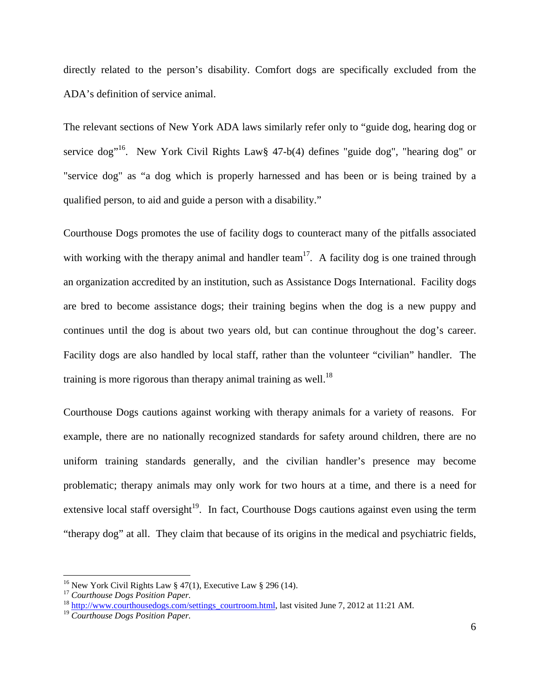directly related to the person's disability. Comfort dogs are specifically excluded from the ADA's definition of service animal.

The relevant sections of New York ADA laws similarly refer only to "guide dog, hearing dog or service dog<sup>"16</sup>. New York Civil Rights Law  $47-b(4)$  defines "guide dog", "hearing dog" or "service dog" as "a dog which is properly harnessed and has been or is being trained by a qualified person, to aid and guide a person with a disability."

Courthouse Dogs promotes the use of facility dogs to counteract many of the pitfalls associated with working with the therapy animal and handler team<sup>17</sup>. A facility dog is one trained through an organization accredited by an institution, such as Assistance Dogs International. Facility dogs are bred to become assistance dogs; their training begins when the dog is a new puppy and continues until the dog is about two years old, but can continue throughout the dog's career. Facility dogs are also handled by local staff, rather than the volunteer "civilian" handler. The training is more rigorous than therapy animal training as well.<sup>18</sup>

Courthouse Dogs cautions against working with therapy animals for a variety of reasons. For example, there are no nationally recognized standards for safety around children, there are no uniform training standards generally, and the civilian handler's presence may become problematic; therapy animals may only work for two hours at a time, and there is a need for extensive local staff oversight<sup>19</sup>. In fact, Courthouse Dogs cautions against even using the term "therapy dog" at all. They claim that because of its origins in the medical and psychiatric fields,

<sup>&</sup>lt;sup>16</sup> New York Civil Rights Law § 47(1), Executive Law § 296 (14).

<sup>17</sup> *Courthouse Dogs Position Paper.*

<sup>&</sup>lt;sup>18</sup> http://www.courthousedogs.com/settings\_courtroom.html, last visited June 7, 2012 at 11:21 AM.

<sup>19</sup> *Courthouse Dogs Position Paper.*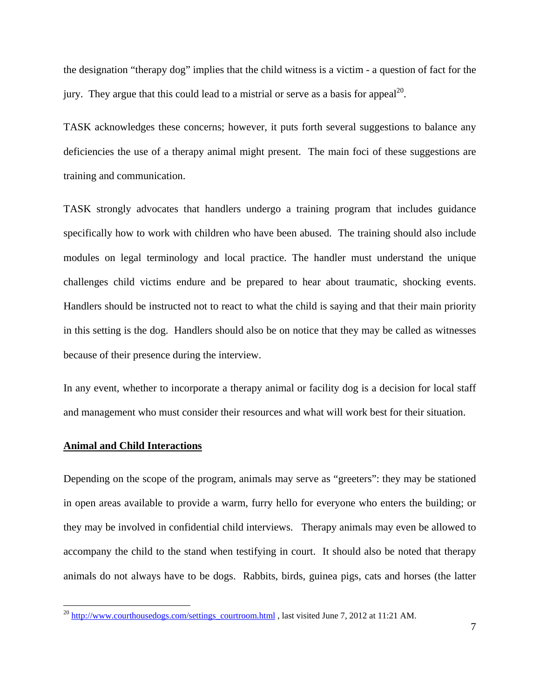the designation "therapy dog" implies that the child witness is a victim - a question of fact for the jury. They argue that this could lead to a mistrial or serve as a basis for appeal<sup>20</sup>.

TASK acknowledges these concerns; however, it puts forth several suggestions to balance any deficiencies the use of a therapy animal might present. The main foci of these suggestions are training and communication.

TASK strongly advocates that handlers undergo a training program that includes guidance specifically how to work with children who have been abused. The training should also include modules on legal terminology and local practice. The handler must understand the unique challenges child victims endure and be prepared to hear about traumatic, shocking events. Handlers should be instructed not to react to what the child is saying and that their main priority in this setting is the dog. Handlers should also be on notice that they may be called as witnesses because of their presence during the interview.

In any event, whether to incorporate a therapy animal or facility dog is a decision for local staff and management who must consider their resources and what will work best for their situation.

#### **Animal and Child Interactions**

 $\overline{a}$ 

Depending on the scope of the program, animals may serve as "greeters": they may be stationed in open areas available to provide a warm, furry hello for everyone who enters the building; or they may be involved in confidential child interviews. Therapy animals may even be allowed to accompany the child to the stand when testifying in court. It should also be noted that therapy animals do not always have to be dogs. Rabbits, birds, guinea pigs, cats and horses (the latter

 $^{20}$  http://www.courthousedogs.com/settings\_courtroom.html , last visited June 7, 2012 at 11:21 AM.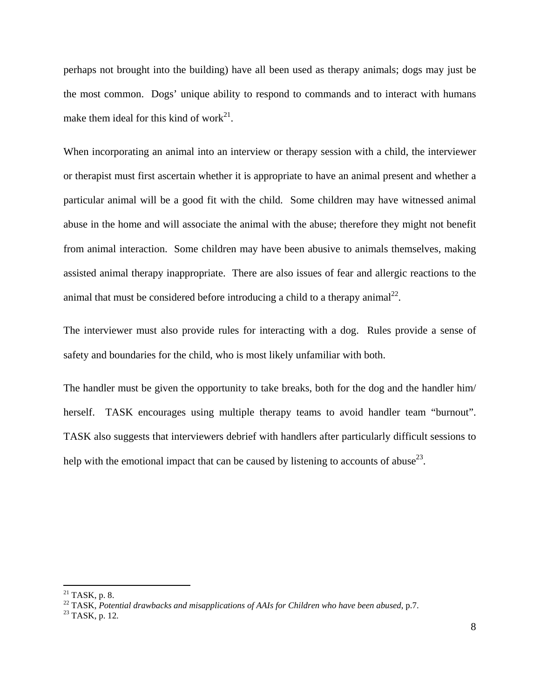perhaps not brought into the building) have all been used as therapy animals; dogs may just be the most common. Dogs' unique ability to respond to commands and to interact with humans make them ideal for this kind of work<sup>21</sup>.

When incorporating an animal into an interview or therapy session with a child, the interviewer or therapist must first ascertain whether it is appropriate to have an animal present and whether a particular animal will be a good fit with the child. Some children may have witnessed animal abuse in the home and will associate the animal with the abuse; therefore they might not benefit from animal interaction. Some children may have been abusive to animals themselves, making assisted animal therapy inappropriate. There are also issues of fear and allergic reactions to the animal that must be considered before introducing a child to a therapy animal<sup>22</sup>.

The interviewer must also provide rules for interacting with a dog. Rules provide a sense of safety and boundaries for the child, who is most likely unfamiliar with both.

The handler must be given the opportunity to take breaks, both for the dog and the handler him/ herself. TASK encourages using multiple therapy teams to avoid handler team "burnout". TASK also suggests that interviewers debrief with handlers after particularly difficult sessions to help with the emotional impact that can be caused by listening to accounts of abuse<sup>23</sup>.

-

 $21$  TASK, p. 8.

<sup>&</sup>lt;sup>22</sup> TASK, *Potential drawbacks and misapplications of AAIs for Children who have been abused*, p.7.<br><sup>23</sup> TASK, p. 12.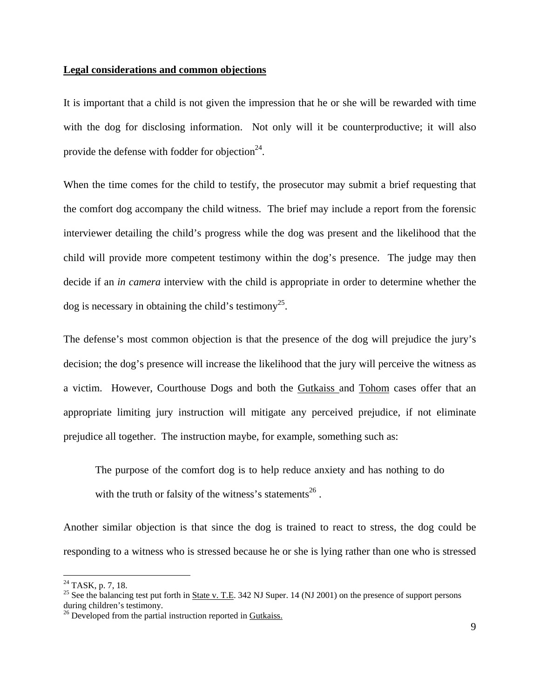### **Legal considerations and common objections**

It is important that a child is not given the impression that he or she will be rewarded with time with the dog for disclosing information. Not only will it be counterproductive; it will also provide the defense with fodder for objection<sup>24</sup>.

When the time comes for the child to testify, the prosecutor may submit a brief requesting that the comfort dog accompany the child witness. The brief may include a report from the forensic interviewer detailing the child's progress while the dog was present and the likelihood that the child will provide more competent testimony within the dog's presence. The judge may then decide if an *in camera* interview with the child is appropriate in order to determine whether the  $\log$  is necessary in obtaining the child's testimony<sup>25</sup>.

The defense's most common objection is that the presence of the dog will prejudice the jury's decision; the dog's presence will increase the likelihood that the jury will perceive the witness as a victim. However, Courthouse Dogs and both the Gutkaiss and Tohom cases offer that an appropriate limiting jury instruction will mitigate any perceived prejudice, if not eliminate prejudice all together. The instruction maybe, for example, something such as:

The purpose of the comfort dog is to help reduce anxiety and has nothing to do with the truth or falsity of the witness's statements<sup>26</sup>.

Another similar objection is that since the dog is trained to react to stress, the dog could be responding to a witness who is stressed because he or she is lying rather than one who is stressed

 $^{24}$  TASK, p. 7, 18.

<sup>&</sup>lt;sup>25</sup> See the balancing test put forth in **State v. T.E.** 342 NJ Super. 14 (NJ 2001) on the presence of support persons during children's testimony.

<sup>&</sup>lt;sup>26</sup> Developed from the partial instruction reported in Gutkaiss.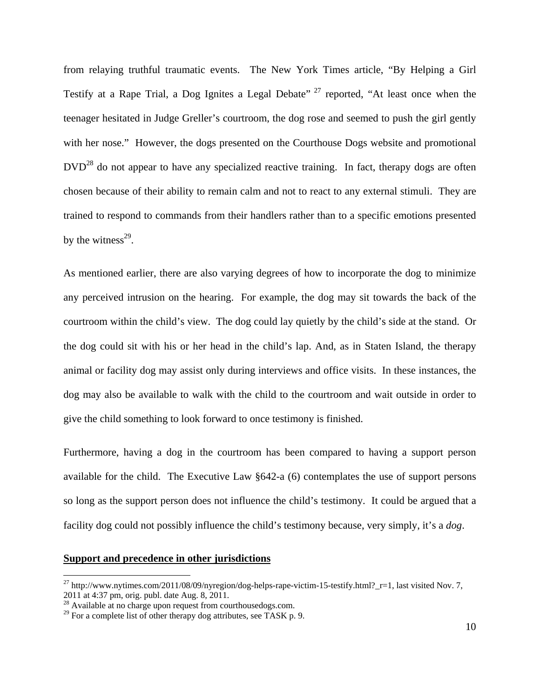from relaying truthful traumatic events. The New York Times article, "By Helping a Girl Testify at a Rape Trial, a Dog Ignites a Legal Debate"<sup>27</sup> reported, "At least once when the teenager hesitated in Judge Greller's courtroom, the dog rose and seemed to push the girl gently with her nose." However, the dogs presented on the Courthouse Dogs website and promotional  $DVD<sup>28</sup>$  do not appear to have any specialized reactive training. In fact, therapy dogs are often chosen because of their ability to remain calm and not to react to any external stimuli. They are trained to respond to commands from their handlers rather than to a specific emotions presented by the witness $^{29}$ .

As mentioned earlier, there are also varying degrees of how to incorporate the dog to minimize any perceived intrusion on the hearing. For example, the dog may sit towards the back of the courtroom within the child's view. The dog could lay quietly by the child's side at the stand. Or the dog could sit with his or her head in the child's lap. And, as in Staten Island, the therapy animal or facility dog may assist only during interviews and office visits. In these instances, the dog may also be available to walk with the child to the courtroom and wait outside in order to give the child something to look forward to once testimony is finished.

Furthermore, having a dog in the courtroom has been compared to having a support person available for the child. The Executive Law §642-a (6) contemplates the use of support persons so long as the support person does not influence the child's testimony. It could be argued that a facility dog could not possibly influence the child's testimony because, very simply, it's a *dog*.

### **Support and precedence in other jurisdictions**

<sup>&</sup>lt;sup>27</sup> http://www.nytimes.com/2011/08/09/nyregion/dog-helps-rape-victim-15-testify.html?\_r=1, last visited Nov. 7, 2011 at 4:37 pm, orig. publ. date Aug. 8, 2011.

<sup>&</sup>lt;sup>28</sup> Available at no charge upon request from courthousedogs.com.

 $^{29}$  For a complete list of other therapy dog attributes, see TASK p. 9.